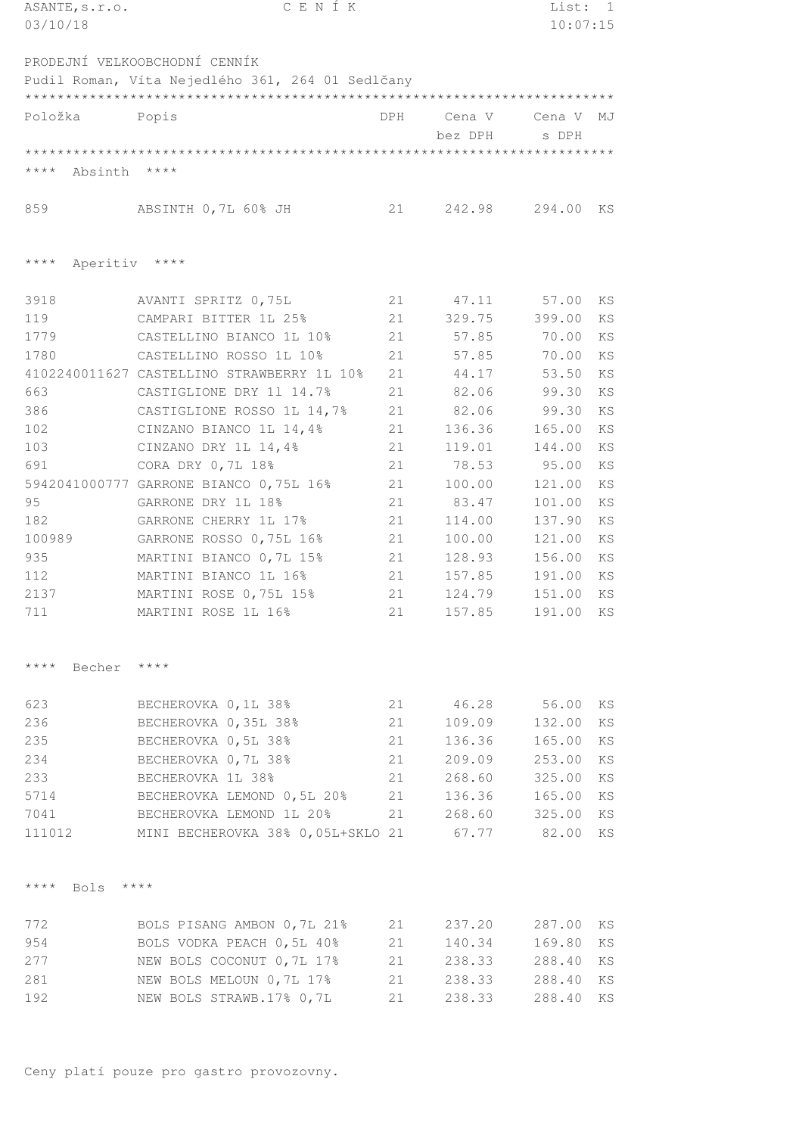| CENÍK<br>ASANTE, s.r.o.          |                                                  | List: 1 |                  |          |           |
|----------------------------------|--------------------------------------------------|---------|------------------|----------|-----------|
| 03/10/18                         |                                                  |         |                  | 10:07:15 |           |
|                                  | PRODEJNÍ VELKOOBCHODNÍ CENNÍK                    |         |                  |          |           |
|                                  | Pudil Roman, Víta Nejedlého 361, 264 01 Sedlčany |         |                  |          |           |
|                                  |                                                  |         |                  |          |           |
| Položka                          | Popis                                            | DPH     | Cena V           | Cena V   | MJ        |
|                                  |                                                  |         | bez DPH          | s DPH    |           |
|                                  |                                                  |         |                  |          |           |
| **** Absinth                     | $\star\star\star\star$                           |         |                  |          |           |
|                                  |                                                  |         |                  |          |           |
| 859                              | ABSINTH 0,7L 60% JH                              | 21      | 242.98           | 294.00   | KS        |
| Aperitiv ****<br>$***$ * * *     |                                                  |         |                  |          |           |
|                                  |                                                  |         |                  |          |           |
| 3918                             | AVANTI SPRITZ 0,75L                              | 21      | 47.11            | 57.00    | KS        |
| 119                              | CAMPARI BITTER 1L 25%                            | 21      | 329.75           | 399.00   | KS        |
| 1779                             | CASTELLINO BIANCO 1L 10%                         | 21      | 57.85            | 70.00    | KS        |
| 1780                             | CASTELLINO ROSSO 1L 10%                          | 21      | 57.85            | 70.00    | KS        |
|                                  | 4102240011627 CASTELLINO STRAWBERRY 1L 10%       | 21      | 44.17            | 53.50    | KS        |
| 663                              | CASTIGLIONE DRY 11 14.7%                         | 21      | 82.06            | 99.30    | KS        |
| 386                              | CASTIGLIONE ROSSO 1L 14,7%                       | 21      | 82.06            | 99.30    | KS        |
| 102                              | CINZANO BIANCO 1L 14,4%                          | 21      | 136.36           | 165.00   | KS        |
| 103                              | CINZANO DRY 1L 14,4%                             | 21      | 119.01           | 144.00   | KS        |
| 691                              | CORA DRY 0, 7L 18%                               | 21      | 78.53            | 95.00    | KS        |
|                                  | 5942041000777 GARRONE BIANCO 0,75L 16%           | 21      | 100.00           | 121.00   | <b>KS</b> |
| 95                               | GARRONE DRY 1L 18%                               | 21      | 83.47            | 101.00   | KS        |
| 182                              | GARRONE CHERRY 1L 17%                            | 21      | 114.00           | 137.90   | KS        |
| 100989                           | GARRONE ROSSO 0,75L 16%                          | 21      | 100.00           | 121.00   | KS        |
| 935                              | MARTINI BIANCO 0,7L 15%                          | 21      | 128.93           | 156.00   | KS        |
| 112                              | MARTINI BIANCO 1L 16%                            | 21      | 157.85           | 191.00   | KS        |
| 2137                             | MARTINI ROSE 0,75L 15%                           | 21      | 124.79           | 151.00   | KS        |
| 711                              | MARTINI ROSE 1L 16%                              | 21      | 157.85           | 191.00   | KS        |
| $\star\star\star\star$<br>Becher | $***$ *                                          |         |                  |          |           |
| 623                              | BECHEROVKA 0, 1L 38%                             | 21      | 46.28            | 56.00    | ΚS        |
| 236                              | BECHEROVKA 0,35L 38%                             | 21      | 109.09           | 132.00   | KS        |
| 235                              | BECHEROVKA 0,5L 38%                              | 21      | 136.36           | 165.00   | KS        |
| 234                              | BECHEROVKA 0,7L 38%                              | 21      |                  |          | KS        |
|                                  | BECHEROVKA 1L 38%                                | 21      | 209.09<br>268.60 | 253.00   | KS        |
| 233                              |                                                  |         |                  | 325.00   |           |
| 5714                             | BECHEROVKA LEMOND 0,5L 20%                       | 21      | 136.36           | 165.00   | KS        |
| 7041                             | BECHEROVKA LEMOND 1L 20%                         | 21      | 268.60           | 325.00   | KS        |
| 111012                           | MINI BECHEROVKA 38% 0,05L+SKLO 21                |         | 67.77            | 82.00    | KS        |
| $\star\star\star\star$<br>Bols   | $***$ *                                          |         |                  |          |           |
| 772                              | BOLS PISANG AMBON 0,7L 21%                       | 21      | 237.20           | 287.00   | KS        |
| 954                              | BOLS VODKA PEACH 0,5L 40%                        | 21      | 140.34           | 169.80   | KS        |
| 277                              | NEW BOLS COCONUT 0,7L 17%                        | 21      | 238.33           | 288.40   | KS        |
| 281                              | NEW BOLS MELOUN 0,7L 17%                         | 21      | 238.33           | 288.40   | KS        |
| 192                              | NEW BOLS STRAWB.17% 0,7L                         | 21      | 238.33           | 288.40   | KS        |
|                                  |                                                  |         |                  |          |           |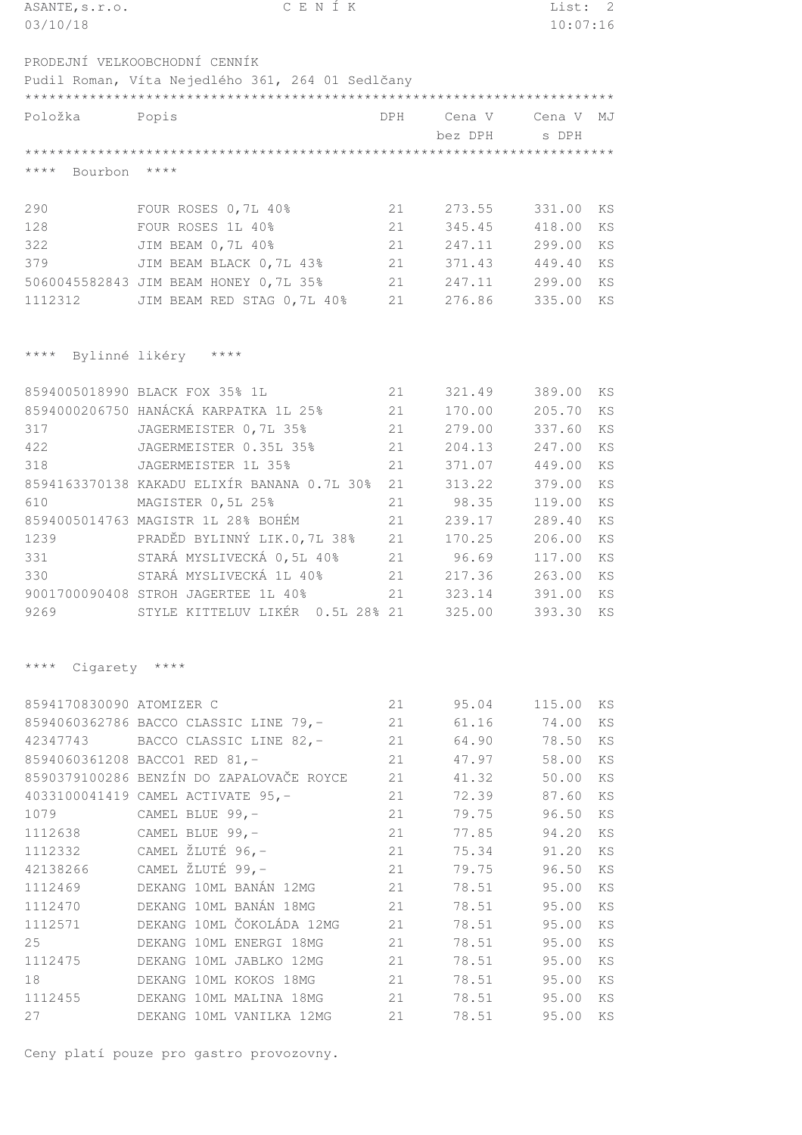| ASANTE, s.r.o.                           | CENÍK                                            |            |         | List:    | 2         |
|------------------------------------------|--------------------------------------------------|------------|---------|----------|-----------|
| 03/10/18                                 |                                                  |            |         | 10:07:16 |           |
|                                          |                                                  |            |         |          |           |
|                                          | PRODEJNÍ VELKOOBCHODNÍ CENNÍK                    |            |         |          |           |
|                                          | Pudil Roman, Víta Nejedlého 361, 264 01 Sedlčany |            |         |          |           |
|                                          |                                                  |            |         |          |           |
| Položka                                  | Popis                                            | <b>DPH</b> | Cena V  | Cena V   | MJ        |
|                                          |                                                  |            | bez DPH | s DPH    |           |
|                                          |                                                  |            |         |          |           |
| $***$ * * *<br>Bourbon                   | $***$                                            |            |         |          |           |
| 290                                      | FOUR ROSES 0, 7L 40%                             | 21         | 273.55  | 331.00   | KS        |
| 128                                      | FOUR ROSES 1L 40%                                | 21         | 345.45  | 418.00   | KS        |
| 322                                      | JIM BEAM 0, 7L 40%                               | 21         | 247.11  | 299.00   | <b>KS</b> |
| 379                                      | JIM BEAM BLACK 0, 7L 43%                         | 21         | 371.43  | 449.40   | <b>KS</b> |
|                                          | 5060045582843 JIM BEAM HONEY 0,7L 35%            | 21         | 247.11  | 299.00   | <b>KS</b> |
|                                          |                                                  | 21         | 276.86  |          |           |
| 1112312                                  | JIM BEAM RED STAG 0,7L 40%                       |            |         | 335.00   | KS        |
|                                          |                                                  |            |         |          |           |
| $\star\star\star\star$<br>Bylinné likéry | $\star\star\star\star$                           |            |         |          |           |
|                                          | 8594005018990 BLACK FOX 35% 1L                   | 21         | 321.49  | 389.00   | KS        |
|                                          | 8594000206750 HANÁCKÁ KARPATKA 1L 25%            | 21         | 170.00  | 205.70   | KS        |
| 317                                      | JAGERMEISTER 0,7L 35%                            | 21         | 279.00  | 337.60   | KS        |
| 422                                      | JAGERMEISTER 0.35L 35%                           | 21         | 204.13  | 247.00   | KS        |
| 318                                      | JAGERMEISTER 1L 35%                              | 21         | 371.07  | 449.00   | KS        |
|                                          | 8594163370138 KAKADU ELIXÍR BANANA 0.7L 30%      | 21         | 313.22  | 379.00   | <b>KS</b> |
| 610                                      | MAGISTER 0,5L 25%                                | 21         | 98.35   | 119.00   | KS        |
|                                          | 8594005014763 MAGISTR 1L 28% BOHÉM               | 21         | 239.17  | 289.40   | KS        |
| 1239                                     | PRADĚD BYLINNÝ LIK.0,7L 38%                      | 21         | 170.25  | 206.00   | <b>KS</b> |
| 331                                      | STARÁ MYSLIVECKÁ 0,5L 40%                        | 21         | 96.69   | 117.00   | KS        |
| 330                                      | STARÁ MYSLIVECKÁ 1L 40%                          | 21         | 217.36  | 263.00   | KS        |
|                                          | 9001700090408 STROH JAGERTEE 1L 40%              | 21         | 323.14  | 391.00   | KS        |
| 9269                                     | STYLE KITTELUV LIKÉR 0.5L 28% 21 325.00          |            |         | 393.30   | KS        |
| $\star\star\star\star$<br>Cigarety ****  |                                                  |            |         |          |           |
| 8594170830090 ATOMIZER C                 |                                                  | 21         | 95.04   | 115.00   | ΚS        |
|                                          | 8594060362786 BACCO CLASSIC LINE 79,-            | 21         | 61.16   | 74.00    | KS        |
| 42347743                                 | BACCO CLASSIC LINE 82,-                          | 21         | 64.90   | 78.50    | KS        |
|                                          | 8594060361208 BACCO1 RED 81,-                    | 21         | 47.97   | 58.00    | KS        |
|                                          | 8590379100286 BENZÍN DO ZAPALOVAČE ROYCE         | 21         | 41.32   | 50.00    | KS        |
|                                          | 4033100041419 CAMEL ACTIVATE 95,-                | 21         | 72.39   | 87.60    | ΚS        |
| 1079                                     | CAMEL BLUE 99,-                                  | 21         | 79.75   | 96.50    | ΚS        |
| 1112638                                  | CAMEL BLUE 99,-                                  | 21         | 77.85   | 94.20    | KS        |
| 1112332                                  | CAMEL ŽLUTÉ 96,-                                 | 21         | 75.34   | 91.20    | ΚS        |
| 42138266                                 | CAMEL ŽLUTÉ 99,-                                 | 21         | 79.75   | 96.50    | KS        |
| 1112469                                  | DEKANG 10ML BANÁN 12MG                           | 21         | 78.51   | 95.00    | KS        |
| 1112470                                  | DEKANG 10ML BANÁN 18MG                           | 21         | 78.51   | 95.00    | KS        |
| 1112571                                  | DEKANG 10ML ČOKOLÁDA 12MG                        | 21         | 78.51   | 95.00    | KS        |
| 25                                       | DEKANG 10ML ENERGI 18MG                          | 21         | 78.51   | 95.00    | KS        |
| 1112475                                  | DEKANG 10ML JABLKO 12MG                          | 21         | 78.51   | 95.00    | ΚS        |
| 18                                       | DEKANG 10ML KOKOS 18MG                           | 21         | 78.51   | 95.00    | KS        |
| 1112455                                  | DEKANG 10ML MALINA 18MG                          | 21         | 78.51   | 95.00    | KS        |
| 27                                       | DEKANG 10ML VANILKA 12MG                         | 21         | 78.51   | 95.00 KS |           |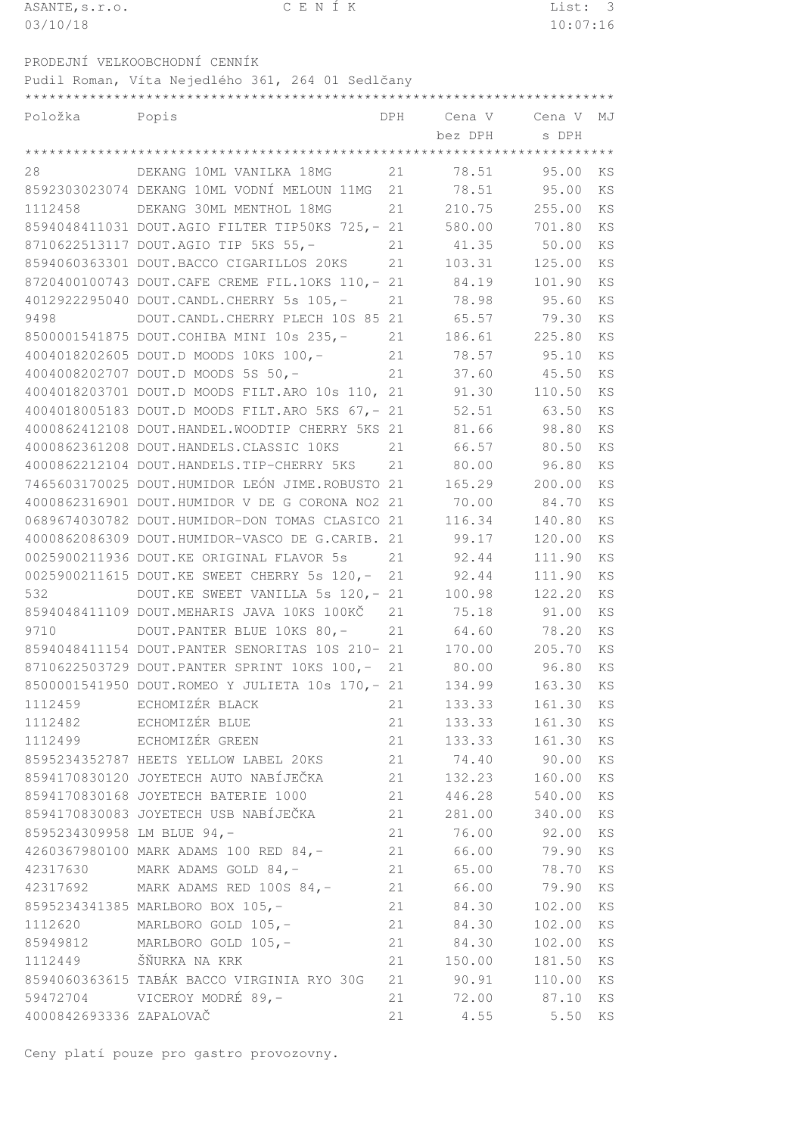| ASANTE, s.r.o. | CENÍK                                              |            |         | List:    | 3         |
|----------------|----------------------------------------------------|------------|---------|----------|-----------|
| 03/10/18       |                                                    |            |         | 10:07:16 |           |
|                |                                                    |            |         |          |           |
|                | PRODEJNÍ VELKOOBCHODNÍ CENNÍK                      |            |         |          |           |
|                | Pudil Roman, Víta Nejedlého 361, 264 01 Sedlčany   |            |         |          |           |
|                |                                                    |            |         |          |           |
| Položka        | Popis                                              | <b>DPH</b> | Cena V  | Cena V   | MJ        |
|                |                                                    |            | bez DPH | s DPH    |           |
|                |                                                    |            |         |          |           |
| 28             | DEKANG 10ML VANILKA 18MG                           | 21         | 78.51   | 95.00    | KS        |
|                | 8592303023074 DEKANG 10ML VODNÍ MELOUN 11MG        | 21         | 78.51   | 95.00    | <b>KS</b> |
| 1112458        | DEKANG 30ML MENTHOL 18MG                           | 21         | 210.75  | 255.00   | <b>KS</b> |
|                | 8594048411031 DOUT.AGIO FILTER TIP50KS 725,- 21    |            | 580.00  | 701.80   | KS        |
|                | 8710622513117 DOUT.AGIO TIP 5KS 55,-               | 21         | 41.35   | 50.00    | <b>KS</b> |
|                | 8594060363301 DOUT.BACCO CIGARILLOS 20KS           | 21         | 103.31  | 125.00   | KS        |
|                | 8720400100743 DOUT. CAFE CREME FIL. 10KS 110, - 21 |            | 84.19   | 101.90   | KS        |
|                | 4012922295040 DOUT.CANDL.CHERRY 5s 105,-           | 21         | 78.98   | 95.60    | <b>KS</b> |
| 9498           | DOUT. CANDL. CHERRY PLECH 10S 85 21                |            | 65.57   | 79.30    | KS        |
|                | 8500001541875 DOUT.COHIBA MINI 10s 235,-           | 21         | 186.61  | 225.80   | KS        |
|                | 4004018202605 DOUT.D MOODS 10KS 100,-              | 21         | 78.57   | 95.10    | <b>KS</b> |
|                | 4004008202707 DOUT.D MOODS 5S 50,-                 | 21         | 37.60   | 45.50    | <b>KS</b> |
|                | 4004018203701 DOUT.D MOODS FILT.ARO 10s 110, 21    |            | 91.30   | 110.50   | KS        |
|                | 4004018005183 DOUT.D MOODS FILT.ARO 5KS 67,- 21    |            | 52.51   | 63.50    | <b>KS</b> |
|                | 4000862412108 DOUT.HANDEL.WOODTIP CHERRY 5KS 21    |            | 81.66   | 98.80    | KS        |
|                | 4000862361208 DOUT.HANDELS.CLASSIC 10KS            | 21         | 66.57   | 80.50    | KS        |
|                | 4000862212104 DOUT.HANDELS.TIP-CHERRY 5KS          | 21         | 80.00   | 96.80    | KS        |
|                | 7465603170025 DOUT.HUMIDOR LEÓN JIME.ROBUSTO 21    |            | 165.29  | 200.00   | <b>KS</b> |
|                | 4000862316901 DOUT.HUMIDOR V DE G CORONA NO2 21    |            | 70.00   | 84.70    | KS        |
|                | 0689674030782 DOUT.HUMIDOR-DON TOMAS CLASICO 21    |            | 116.34  | 140.80   | <b>KS</b> |
|                | 4000862086309 DOUT.HUMIDOR-VASCO DE G.CARIB. 21    |            | 99.17   | 120.00   | <b>KS</b> |
|                | 0025900211936 DOUT.KE ORIGINAL FLAVOR 5s           | 21         | 92.44   | 111.90   | <b>KS</b> |
|                | 0025900211615 DOUT.KE SWEET CHERRY 5s 120,-        | 21         | 92.44   | 111.90   | KS        |
| 532            | DOUT.KE SWEET VANILLA 5s 120, - 21                 |            | 100.98  | 122.20   | <b>KS</b> |
|                | 8594048411109 DOUT.MEHARIS JAVA 10KS 100KČ         | 21         | 75.18   | 91.00    | <b>KS</b> |

| 532                        | DOUT.KE SWEET VANILLA 5s 120, - 21 100.98                     |    |                | 122.20      | KS        |
|----------------------------|---------------------------------------------------------------|----|----------------|-------------|-----------|
|                            | 8594048411109 DOUT.MEHARIS JAVA 10KS 100KČ 21 75.18           |    |                | 91.00       | <b>KS</b> |
| 9710                       | DOUT.PANTER BLUE 10KS 80,- 21 64.60 78.20                     |    |                |             | KS        |
|                            | 8594048411154 DOUT.PANTER SENORITAS 10S 210- 21 170.00 205.70 |    |                |             | KS        |
|                            | 8710622503729 DOUT.PANTER SPRINT 10KS 100,- 21 80.00 96.80    |    |                |             | KS        |
|                            | 8500001541950 DOUT.ROMEO Y JULIETA 10s 170,- 21 134.99        |    |                | 163.30      | KS        |
|                            | 1112459 ECHOMIZÉR BLACK                                       |    | 21<br>133.33   | 161.30      | KS        |
|                            | 1112482 ECHOMIZÉR BLUE                                        |    | 21<br>133.33   | 161.30      | KS        |
|                            | 1112499 ECHOMIZÉR GREEN                                       |    | 21<br>133.33   | 161.30      | KS        |
|                            | 8595234352787 HEETS YELLOW LABEL 20KS                         |    | 21 74.40       | 90.00       | KS        |
|                            | 8594170830120 JOYETECH AUTO NABÍJEČKA                         |    | 21<br>132.23   | 160.00      | KS        |
|                            | 8594170830168 JOYETECH BATERIE 1000                           |    | 21<br>446.28   | 540.00      | KS        |
|                            | 8594170830083 JOYETECH USB NABÍJEČKA                          |    | 21<br>281.00   | 340.00      | KS        |
| 8595234309958 LM BLUE 94,- |                                                               |    | 21 76.00 92.00 |             | KS        |
|                            | 4260367980100 MARK ADAMS 100 RED 84,-                         |    | 21<br>66.00    | 79.90       | <b>KS</b> |
|                            | 42317630 MARK ADAMS GOLD 84,-                                 | 21 | 65.00          | 78.70       | <b>KS</b> |
|                            | 42317692 MARK ADAMS RED 100S 84,-                             | 21 |                | 66.00 79.90 | <b>KS</b> |
|                            | 8595234341385 MARLBORO BOX 105,-                              | 21 | 84.30          | 102.00      | KS        |
|                            | 1112620 MARLBORO GOLD 105,-                                   | 21 | 84.30          | 102.00      | KS        |
|                            | 85949812 MARLBORO GOLD 105,-                                  |    | 21 84.30       | 102.00      | <b>KS</b> |
| 1112449                    | ŠŇURKA NA KRK                                                 |    | 21 150.00      | 181.50      | KS        |
|                            | 8594060363615 TABÁK BACCO VIRGINIA RYO 30G                    |    | 21 90.91       | 110.00      | KS        |
| 59472704                   | VICEROY MODRÉ 89,-                                            |    | 21             | 72.00 87.10 | KS        |
| 4000842693336 ZAPALOVAČ    |                                                               | 21 |                | 4.55 5.50   | KS        |
|                            |                                                               |    |                |             |           |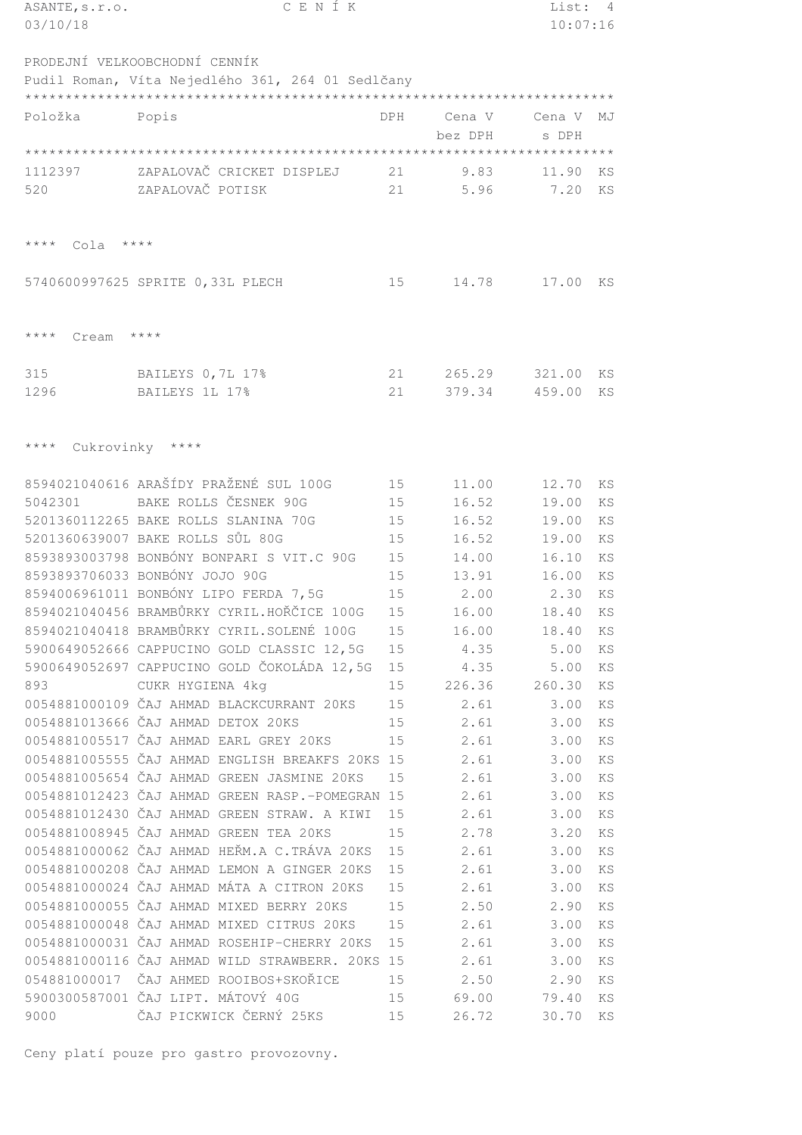| ASANTE, s.r.o.       | CENÍK                                            |                 |                  | List:    | 4  |
|----------------------|--------------------------------------------------|-----------------|------------------|----------|----|
| 03/10/18             |                                                  |                 |                  | 10:07:16 |    |
|                      |                                                  |                 |                  |          |    |
|                      | PRODEJNÍ VELKOOBCHODNÍ CENNÍK                    |                 |                  |          |    |
|                      | Pudil Roman, Víta Nejedlého 361, 264 01 Sedlčany |                 |                  |          |    |
|                      |                                                  |                 |                  |          |    |
| Položka              | Popis                                            | DPH             | Cena V           | Cena V   | MJ |
|                      |                                                  |                 | bez DPH          | s DPH    |    |
|                      |                                                  |                 |                  |          |    |
| 1112397              | ZAPALOVAČ CRICKET DISPLEJ                        | 21              | 9.83             | 11.90    | KS |
| 520                  | ZAPALOVAČ POTISK                                 | 21              | 5.96             | 7.20     | KS |
|                      |                                                  |                 |                  |          |    |
|                      |                                                  |                 |                  |          |    |
| $***$ * * *<br>Cola  | $***$ * * *                                      |                 |                  |          |    |
|                      |                                                  |                 |                  |          |    |
|                      |                                                  | 15              | 14.78            | 17.00    | KS |
|                      | 5740600997625 SPRITE 0,33L PLECH                 |                 |                  |          |    |
|                      |                                                  |                 |                  |          |    |
| $***$ * * *<br>Cream | $***$ * * *                                      |                 |                  |          |    |
|                      |                                                  |                 |                  |          |    |
|                      |                                                  |                 |                  | 321.00   |    |
| 315                  | BAILEYS 0, 7L 17%<br>BAILEYS 1L 17%              | 21              | 265.29<br>379.34 |          | KS |
| 1296                 |                                                  | 21              |                  | 459.00   | KS |
|                      |                                                  |                 |                  |          |    |
| $***$ * * *          |                                                  |                 |                  |          |    |
|                      | Cukrovinky ****                                  |                 |                  |          |    |
|                      | 8594021040616 ARAŠÍDY PRAŽENÉ SUL 100G           |                 |                  |          |    |
|                      |                                                  | 15              | 11.00            | 12.70    | KS |
| 5042301              | BAKE ROLLS ČESNEK 90G                            | 15              | 16.52            | 19.00    | KS |
|                      | 5201360112265 BAKE ROLLS SLANINA 70G             | 15              | 16.52            | 19.00    | KS |
|                      | 5201360639007 BAKE ROLLS SŮL 80G                 | 15              | 16.52            | 19.00    | KS |
|                      | 8593893003798 BONBÓNY BONPARI S VIT.C 90G        | 15              | 14.00            | 16.10    | KS |
|                      | 8593893706033 BONBÓNY JOJO 90G                   | 15              | 13.91            | 16.00    | KS |
|                      | 8594006961011 BONBÓNY LIPO FERDA 7,5G            | 15              | 2.00             | 2.30     | KS |
|                      | 8594021040456 BRAMBŮRKY CYRIL.HOŘČICE 100G       | 15              | 16.00            | 18.40    | ΚS |
|                      | 8594021040418 BRAMBŮRKY CYRIL.SOLENÉ 100G        | 15              | 16.00            | 18.40    | ΚS |
|                      | 5900649052666 CAPPUCINO GOLD CLASSIC 12,5G       | 15              | 4.35             | 5.00     | ΚS |
|                      | 5900649052697 CAPPUCINO GOLD ČOKOLÁDA 12,5G      | 15              | 4.35             | 5.00     | ΚS |
| 893                  | CUKR HYGIENA 4kg                                 | 15              | 226.36           | 260.30   | KS |
|                      | 0054881000109 ČAJ AHMAD BLACKCURRANT 20KS        | 15              | 2.61             | 3.00     | ΚS |
|                      | 0054881013666 ČAJ AHMAD DETOX 20KS               | 15              | 2.61             | 3.00     | ΚS |
|                      | 0054881005517 ČAJ AHMAD EARL GREY 20KS           | 15              | 2.61             | 3.00     | ΚS |
|                      | 0054881005555 ČAJ AHMAD ENGLISH BREAKFS 20KS 15  |                 | 2.61             | 3.00     | KS |
|                      | 0054881005654 ČAJ AHMAD GREEN JASMINE 20KS       | 15              | 2.61             | 3.00     | ΚS |
|                      | 0054881012423 ČAJ AHMAD GREEN RASP.-POMEGRAN 15  |                 | 2.61             | 3.00     | ΚS |
|                      | 0054881012430 ČAJ AHMAD GREEN STRAW. A KIWI      | 15              | 2.61             | 3.00     | ΚS |
|                      | 0054881008945 ČAJ AHMAD GREEN TEA 20KS           | 15              | 2.78             | 3.20     | ΚS |
|                      | 0054881000062 ČAJ AHMAD HEŘM.A C.TRÁVA 20KS      | 15              | 2.61             | 3.00     | ΚS |
|                      | 0054881000208 ČAJ AHMAD LEMON A GINGER 20KS      | 15              | 2.61             | 3.00     | ΚS |
|                      | 0054881000024 ČAJ AHMAD MÁTA A CITRON 20KS       | 15              | 2.61             | 3.00     | ΚS |
|                      | 0054881000055 ČAJ AHMAD MIXED BERRY 20KS         | 15              | 2.50             | 2.90     | ΚS |
|                      | 0054881000048 ČAJ AHMAD MIXED CITRUS 20KS        | 15              | 2.61             | 3.00     | ΚS |
|                      | 0054881000031 ČAJ AHMAD ROSEHIP-CHERRY 20KS      | 15              | 2.61             | 3.00     | ΚS |
|                      | 0054881000116 ČAJ AHMAD WILD STRAWBERR. 20KS 15  |                 | 2.61             | 3.00     | ΚS |
|                      | 054881000017 ČAJ AHMED ROOIBOS+SKOŘICE           | 15              | 2.50             | 2.90     | ΚS |
|                      | 5900300587001 ČAJ LIPT. MÁTOVÝ 40G               | 15              | 69.00            | 79.40    | ΚS |
| 9000                 | ČAJ PICKWICK ČERNÝ 25KS                          | 15 <sub>1</sub> | 26.72            | 30.70    | ΚS |
|                      |                                                  |                 |                  |          |    |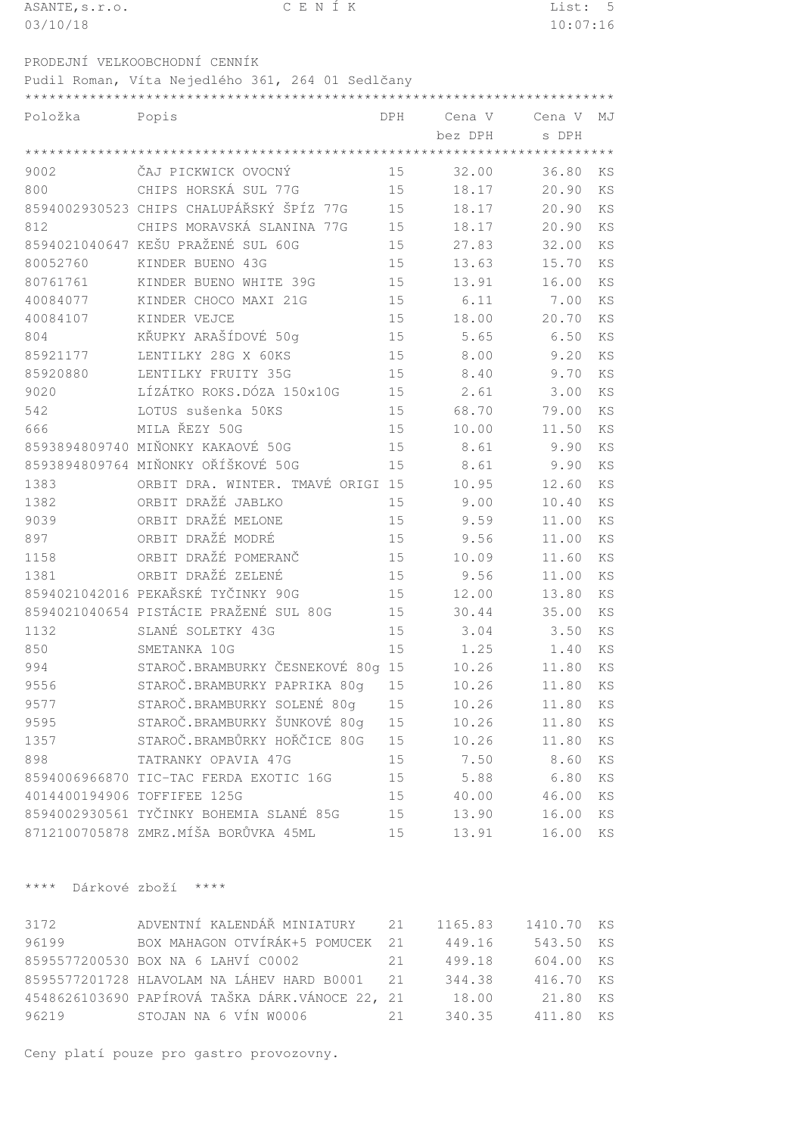| ASANTE, s.r.o. | CENÍK                                            |     |         | List:    | $-5$ |
|----------------|--------------------------------------------------|-----|---------|----------|------|
| 03/10/18       |                                                  |     |         | 10:07:16 |      |
|                | PRODEJNÍ VELKOOBCHODNÍ CENNÍK                    |     |         |          |      |
|                | Pudil Roman, Víta Nejedlého 361, 264 01 Sedlčany |     |         |          |      |
|                |                                                  |     |         |          |      |
| Položka        | Popis                                            | DPH | Cena V  | Cena V   | MJ   |
|                |                                                  |     | bez DPH | s DPH    |      |
|                |                                                  |     |         |          |      |
| 9002           | ČAJ PICKWICK OVOCNÝ                              | 15  | 32.00   | 36.80    | KS   |
| 800            | CHIPS HORSKÁ SUL 77G                             | 15  | 18.17   | 20.90    | KS   |
|                | 8594002930523 CHIPS CHALUPÁŘSKÝ ŠPÍZ 77G         | 15  | 18.17   | 20.90    | KS   |
| 812            | CHIPS MORAVSKÁ SLANINA 77G                       | 15  | 18.17   | 20.90    | KS   |
|                | 8594021040647 KEŠU PRAŽENÉ SUL 60G               | 15  | 27.83   | 32.00    | KS   |
| 80052760       | KINDER BUENO 43G                                 | 15  | 13.63   | 15.70    | KS   |
| 80761761       | KINDER BUENO WHITE 39G                           | 15  | 13.91   | 16.00    | KS   |
| 40084077       | KINDER CHOCO MAXI 21G                            | 15  | 6.11    | 7.00     | KS   |
| 40084107       | KINDER VEJCE                                     | 15  | 18.00   | 20.70    | KS   |
| 804            | KŘUPKY ARAŠÍDOVÉ 50q                             | 15  | 5.65    | 6.50     | KS   |
| 85921177       | LENTILKY 28G X 60KS                              | 15  | 8.00    | 9.20     | KS   |
| 85920880       | LENTILKY FRUITY 35G                              | 15  | 8.40    | 9.70     | KS   |
| 9020           | LÍZÁTKO ROKS.DÓZA 150x10G                        | 15  | 2.61    | 3.00     | KS   |
| 542            | LOTUS sušenka 50KS                               | 15  | 68.70   | 79.00    | KS   |
| 666            | MILA ŘEZY 50G                                    | 15  | 10.00   | 11.50    | KS   |
|                | 8593894809740 MIŇONKY KAKAOVÉ 50G                | 15  | 8.61    | 9.90     | KS   |
|                | 8593894809764 MIŇONKY OŘÍŠKOVÉ 50G               | 15  | 8.61    | 9.90     | KS   |
| 1383           | ORBIT DRA. WINTER. TMAVÉ ORIGI 15                |     | 10.95   | 12.60    | KS   |
| 1382           | ORBIT DRAŽÉ JABLKO                               | 15  | 9.00    | 10.40    | KS   |
| 9039           | ORBIT DRAŽÉ MELONE                               | 15  | 9.59    | 11.00    | KS   |
| 897            | ORBIT DRAŽÉ MODRÉ                                | 15  | 9.56    | 11.00    | KS   |
| 1158           | ORBIT DRAŽÉ POMERANČ                             | 15  | 10.09   | 11.60    | KS   |
| 1381           | ORBIT DRAŽÉ ZELENÉ                               | 15  | 9.56    | 11.00    | KS   |
|                | 8594021042016 PEKAŘSKÉ TYČINKY 90G               | 15  | 12.00   | 13.80    | KS   |
|                | 8594021040654 PISTÁCIE PRAŽENÉ SUL 80G           | 15  | 30.44   | 35.00    | KS   |
| 1132           | SLANÉ SOLETKY 43G                                | 15  | 3.04    | 3.50     | KS   |
| 850            | SMETANKA 10G                                     | 15  | 1.25    | 1.40     | KS   |
| 994            | STAROČ.BRAMBURKY ČESNEKOVÉ 80g                   | 15  | 10.26   | 11.80    | KS   |
| 9556           | STAROČ.BRAMBURKY PAPRIKA 80g                     | 15  | 10.26   | 11.80    | KS   |
| 9577           | STAROČ.BRAMBURKY SOLENÉ 80g                      | 15  | 10.26   | 11.80    | KS   |
| 9595           | STAROČ.BRAMBURKY ŠUNKOVÉ 80g                     | 15  | 10.26   | 11.80    | KS   |
| 1357           | STAROČ.BRAMBŮRKY HOŘČICE 80G                     | 15  | 10.26   | 11.80    | KS   |
| 898            | TATRANKY OPAVIA 47G                              | 15  | 7.50    | 8.60     | KS   |
|                | 8594006966870 TIC-TAC FERDA EXOTIC 16G           | 15  | 5.88    | 6.80     | KS   |
|                | 4014400194906 TOFFIFEE 125G                      | 15  | 40.00   | 46.00    | KS   |
|                | 8594002930561 TYČINKY BOHEMIA SLANÉ 85G          | 15  | 13.90   | 16.00    | KS   |
|                | 8712100705878 ZMRZ.MÍŠA BORŮVKA 45ML             | 15  | 13.91   | 16.00    | KS   |

\*\*\*\* Dárkové zboží \*\*\*\*

|                                    |     | 1165.83                                                                                                                                                                | 1410.70 KS |        |
|------------------------------------|-----|------------------------------------------------------------------------------------------------------------------------------------------------------------------------|------------|--------|
|                                    |     | 449.16                                                                                                                                                                 | 543.50 KS  |        |
| 8595577200530 BOX NA 6 LAHVÍ C0002 | 2.1 | 499.18                                                                                                                                                                 | 604.00 KS  |        |
|                                    |     | 344.38                                                                                                                                                                 | 416.70 KS  |        |
|                                    |     | 18.00                                                                                                                                                                  | 21.80 KS   |        |
| STOJAN NA 6 VÍN W0006              |     |                                                                                                                                                                        | 411.80 KS  |        |
|                                    |     | ADVENTNÍ KALENDÁŘ MINIATURY 21<br>BOX MAHAGON OTVÍRÁK+5 POMUCEK 21<br>8595577201728 HLAVOLAM NA LÁHEV HARD B0001 21<br>4548626103690 PAPÍROVÁ TAŠKA DÁRK.VÁNOCE 22, 21 | 21         | 340.35 |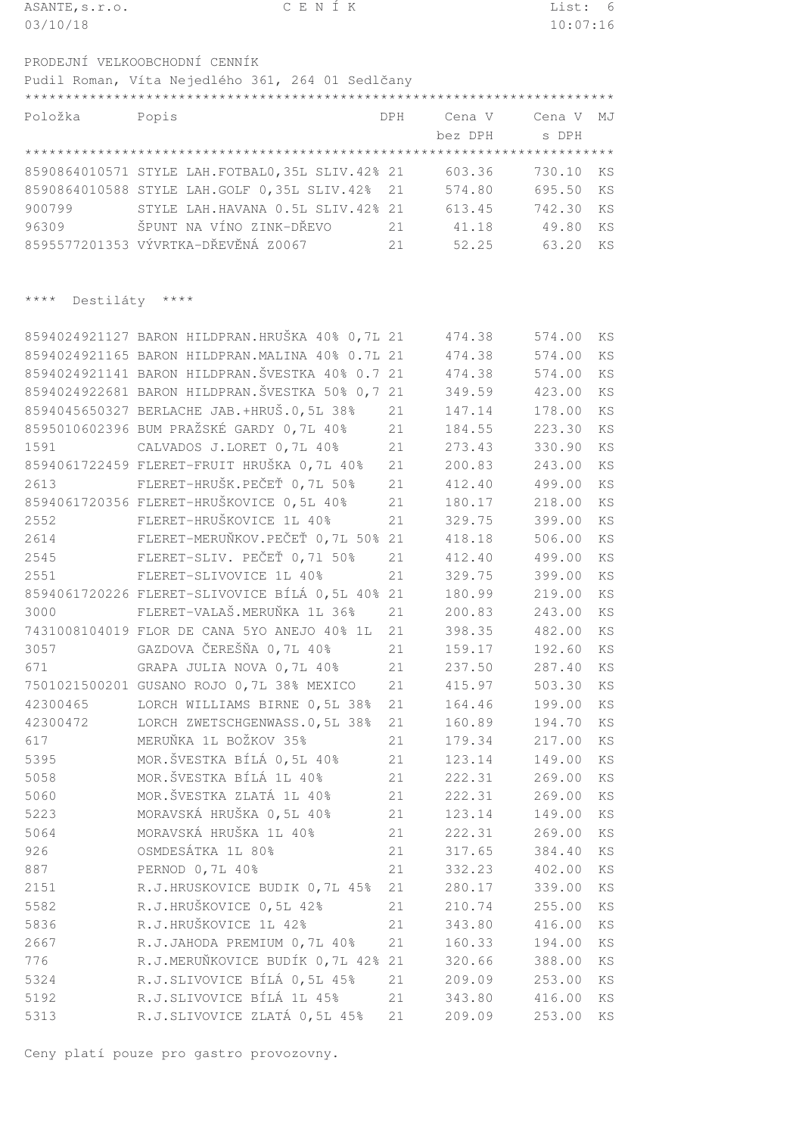| ASANTE, s.r.o.                | CENÍK                                            |     |         | List:    | 6                          |
|-------------------------------|--------------------------------------------------|-----|---------|----------|----------------------------|
| 03/10/18                      |                                                  |     |         | 10:07:16 |                            |
|                               |                                                  |     |         |          |                            |
|                               | PRODEJNÍ VELKOOBCHODNÍ CENNÍK                    |     |         |          |                            |
|                               | Pudil Roman, Víta Nejedlého 361, 264 01 Sedlčany |     |         |          |                            |
|                               |                                                  |     |         |          |                            |
| Položka                       | Popis                                            | DPH | Cena V  | Cena V   | MJ                         |
|                               |                                                  |     | bez DPH | s DPH    |                            |
|                               |                                                  |     |         |          |                            |
|                               | 8590864010571 STYLE LAH.FOTBAL0, 35L SLIV.42% 21 |     | 603.36  | 730.10   | KS                         |
|                               | 8590864010588 STYLE LAH.GOLF 0,35L SLIV.42%      | 21  | 574.80  | 695.50   | KS                         |
| 900799                        | STYLE LAH.HAVANA 0.5L SLIV.42% 21                |     | 613.45  | 742.30   | <b>KS</b>                  |
| 96309                         | ŠPUNT NA VÍNO ZINK-DŘEVO                         | 21  | 41.18   | 49.80    | KS                         |
|                               | 8595577201353 VÝVRTKA-DŘEVĚNÁ Z0067              |     | 52.25   | 63.20    | <b>KS</b>                  |
|                               |                                                  | 21  |         |          |                            |
|                               |                                                  |     |         |          |                            |
|                               |                                                  |     |         |          |                            |
| $***$ * * *<br>Destiláty **** |                                                  |     |         |          |                            |
|                               |                                                  |     |         |          |                            |
|                               | 8594024921127 BARON HILDPRAN.HRUŠKA 40% 0,7L 21  |     | 474.38  | 574.00   | KS                         |
|                               | 8594024921165 BARON HILDPRAN. MALINA 40% 0.7L 21 |     | 474.38  | 574.00   | KS                         |
|                               | 8594024921141 BARON HILDPRAN. ŠVESTKA 40% 0.7 21 |     | 474.38  | 574.00   | KS                         |
|                               | 8594024922681 BARON HILDPRAN. ŠVESTKA 50% 0,7 21 |     | 349.59  | 423.00   | KS                         |
|                               | 8594045650327 BERLACHE JAB.+HRUŠ.0,5L 38%        | 21  | 147.14  | 178.00   | <b>KS</b>                  |
|                               | 8595010602396 BUM PRAŽSKÉ GARDY 0,7L 40%         | 21  | 184.55  | 223.30   | KS                         |
| 1591                          | CALVADOS J.LORET 0,7L 40%                        | 21  | 273.43  | 330.90   | KS                         |
|                               | 8594061722459 FLERET-FRUIT HRUŠKA 0,7L 40%       | 21  | 200.83  | 243.00   | KS                         |
| 2613                          | FLERET-HRUŠK.PEČEŤ 0,7L 50%                      | 21  | 412.40  | 499.00   | KS                         |
|                               | 8594061720356 FLERET-HRUŠKOVICE 0,5L 40%         | 21  | 180.17  | 218.00   | KS                         |
| 2552                          | FLERET-HRUŠKOVICE 1L 40%                         | 21  | 329.75  | 399.00   | KS                         |
| 2614                          | FLERET-MERUŇKOV.PEČEŤ 0,7L 50% 21                |     | 418.18  | 506.00   | KS                         |
| 2545                          | FLERET-SLIV. PEČEŤ 0,71 50%                      | 21  | 412.40  | 499.00   | KS                         |
| 2551                          | FLERET-SLIVOVICE 1L 40%                          | 21  | 329.75  | 399.00   | KS                         |
|                               | 8594061720226 FLERET-SLIVOVICE BÍLÁ 0,5L 40% 21  |     | 180.99  | 219.00   | KS                         |
| 3000                          | FLERET-VALAŠ.MERUŇKA 1L 36%                      | 21  | 200.83  | 243.00   | ΚS                         |
|                               | 7431008104019 FLOR DE CANA 5YO ANEJO 40% 1L      | 21  | 398.35  | 482.00   | ΚS                         |
| 3057                          | GAZDOVA ČEREŠŇA 0,7L 40%                         | 21  | 159.17  | 192.60   | ΚS                         |
| 671                           | GRAPA JULIA NOVA 0,7L 40%                        | 21  | 237.50  | 287.40   | ΚS                         |
|                               | 7501021500201 GUSANO ROJO 0,7L 38% MEXICO        | 21  | 415.97  | 503.30   | ΚS                         |
| 42300465                      | LORCH WILLIAMS BIRNE 0,5L 38%                    | 21  | 164.46  | 199.00   | KS                         |
| 42300472                      | LORCH ZWETSCHGENWASS.0,5L 38%                    | 21  | 160.89  | 194.70   | ΚS                         |
| 617                           | MERUŇKA 1L BOŽKOV 35%                            | 21  | 179.34  | 217.00   | KS                         |
| 5395                          | MOR.ŠVESTKA BÍLÁ 0,5L 40%                        | 21  | 123.14  | 149.00   | $\mathop{\rm KS}\nolimits$ |
|                               | MOR.ŠVESTKA BÍLÁ 1L 40%                          |     |         |          |                            |
| 5058                          | MOR.ŠVESTKA ZLATÁ 1L 40%                         | 21  | 222.31  | 269.00   | ΚS                         |
| 5060                          |                                                  | 21  | 222.31  | 269.00   | $\mathop{\rm KS}\nolimits$ |
| 5223                          | MORAVSKÁ HRUŠKA 0,5L 40%                         | 21  | 123.14  | 149.00   | ΚS                         |
| 5064                          | MORAVSKÁ HRUŠKA 1L 40%                           | 21  | 222.31  | 269.00   | KS                         |
| 926                           | OSMDESÁTKA 1L 80%                                | 21  | 317.65  | 384.40   | KS                         |
| 887                           | PERNOD 0,7L 40%                                  | 21  | 332.23  | 402.00   | ΚS                         |
| 2151                          | R.J.HRUSKOVICE BUDIK 0,7L 45%                    | 21  | 280.17  | 339.00   | $\mathop{\rm KS}\nolimits$ |
| 5582                          | R.J.HRUŠKOVICE 0,5L 42%                          | 21  | 210.74  | 255.00   | ΚS                         |
| 5836                          | R.J.HRUŠKOVICE 1L 42%                            | 21  | 343.80  | 416.00   | $\mathop{\mathrm{KS}}$     |
| 2667                          | R.J.JAHODA PREMIUM 0,7L 40%                      | 21  | 160.33  | 194.00   | ΚS                         |
| 776                           | R.J.MERUŇKOVICE BUDÍK 0,7L 42% 21                |     | 320.66  | 388.00   | $\mathop{\mathrm{KS}}$     |
| 5324                          | R.J.SLIVOVICE BÍLÁ 0,5L 45%                      | 21  | 209.09  | 253.00   | KS                         |
| 5192                          | R.J.SLIVOVICE BÍLÁ 1L 45%                        | 21  | 343.80  | 416.00   | $\mathop{\rm KS}\nolimits$ |
| 5313                          | R.J.SLIVOVICE ZLATÁ 0,5L 45%                     | 21  | 209.09  | 253.00   | ΚS                         |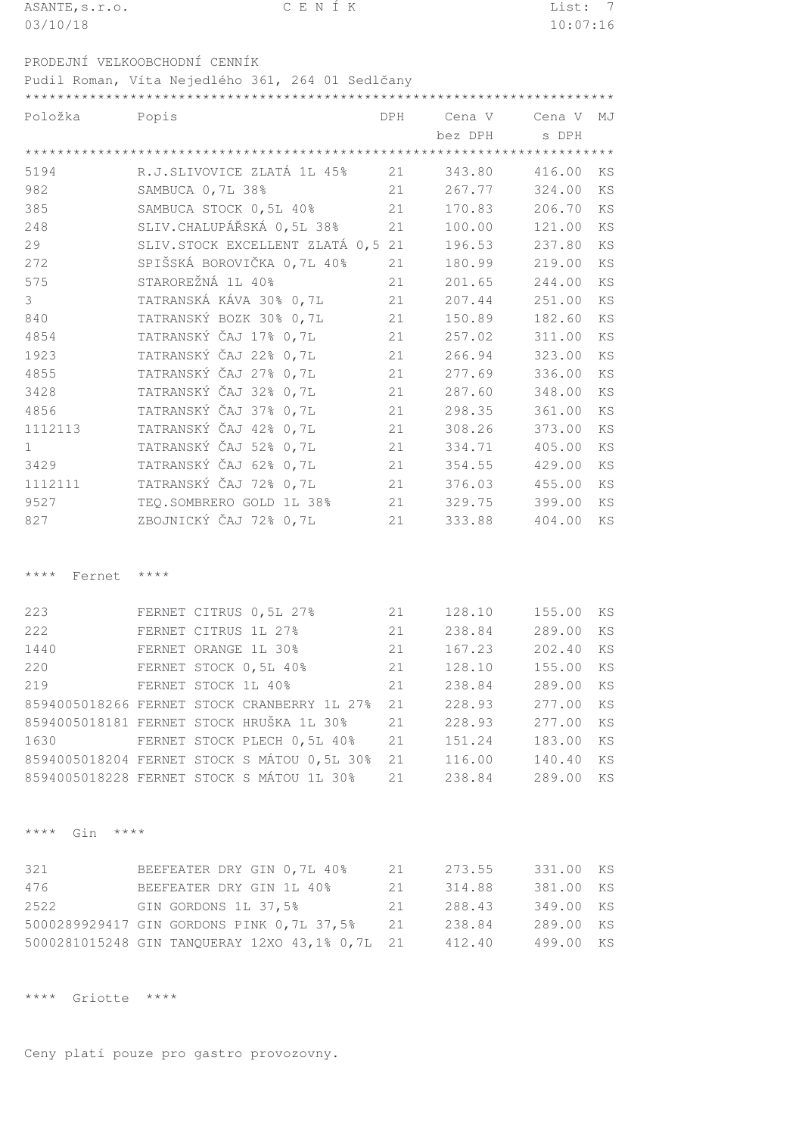| ASANTE, s.r.o.                       | CENÍK                                                             |            |                  | List: 7          |           |
|--------------------------------------|-------------------------------------------------------------------|------------|------------------|------------------|-----------|
| 03/10/18                             |                                                                   |            |                  | 10:07:16         |           |
|                                      |                                                                   |            |                  |                  |           |
|                                      | PRODEJNÍ VELKOOBCHODNÍ CENNÍK                                     |            |                  |                  |           |
|                                      | Pudil Roman, Víta Nejedlého 361, 264 01 Sedlčany                  |            |                  |                  |           |
|                                      |                                                                   |            |                  |                  |           |
| Položka                              | Popis                                                             | <b>DPH</b> | Cena V           | Cena V           | MJ        |
|                                      |                                                                   |            | bez DPH          | s DPH            |           |
| 5194                                 | R.J.SLIVOVICE ZLATÁ 1L 45%                                        | 21         | 343.80           | 416.00           | KS        |
| 982                                  | SAMBUCA 0, 7L 38%                                                 | 21         | 267.77           | 324.00           | KS        |
| 385                                  | SAMBUCA STOCK 0,5L 40%                                            | 21         | 170.83           | 206.70           | KS        |
| 248                                  | SLIV. CHALUPÁŘSKÁ 0,5L 38%                                        | 21         | 100.00           | 121.00           | KS        |
| 29                                   | SLIV. STOCK EXCELLENT ZLATÁ 0,5 21                                |            | 196.53           | 237.80           | KS        |
| 272                                  | SPIŠSKÁ BOROVIČKA 0,7L 40%                                        | 21         | 180.99           | 219.00           | <b>KS</b> |
| 575                                  | STAROREŽNÁ 1L 40%                                                 | 21         | 201.65           | 244.00           | <b>KS</b> |
| 3                                    | TATRANSKÁ KÁVA 30% 0,7L                                           | 21         | 207.44           | 251.00           | KS        |
| 840                                  | TATRANSKÝ BOZK 30% 0,7L                                           | 21         | 150.89           | 182.60           | KS        |
| 4854                                 | TATRANSKÝ ČAJ 17% 0,7L                                            | 21         | 257.02           | 311.00           | KS        |
| 1923                                 | TATRANSKÝ ČAJ 22% 0,7L                                            | 21         | 266.94           | 323.00           | KS        |
| 4855                                 | TATRANSKÝ ČAJ 27% 0,7L                                            | 21         | 277.69           | 336.00           | KS        |
| 3428                                 | TATRANSKÝ ČAJ 32% 0,7L                                            | 21         | 287.60           | 348.00           | KS        |
| 4856                                 | TATRANSKÝ ČAJ 37% 0,7L                                            | 21         | 298.35           | 361.00           | KS        |
| 1112113                              | TATRANSKÝ ČAJ 42% 0,7L                                            | 21         | 308.26           | 373.00           | KS        |
| $\mathbf{1}$                         | TATRANSKÝ ČAJ 52% 0,7L                                            | 21         | 334.71           | 405.00           | KS        |
| 3429                                 | TATRANSKÝ ČAJ 62% 0,7L                                            | 21         | 354.55           | 429.00           | KS        |
| 1112111                              | TATRANSKÝ ČAJ 72% 0,7L                                            | 21         | 376.03           | 455.00           | KS        |
| 9527                                 | TEQ.SOMBRERO GOLD 1L 38%                                          | 21         | 329.75           | 399.00           | KS        |
| 827                                  | ZBOJNICKÝ ČAJ 72% 0,7L                                            | 21         | 333.88           | 404.00           | KS        |
|                                      |                                                                   |            |                  |                  |           |
|                                      |                                                                   |            |                  |                  |           |
| $***$ * * *<br>Fernet                | $* * * * *$                                                       |            |                  |                  |           |
|                                      |                                                                   |            |                  |                  |           |
| 223                                  | FERNET CITRUS 0, 5L 27%                                           | 21         | 128.10           | 155.00           | ΚS        |
| 222                                  | FERNET CITRUS 1L 27%                                              | 21         | 238.84           | 289.00           | ΚS        |
| 1440                                 | FERNET ORANGE 1L 30%                                              | 21         | 167.23           | 202.40           | KS        |
| 220                                  | FERNET STOCK 0,5L 40%                                             | 21         | 128.10           | 155.00           | KS        |
| 219                                  | FERNET STOCK 1L 40%                                               | 21         | 238.84           | 289.00           | ΚS        |
|                                      | 8594005018266 FERNET STOCK CRANBERRY 1L 27%                       | 21         | 228.93           | 277.00           | ΚS        |
|                                      | 8594005018181 FERNET STOCK HRUŠKA 1L 30%                          | 21         | 228.93           | 277.00           | KS        |
| 1630                                 | FERNET STOCK PLECH 0,5L 40%                                       | 21         | 151.24           | 183.00           | ΚS        |
|                                      | 8594005018204 FERNET STOCK S MÁTOU 0,5L 30%                       | 21         | 116.00           | 140.40           | ΚS        |
|                                      | 8594005018228 FERNET STOCK S MÁTOU 1L 30%                         | 21         | 238.84           | 289.00           | KS        |
|                                      |                                                                   |            |                  |                  |           |
|                                      |                                                                   |            |                  |                  |           |
| $\star\star\star\star$<br>Gin $****$ |                                                                   |            |                  |                  |           |
|                                      |                                                                   |            |                  |                  |           |
| 321                                  | BEEFEATER DRY GIN 0,7L 40%                                        | 21         | 273.55           | 331.00           | KS        |
| 476<br>2522                          | BEEFEATER DRY GIN 1L 40%                                          | 21<br>21   | 314.88           | 381.00           | KS        |
|                                      | GIN GORDONS 1L 37,5%<br>5000289929417 GIN GORDONS PINK 0,7L 37,5% | 21         | 288.43<br>238.84 | 349.00<br>289.00 | ΚS<br>KS  |
|                                      | 5000281015248 GIN TANQUERAY 12XO 43,1% 0,7L                       | 21         | 412.40           | 499.00           | ΚS        |
|                                      |                                                                   |            |                  |                  |           |
|                                      |                                                                   |            |                  |                  |           |

\*\*\*\* Griotte \*\*\*\*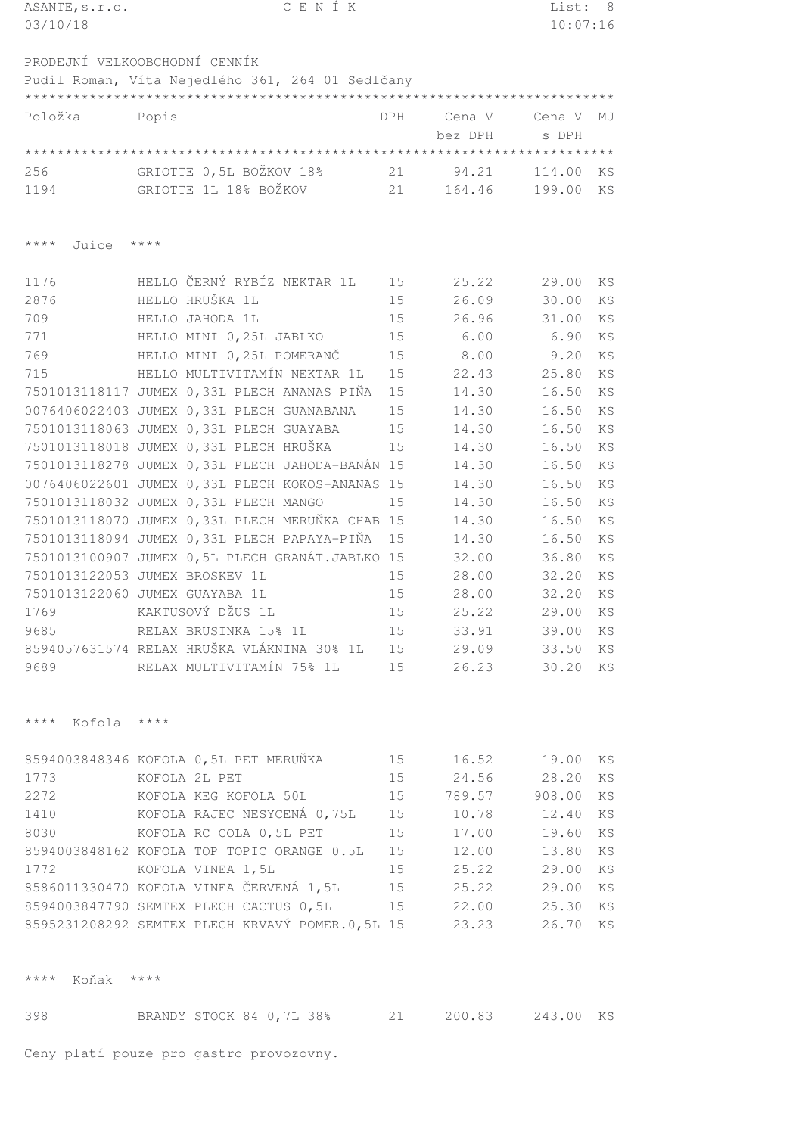| ASANTE, s.r.o.           | CENÍK                                            |            |               | List:    | - 8       |
|--------------------------|--------------------------------------------------|------------|---------------|----------|-----------|
| 03/10/18                 |                                                  |            |               | 10:07:16 |           |
|                          |                                                  |            |               |          |           |
|                          | PRODEJNÍ VELKOOBCHODNÍ CENNÍK                    |            |               |          |           |
|                          | Pudil Roman, Víta Nejedlého 361, 264 01 Sedlčany |            |               |          |           |
|                          |                                                  |            |               |          |           |
| Položka                  | Popis                                            | <b>DPH</b> | Cena V        | Cena V   | MJ        |
|                          |                                                  |            | bez DPH       | s DPH    |           |
|                          |                                                  |            |               |          |           |
| 256                      | GRIOTTE 0,5L BOŽKOV 18%                          | 21         | 94.21         | 114.00   |           |
|                          |                                                  |            |               |          | KS        |
| 1194                     | GRIOTTE 1L 18% BOŽKOV                            | 21         | 164.46        | 199.00   | ΚS        |
|                          |                                                  |            |               |          |           |
|                          |                                                  |            |               |          |           |
| $***$ * *<br>Juice       | $* * * * *$                                      |            |               |          |           |
|                          |                                                  |            |               |          |           |
| 1176                     | HELLO ČERNÝ RYBÍZ NEKTAR 1L                      | 15         | 25.22         | 29.00    | KS        |
| 2876                     | HELLO HRUŠKA 1L                                  | 15         | 26.09         | 30.00    | <b>KS</b> |
| 709                      | HELLO JAHODA 1L                                  | 15         | 26.96         | 31.00    | KS        |
| 771                      | HELLO MINI 0,25L JABLKO                          | 15         | 6.00          | 6.90     | KS        |
| 769                      | HELLO MINI 0,25L POMERANČ                        | 15         | 8.00          | 9.20     | KS        |
| 715                      | HELLO MULTIVITAMÍN NEKTAR 1L                     | 15         | 22.43         | 25.80    | KS        |
|                          | 7501013118117 JUMEX 0,33L PLECH ANANAS PIŇA      | 15         | 14.30         | 16.50    | KS        |
|                          | 0076406022403 JUMEX 0,33L PLECH GUANABANA        | 15         | 14.30         | 16.50    | KS        |
|                          | 7501013118063 JUMEX 0,33L PLECH GUAYABA          | 15         | 14.30         | 16.50    | KS        |
|                          | 7501013118018 JUMEX 0,33L PLECH HRUŠKA           | 15         | 14.30         | 16.50    | KS        |
|                          |                                                  |            |               |          |           |
|                          | 7501013118278 JUMEX 0,33L PLECH JAHODA-BANÁN 15  |            | 14.30         | 16.50    | KS        |
|                          | 0076406022601 JUMEX 0,33L PLECH KOKOS-ANANAS     | 15         | 14.30         | 16.50    | <b>KS</b> |
|                          | 7501013118032 JUMEX 0,33L PLECH MANGO            | 15         | 14.30         | 16.50    | <b>KS</b> |
|                          | 7501013118070 JUMEX 0,33L PLECH MERUŇKA CHAB 15  |            | 14.30         | 16.50    | KS        |
|                          | 7501013118094 JUMEX 0,33L PLECH PAPAYA-PIŇA      | 15         | 14.30         | 16.50    | KS        |
|                          | 7501013100907 JUMEX 0,5L PLECH GRANÁT.JABLKO 15  |            | 32.00         | 36.80    | KS        |
|                          | 7501013122053 JUMEX BROSKEV 1L                   | 15         | 28.00         | 32.20    | KS        |
|                          | 7501013122060 JUMEX GUAYABA 1L                   | 15         | 28.00         | 32.20    | KS        |
| 1769                     | KAKTUSOVÝ DŽUS 1L                                | 15         | 25.22         | 29.00    | KS.       |
| 9685                     | RELAX BRUSINKA 15% 1L                            | 15         | 33.91         | 39.00    | KS        |
|                          | 8594057631574 RELAX HRUŠKA VLÁKNINA 30% 1L 15    |            | 29.09         | 33.50    | KS        |
| 9689                     | RELAX MULTIVITAMÍN 75% 1L                        | 15         | 26.23         | 30.20    | KS        |
|                          |                                                  |            |               |          |           |
|                          |                                                  |            |               |          |           |
| $***$ $*$<br>Kofola **** |                                                  |            |               |          |           |
|                          |                                                  |            |               |          |           |
|                          |                                                  |            |               |          |           |
|                          | 8594003848346 KOFOLA 0,5L PET MERUŇKA            | 15         | 16.52 19.00   |          | KS        |
| 1773                     | KOFOLA 2L PET                                    | 15         | 24.56 28.20   |          | KS        |
|                          | 2272 KOFOLA KEG KOFOLA 50L                       | 15         | 789.57 908.00 |          | ΚS        |
| 1410                     | KOFOLA RAJEC NESYCENÁ 0,75L                      | 15         | 10.78         | 12.40    | ΚS        |
|                          | 8030 KOFOLA RC COLA 0,5L PET                     | 15         | 17.00         | 19.60    | ΚS        |
|                          | 8594003848162 KOFOLA TOP TOPIC ORANGE 0.5L       | 15         | 12.00         | 13.80    | KS        |
|                          | 1772 KOFOLA VINEA 1,5L                           | 15         | 25.22         | 29.00    | KS        |
|                          | 8586011330470 KOFOLA VINEA ČERVENÁ 1,5L          | 15         | 25.22         | 29.00    | KS        |
|                          | 8594003847790 SEMTEX PLECH CACTUS 0,5L           | 15         | 22.00         | 25.30    | KS        |
|                          | 8595231208292 SEMTEX PLECH KRVAVÝ POMER.0,5L 15  |            | 23.23         | 26.70    | KS        |
|                          |                                                  |            |               |          |           |
|                          |                                                  |            |               |          |           |
| Koňak ****<br>$***$ $*$  |                                                  |            |               |          |           |
|                          |                                                  |            |               |          |           |
|                          |                                                  |            |               |          |           |
| 398                      | BRANDY STOCK 84 0,7L 38%                         | 21         | 200.83        | 243.00   | KS        |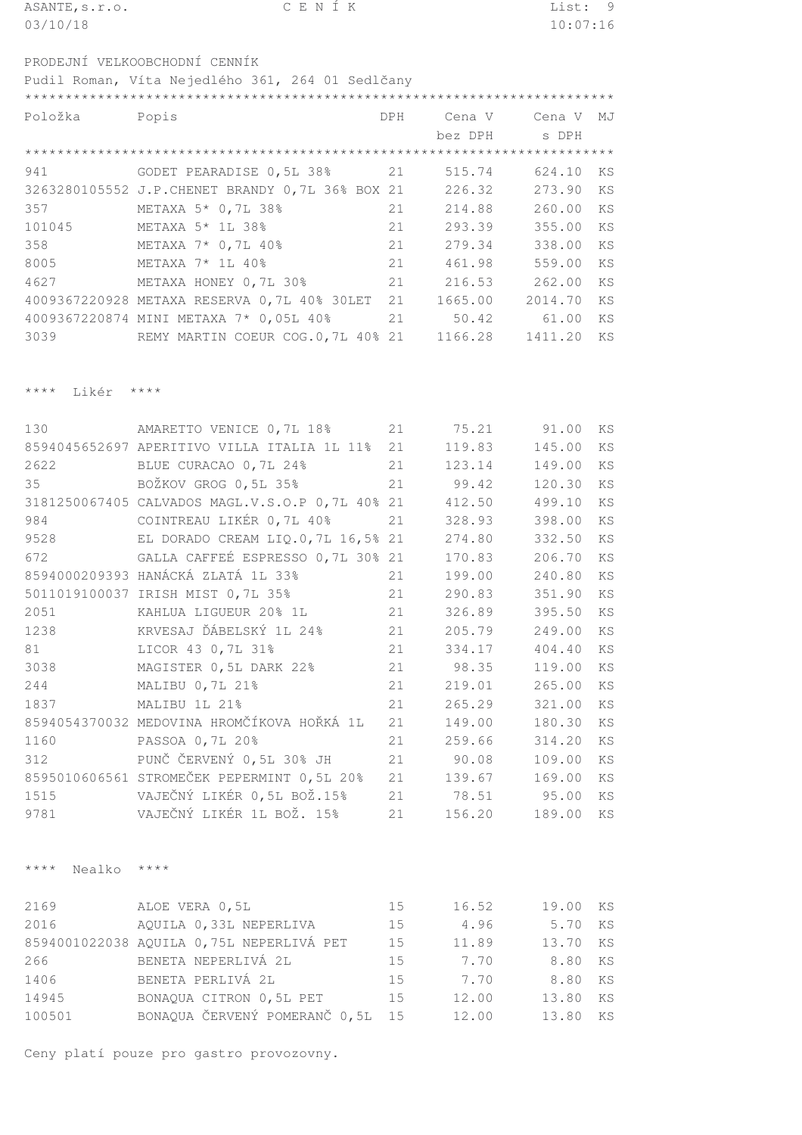| ASANTE, s.r.o. |                                                  | CENÍK |  |     |         | List: 9  |    |
|----------------|--------------------------------------------------|-------|--|-----|---------|----------|----|
| 03/10/18       |                                                  |       |  |     |         | 10:07:16 |    |
|                |                                                  |       |  |     |         |          |    |
|                | PRODEJNÍ VELKOOBCHODNÍ CENNÍK                    |       |  |     |         |          |    |
|                | Pudil Roman, Víta Nejedlého 361, 264 01 Sedlčany |       |  |     |         |          |    |
|                |                                                  |       |  |     |         |          |    |
| Položka        | Popis                                            |       |  | DPH | Cena V  | Cena V   | MJ |
|                |                                                  |       |  |     | bez DPH | s DPH    |    |
|                |                                                  |       |  |     |         |          |    |
| 941            | GODET PEARADISE 0,5L 38%                         |       |  | 21  | 515.74  | 624.10   | KS |
|                | 3263280105552 J.P.CHENET BRANDY 0,7L 36% BOX 21  |       |  |     | 226.32  | 273.90   | ΚS |

|        |                                                |     | 226.32  | 273.90 KS  |           |
|--------|------------------------------------------------|-----|---------|------------|-----------|
| 357    | METAXA 5* 0,7L 38%                             | 21  | 214.88  | 260.00 KS  |           |
| 101045 | METAXA 5* 1L 38%                               | 2.1 | 293.39  | 355.00 KS  |           |
| 358    | METAXA 7* 0,7L 40%<br>21                       |     | 279.34  | 338.00 KS  |           |
| 8005   | METAXA 7* 1L 40%                               | 21  | 461.98  | 559.00 KS  |           |
| 4627   | METAXA HONEY 0,7L 30%                          | 2.1 | 216.53  | 262.00 KS  |           |
|        | 4009367220928 METAXA RESERVA 0,7L 40% 30LET 21 |     | 1665.00 | 2014.70 KS |           |
|        | 4009367220874 MINI METAXA 7* 0,05L 40%         | 21  | 50.42   | 61.00      | <b>KS</b> |
| 3039   | REMY MARTIN COEUR COG.0,7L 40% 21              |     | 1166.28 | 1411.20 KS |           |
|        |                                                |     |         |            |           |

\*\*\*\* Likér \*\*\*\*

| 130  | AMARETTO VENICE 0,7L 18%                        | 21 | 75.21  | 91.00  | <b>KS</b> |
|------|-------------------------------------------------|----|--------|--------|-----------|
|      | 8594045652697 APERITIVO VILLA ITALIA 1L 11%     | 21 | 119.83 | 145.00 | <b>KS</b> |
| 2622 | BLUE CURACAO 0,7L 24%                           | 21 | 123.14 | 149.00 | KS        |
| 35   | BOŽKOV GROG 0,5L 35%                            | 21 | 99.42  | 120.30 | KS        |
|      | 3181250067405 CALVADOS MAGL.V.S.O.P 0,7L 40% 21 |    | 412.50 | 499.10 | KS        |
| 984  | COINTREAU LIKÉR 0,7L 40%                        | 21 | 328.93 | 398.00 | KS        |
| 9528 | EL DORADO CREAM LIQ.0,7L 16,5% 21               |    | 274.80 | 332.50 | KS        |
| 672  | GALLA CAFFEÉ ESPRESSO 0,7L 30% 21               |    | 170.83 | 206.70 | KS        |
|      | 8594000209393 HANÁCKÁ ZLATÁ 1L 33%              | 21 | 199.00 | 240.80 | KS        |
|      | 5011019100037 IRISH MIST 0,7L 35%               | 21 | 290.83 | 351.90 | KS        |
| 2051 | KAHLUA LIGUEUR 20% 1L                           | 21 | 326.89 | 395.50 | KS        |
| 1238 | KRVESAJ ĎÁBELSKÝ 1L 24%                         | 21 | 205.79 | 249.00 | KS        |
| 81   | LICOR 43 0, 7L 31%                              | 21 | 334.17 | 404.40 | KS        |
| 3038 | MAGISTER 0,5L DARK 22%                          | 21 | 98.35  | 119.00 | KS        |
| 244  | MALIBU 0, 7L 21%                                | 21 | 219.01 | 265.00 | KS        |
| 1837 | MALIBU 1L 21%                                   | 21 | 265.29 | 321.00 | KS        |
|      | 8594054370032 MEDOVINA HROMČÍKOVA HOŘKÁ 1L      | 21 | 149.00 | 180.30 | KS        |
| 1160 | PASSOA 0, 7L 20%                                | 21 | 259.66 | 314.20 | KS        |
| 312  | PUNČ ČERVENÝ 0,5L 30% JH                        | 21 | 90.08  | 109.00 | KS        |
|      | 8595010606561 STROMEČEK PEPERMINT 0,5L 20%      | 21 | 139.67 | 169.00 | KS        |
| 1515 | VAJEČNÝ LIKÉR 0,5L BOŽ.15%                      | 21 | 78.51  | 95.00  | KS        |
| 9781 | VAJEČNÝ LIKÉR 1L BOŽ. 15%                       | 21 | 156.20 | 189.00 | KS        |

\*\*\*\* Nealko \*\*\*\*

| 2169   | ALOE VERA 0,5L                           | 1.5 | 16.52 | 19.00 | KS |
|--------|------------------------------------------|-----|-------|-------|----|
| 2016   | AQUILA 0,33L NEPERLIVA                   | 15  | 4.96  | 5.70  | KS |
|        | 8594001022038 AQUILA 0,75L NEPERLIVÁ PET | 15  | 11.89 | 13.70 | KS |
| 266    | BENETA NEPERLIVÁ 2L                      | 1.5 | 7.70  | 8.80  | KS |
| 1406   | BENETA PERLIVÁ 2L                        | 1.5 | 7.70  | 8.80  | KS |
| 14945  | BONAQUA CITRON 0,5L PET                  | 15  | 12.00 | 13.80 | KS |
| 100501 | BONAQUA ČERVENÝ POMERANČ 0,5L 15         |     | 12.00 | 13.80 | KS |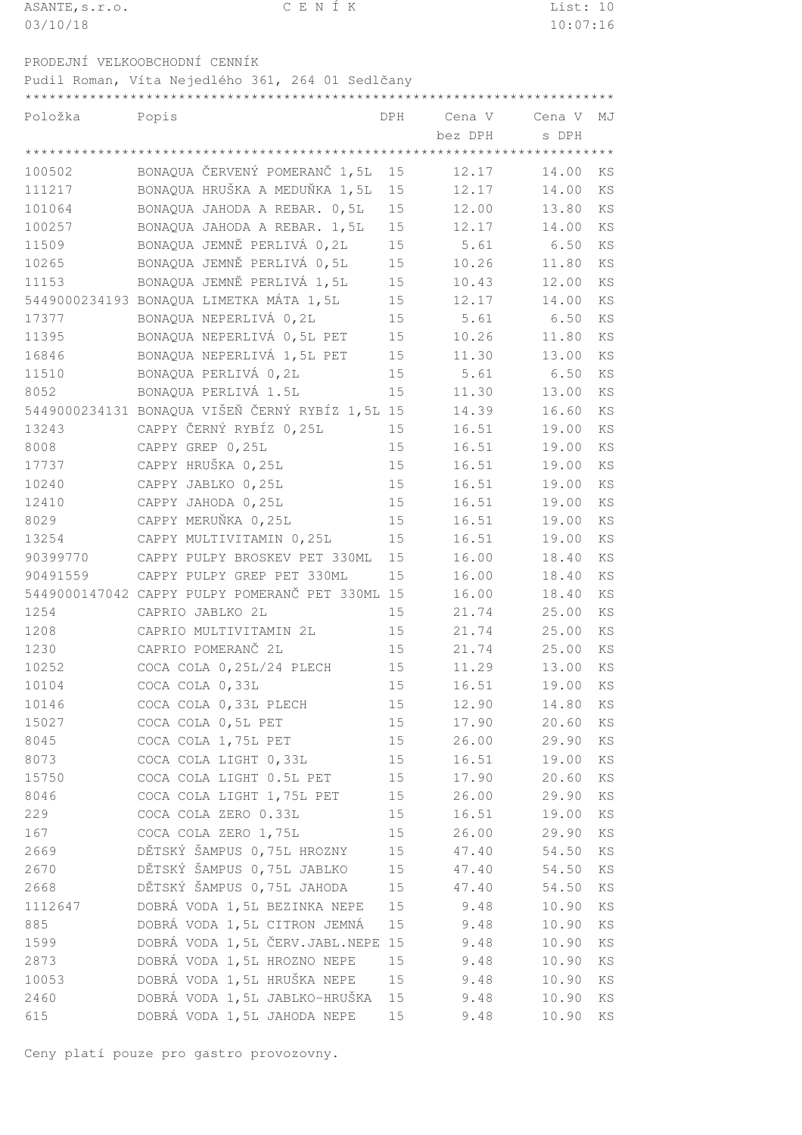| ASANTE, s.r.o. |                                                  | CENIK |     |        | List: 10 |     |
|----------------|--------------------------------------------------|-------|-----|--------|----------|-----|
| 03/10/18       |                                                  |       |     |        | 10:07:16 |     |
|                |                                                  |       |     |        |          |     |
|                | PRODEJNÍ VELKOOBCHODNÍ CENNÍK                    |       |     |        |          |     |
|                | Pudil Roman, Víta Nejedlého 361, 264 01 Sedlčany |       |     |        |          |     |
|                |                                                  |       |     |        |          |     |
| Položka        | Popis                                            |       | DPH | Cena V | Cena V   | M.T |
|                |                                                  |       |     |        |          |     |

| BONAQUA ČERVENÝ POMERANČ 1,5L<br>100502<br>15<br>12.17<br>14.00<br>ΚS<br>BONAQUA HRUŠKA A MEDUŇKA 1,5L<br>111217<br>12.17<br>15<br>14.00<br>KS<br>12.00<br>101064<br>BONAQUA JAHODA A REBAR. 0,5L<br>15<br>13.80<br>KS<br>100257<br>BONAQUA JAHODA A REBAR. 1,5L<br>15<br>12.17<br>14.00<br>KS<br>11509<br>BONAQUA JEMNĚ PERLIVÁ 0,2L<br>15<br>5.61<br>6.50<br>KS<br>10265<br>BONAQUA JEMNĚ PERLIVÁ 0,5L<br>15<br>10.26<br>11.80<br>KS<br>BONAQUA JEMNĚ PERLIVÁ 1,5L<br>11153<br>15<br>10.43<br>12.00<br>KS<br>5449000234193 BONAQUA LIMETKA MÁTA 1,5L<br>15<br>12.17<br>14.00<br>KS<br>BONAQUA NEPERLIVÁ 0,2L<br>17377<br>15<br>5.61<br>6.50<br>KS<br>BONAQUA NEPERLIVÁ 0,5L PET<br>11395<br>15<br>10.26<br>11.80<br>KS<br>BONAQUA NEPERLIVÁ 1,5L PET<br>16846<br>15<br>11.30<br>13.00<br>KS<br>11510<br>BONAQUA PERLIVÁ 0,2L<br>5.61<br>15<br>6.50<br>KS<br>8052<br>BONAQUA PERLIVÁ 1.5L<br>15<br>11.30<br>13.00<br>KS<br>5449000234131 BONAQUA VIŠEŇ ČERNÝ RYBÍZ 1,5L 15<br>16.60<br>14.39<br>KS<br>CAPPY ČERNÝ RYBÍZ 0,25L<br>13243<br>16.51<br>19.00<br>15<br>KS<br>8008<br>CAPPY GREP 0,25L<br>15<br>16.51<br>19.00<br>KS<br>CAPPY HRUŠKA 0,25L<br>17737<br>15<br>16.51<br>19.00<br>KS<br>10240<br>CAPPY JABLKO 0,25L<br>15<br>16.51<br>19.00<br>KS<br>12410<br>CAPPY JAHODA 0,25L<br>15<br>16.51<br>19.00<br>KS<br>CAPPY MERUŇKA 0,25L<br>8029<br>15<br>16.51<br>19.00<br>KS<br>13254<br>CAPPY MULTIVITAMIN 0,25L<br>15<br>16.51<br>19.00<br>KS<br>90399770<br>CAPPY PULPY BROSKEV PET 330ML<br>16.00<br>18.40<br>15<br>KS<br>90491559<br>CAPPY PULPY GREP PET 330ML<br>15<br>16.00<br>18.40<br>KS<br>5449000147042 CAPPY PULPY POMERANČ PET 330ML 15<br>16.00<br>18.40<br>KS<br>1254<br>CAPRIO JABLKO 2L<br>15<br>21.74<br>25.00<br>KS<br>1208<br>CAPRIO MULTIVITAMIN 2L<br>21.74<br>25.00<br>15<br>KS<br>1230<br>CAPRIO POMERANČ 2L<br>21.74<br>15<br>25.00<br>KS<br>10252<br>COCA COLA 0, 25L/24 PLECH<br>15<br>11.29<br>13.00<br>KS<br>10104<br>COCA COLA 0,33L<br>16.51<br>15<br>19.00<br>KS<br>10146<br>COCA COLA 0,33L PLECH<br>15<br>12.90<br>14.80<br>KS<br>15027<br>COCA COLA 0,5L PET<br>15<br>17.90<br>20.60<br>KS<br>COCA COLA 1,75L PET<br>26.00<br>8045<br>15<br>29.90<br>ΚS<br>8073<br>COCA COLA LIGHT 0,33L<br>16.51<br>15<br>19.00<br>KS<br>15750<br>COCA COLA LIGHT 0.5L PET<br>17.90<br>15<br>20.60<br>ΚS<br>8046<br>COCA COLA LIGHT 1,75L PET<br>26.00<br>29.90<br>15<br>KS<br>229<br>COCA COLA ZERO 0.33L<br>16.51<br>15<br>19.00<br>KS<br>167<br>COCA COLA ZERO 1,75L<br>26.00<br>15<br>29.90<br>ΚS<br>DĚTSKÝ ŠAMPUS 0,75L HROZNY<br>2669<br>15<br>47.40<br>54.50<br>ΚS<br>DĚTSKÝ ŠAMPUS 0,75L JABLKO<br>2670<br>15<br>47.40<br>54.50<br>ΚS<br>DĚTSKÝ ŠAMPUS 0,75L JAHODA<br>2668<br>15<br>54.50<br>47.40<br>ΚS<br>DOBRÁ VODA 1,5L BEZINKA NEPE<br>1112647<br>9.48<br>15<br>10.90<br>ΚS<br>DOBRÁ VODA 1,5L CITRON JEMNÁ<br>885<br>15<br>9.48<br>KS<br>10.90<br>DOBRÁ VODA 1,5L ČERV.JABL.NEPE 15<br>1599<br>9.48<br>10.90<br>ΚS<br>DOBRÁ VODA 1,5L HROZNO NEPE<br>15<br>2873<br>9.48<br>10.90<br>ΚS<br>DOBRÁ VODA 1,5L HRUŠKA NEPE<br>10053<br>15<br>9.48<br>10.90<br>ΚS<br>DOBRÁ VODA 1,5L JABLKO-HRUŠKA<br>2460<br>15<br>9.48<br>10.90<br>ΚS<br>DOBRÁ VODA 1,5L JAHODA NEPE<br>615<br>15<br>9.48<br>10.90<br>ΚS |  | bez DPH | s DPH |  |
|-------------------------------------------------------------------------------------------------------------------------------------------------------------------------------------------------------------------------------------------------------------------------------------------------------------------------------------------------------------------------------------------------------------------------------------------------------------------------------------------------------------------------------------------------------------------------------------------------------------------------------------------------------------------------------------------------------------------------------------------------------------------------------------------------------------------------------------------------------------------------------------------------------------------------------------------------------------------------------------------------------------------------------------------------------------------------------------------------------------------------------------------------------------------------------------------------------------------------------------------------------------------------------------------------------------------------------------------------------------------------------------------------------------------------------------------------------------------------------------------------------------------------------------------------------------------------------------------------------------------------------------------------------------------------------------------------------------------------------------------------------------------------------------------------------------------------------------------------------------------------------------------------------------------------------------------------------------------------------------------------------------------------------------------------------------------------------------------------------------------------------------------------------------------------------------------------------------------------------------------------------------------------------------------------------------------------------------------------------------------------------------------------------------------------------------------------------------------------------------------------------------------------------------------------------------------------------------------------------------------------------------------------------------------------------------------------------------------------------------------------------------------------------------------------------------------------------------------------------------------------------------------------------------------------------------------------------------------------------------------------------------------------------------------------------------------------------------------------------------------------------------------------------------------------------------------------------------------------------------------------|--|---------|-------|--|
|                                                                                                                                                                                                                                                                                                                                                                                                                                                                                                                                                                                                                                                                                                                                                                                                                                                                                                                                                                                                                                                                                                                                                                                                                                                                                                                                                                                                                                                                                                                                                                                                                                                                                                                                                                                                                                                                                                                                                                                                                                                                                                                                                                                                                                                                                                                                                                                                                                                                                                                                                                                                                                                                                                                                                                                                                                                                                                                                                                                                                                                                                                                                                                                                                                                 |  |         |       |  |
|                                                                                                                                                                                                                                                                                                                                                                                                                                                                                                                                                                                                                                                                                                                                                                                                                                                                                                                                                                                                                                                                                                                                                                                                                                                                                                                                                                                                                                                                                                                                                                                                                                                                                                                                                                                                                                                                                                                                                                                                                                                                                                                                                                                                                                                                                                                                                                                                                                                                                                                                                                                                                                                                                                                                                                                                                                                                                                                                                                                                                                                                                                                                                                                                                                                 |  |         |       |  |
|                                                                                                                                                                                                                                                                                                                                                                                                                                                                                                                                                                                                                                                                                                                                                                                                                                                                                                                                                                                                                                                                                                                                                                                                                                                                                                                                                                                                                                                                                                                                                                                                                                                                                                                                                                                                                                                                                                                                                                                                                                                                                                                                                                                                                                                                                                                                                                                                                                                                                                                                                                                                                                                                                                                                                                                                                                                                                                                                                                                                                                                                                                                                                                                                                                                 |  |         |       |  |
|                                                                                                                                                                                                                                                                                                                                                                                                                                                                                                                                                                                                                                                                                                                                                                                                                                                                                                                                                                                                                                                                                                                                                                                                                                                                                                                                                                                                                                                                                                                                                                                                                                                                                                                                                                                                                                                                                                                                                                                                                                                                                                                                                                                                                                                                                                                                                                                                                                                                                                                                                                                                                                                                                                                                                                                                                                                                                                                                                                                                                                                                                                                                                                                                                                                 |  |         |       |  |
|                                                                                                                                                                                                                                                                                                                                                                                                                                                                                                                                                                                                                                                                                                                                                                                                                                                                                                                                                                                                                                                                                                                                                                                                                                                                                                                                                                                                                                                                                                                                                                                                                                                                                                                                                                                                                                                                                                                                                                                                                                                                                                                                                                                                                                                                                                                                                                                                                                                                                                                                                                                                                                                                                                                                                                                                                                                                                                                                                                                                                                                                                                                                                                                                                                                 |  |         |       |  |
|                                                                                                                                                                                                                                                                                                                                                                                                                                                                                                                                                                                                                                                                                                                                                                                                                                                                                                                                                                                                                                                                                                                                                                                                                                                                                                                                                                                                                                                                                                                                                                                                                                                                                                                                                                                                                                                                                                                                                                                                                                                                                                                                                                                                                                                                                                                                                                                                                                                                                                                                                                                                                                                                                                                                                                                                                                                                                                                                                                                                                                                                                                                                                                                                                                                 |  |         |       |  |
|                                                                                                                                                                                                                                                                                                                                                                                                                                                                                                                                                                                                                                                                                                                                                                                                                                                                                                                                                                                                                                                                                                                                                                                                                                                                                                                                                                                                                                                                                                                                                                                                                                                                                                                                                                                                                                                                                                                                                                                                                                                                                                                                                                                                                                                                                                                                                                                                                                                                                                                                                                                                                                                                                                                                                                                                                                                                                                                                                                                                                                                                                                                                                                                                                                                 |  |         |       |  |
|                                                                                                                                                                                                                                                                                                                                                                                                                                                                                                                                                                                                                                                                                                                                                                                                                                                                                                                                                                                                                                                                                                                                                                                                                                                                                                                                                                                                                                                                                                                                                                                                                                                                                                                                                                                                                                                                                                                                                                                                                                                                                                                                                                                                                                                                                                                                                                                                                                                                                                                                                                                                                                                                                                                                                                                                                                                                                                                                                                                                                                                                                                                                                                                                                                                 |  |         |       |  |
|                                                                                                                                                                                                                                                                                                                                                                                                                                                                                                                                                                                                                                                                                                                                                                                                                                                                                                                                                                                                                                                                                                                                                                                                                                                                                                                                                                                                                                                                                                                                                                                                                                                                                                                                                                                                                                                                                                                                                                                                                                                                                                                                                                                                                                                                                                                                                                                                                                                                                                                                                                                                                                                                                                                                                                                                                                                                                                                                                                                                                                                                                                                                                                                                                                                 |  |         |       |  |
|                                                                                                                                                                                                                                                                                                                                                                                                                                                                                                                                                                                                                                                                                                                                                                                                                                                                                                                                                                                                                                                                                                                                                                                                                                                                                                                                                                                                                                                                                                                                                                                                                                                                                                                                                                                                                                                                                                                                                                                                                                                                                                                                                                                                                                                                                                                                                                                                                                                                                                                                                                                                                                                                                                                                                                                                                                                                                                                                                                                                                                                                                                                                                                                                                                                 |  |         |       |  |
|                                                                                                                                                                                                                                                                                                                                                                                                                                                                                                                                                                                                                                                                                                                                                                                                                                                                                                                                                                                                                                                                                                                                                                                                                                                                                                                                                                                                                                                                                                                                                                                                                                                                                                                                                                                                                                                                                                                                                                                                                                                                                                                                                                                                                                                                                                                                                                                                                                                                                                                                                                                                                                                                                                                                                                                                                                                                                                                                                                                                                                                                                                                                                                                                                                                 |  |         |       |  |
|                                                                                                                                                                                                                                                                                                                                                                                                                                                                                                                                                                                                                                                                                                                                                                                                                                                                                                                                                                                                                                                                                                                                                                                                                                                                                                                                                                                                                                                                                                                                                                                                                                                                                                                                                                                                                                                                                                                                                                                                                                                                                                                                                                                                                                                                                                                                                                                                                                                                                                                                                                                                                                                                                                                                                                                                                                                                                                                                                                                                                                                                                                                                                                                                                                                 |  |         |       |  |
|                                                                                                                                                                                                                                                                                                                                                                                                                                                                                                                                                                                                                                                                                                                                                                                                                                                                                                                                                                                                                                                                                                                                                                                                                                                                                                                                                                                                                                                                                                                                                                                                                                                                                                                                                                                                                                                                                                                                                                                                                                                                                                                                                                                                                                                                                                                                                                                                                                                                                                                                                                                                                                                                                                                                                                                                                                                                                                                                                                                                                                                                                                                                                                                                                                                 |  |         |       |  |
|                                                                                                                                                                                                                                                                                                                                                                                                                                                                                                                                                                                                                                                                                                                                                                                                                                                                                                                                                                                                                                                                                                                                                                                                                                                                                                                                                                                                                                                                                                                                                                                                                                                                                                                                                                                                                                                                                                                                                                                                                                                                                                                                                                                                                                                                                                                                                                                                                                                                                                                                                                                                                                                                                                                                                                                                                                                                                                                                                                                                                                                                                                                                                                                                                                                 |  |         |       |  |
|                                                                                                                                                                                                                                                                                                                                                                                                                                                                                                                                                                                                                                                                                                                                                                                                                                                                                                                                                                                                                                                                                                                                                                                                                                                                                                                                                                                                                                                                                                                                                                                                                                                                                                                                                                                                                                                                                                                                                                                                                                                                                                                                                                                                                                                                                                                                                                                                                                                                                                                                                                                                                                                                                                                                                                                                                                                                                                                                                                                                                                                                                                                                                                                                                                                 |  |         |       |  |
|                                                                                                                                                                                                                                                                                                                                                                                                                                                                                                                                                                                                                                                                                                                                                                                                                                                                                                                                                                                                                                                                                                                                                                                                                                                                                                                                                                                                                                                                                                                                                                                                                                                                                                                                                                                                                                                                                                                                                                                                                                                                                                                                                                                                                                                                                                                                                                                                                                                                                                                                                                                                                                                                                                                                                                                                                                                                                                                                                                                                                                                                                                                                                                                                                                                 |  |         |       |  |
|                                                                                                                                                                                                                                                                                                                                                                                                                                                                                                                                                                                                                                                                                                                                                                                                                                                                                                                                                                                                                                                                                                                                                                                                                                                                                                                                                                                                                                                                                                                                                                                                                                                                                                                                                                                                                                                                                                                                                                                                                                                                                                                                                                                                                                                                                                                                                                                                                                                                                                                                                                                                                                                                                                                                                                                                                                                                                                                                                                                                                                                                                                                                                                                                                                                 |  |         |       |  |
|                                                                                                                                                                                                                                                                                                                                                                                                                                                                                                                                                                                                                                                                                                                                                                                                                                                                                                                                                                                                                                                                                                                                                                                                                                                                                                                                                                                                                                                                                                                                                                                                                                                                                                                                                                                                                                                                                                                                                                                                                                                                                                                                                                                                                                                                                                                                                                                                                                                                                                                                                                                                                                                                                                                                                                                                                                                                                                                                                                                                                                                                                                                                                                                                                                                 |  |         |       |  |
|                                                                                                                                                                                                                                                                                                                                                                                                                                                                                                                                                                                                                                                                                                                                                                                                                                                                                                                                                                                                                                                                                                                                                                                                                                                                                                                                                                                                                                                                                                                                                                                                                                                                                                                                                                                                                                                                                                                                                                                                                                                                                                                                                                                                                                                                                                                                                                                                                                                                                                                                                                                                                                                                                                                                                                                                                                                                                                                                                                                                                                                                                                                                                                                                                                                 |  |         |       |  |
|                                                                                                                                                                                                                                                                                                                                                                                                                                                                                                                                                                                                                                                                                                                                                                                                                                                                                                                                                                                                                                                                                                                                                                                                                                                                                                                                                                                                                                                                                                                                                                                                                                                                                                                                                                                                                                                                                                                                                                                                                                                                                                                                                                                                                                                                                                                                                                                                                                                                                                                                                                                                                                                                                                                                                                                                                                                                                                                                                                                                                                                                                                                                                                                                                                                 |  |         |       |  |
|                                                                                                                                                                                                                                                                                                                                                                                                                                                                                                                                                                                                                                                                                                                                                                                                                                                                                                                                                                                                                                                                                                                                                                                                                                                                                                                                                                                                                                                                                                                                                                                                                                                                                                                                                                                                                                                                                                                                                                                                                                                                                                                                                                                                                                                                                                                                                                                                                                                                                                                                                                                                                                                                                                                                                                                                                                                                                                                                                                                                                                                                                                                                                                                                                                                 |  |         |       |  |
|                                                                                                                                                                                                                                                                                                                                                                                                                                                                                                                                                                                                                                                                                                                                                                                                                                                                                                                                                                                                                                                                                                                                                                                                                                                                                                                                                                                                                                                                                                                                                                                                                                                                                                                                                                                                                                                                                                                                                                                                                                                                                                                                                                                                                                                                                                                                                                                                                                                                                                                                                                                                                                                                                                                                                                                                                                                                                                                                                                                                                                                                                                                                                                                                                                                 |  |         |       |  |
|                                                                                                                                                                                                                                                                                                                                                                                                                                                                                                                                                                                                                                                                                                                                                                                                                                                                                                                                                                                                                                                                                                                                                                                                                                                                                                                                                                                                                                                                                                                                                                                                                                                                                                                                                                                                                                                                                                                                                                                                                                                                                                                                                                                                                                                                                                                                                                                                                                                                                                                                                                                                                                                                                                                                                                                                                                                                                                                                                                                                                                                                                                                                                                                                                                                 |  |         |       |  |
|                                                                                                                                                                                                                                                                                                                                                                                                                                                                                                                                                                                                                                                                                                                                                                                                                                                                                                                                                                                                                                                                                                                                                                                                                                                                                                                                                                                                                                                                                                                                                                                                                                                                                                                                                                                                                                                                                                                                                                                                                                                                                                                                                                                                                                                                                                                                                                                                                                                                                                                                                                                                                                                                                                                                                                                                                                                                                                                                                                                                                                                                                                                                                                                                                                                 |  |         |       |  |
|                                                                                                                                                                                                                                                                                                                                                                                                                                                                                                                                                                                                                                                                                                                                                                                                                                                                                                                                                                                                                                                                                                                                                                                                                                                                                                                                                                                                                                                                                                                                                                                                                                                                                                                                                                                                                                                                                                                                                                                                                                                                                                                                                                                                                                                                                                                                                                                                                                                                                                                                                                                                                                                                                                                                                                                                                                                                                                                                                                                                                                                                                                                                                                                                                                                 |  |         |       |  |
|                                                                                                                                                                                                                                                                                                                                                                                                                                                                                                                                                                                                                                                                                                                                                                                                                                                                                                                                                                                                                                                                                                                                                                                                                                                                                                                                                                                                                                                                                                                                                                                                                                                                                                                                                                                                                                                                                                                                                                                                                                                                                                                                                                                                                                                                                                                                                                                                                                                                                                                                                                                                                                                                                                                                                                                                                                                                                                                                                                                                                                                                                                                                                                                                                                                 |  |         |       |  |
|                                                                                                                                                                                                                                                                                                                                                                                                                                                                                                                                                                                                                                                                                                                                                                                                                                                                                                                                                                                                                                                                                                                                                                                                                                                                                                                                                                                                                                                                                                                                                                                                                                                                                                                                                                                                                                                                                                                                                                                                                                                                                                                                                                                                                                                                                                                                                                                                                                                                                                                                                                                                                                                                                                                                                                                                                                                                                                                                                                                                                                                                                                                                                                                                                                                 |  |         |       |  |
|                                                                                                                                                                                                                                                                                                                                                                                                                                                                                                                                                                                                                                                                                                                                                                                                                                                                                                                                                                                                                                                                                                                                                                                                                                                                                                                                                                                                                                                                                                                                                                                                                                                                                                                                                                                                                                                                                                                                                                                                                                                                                                                                                                                                                                                                                                                                                                                                                                                                                                                                                                                                                                                                                                                                                                                                                                                                                                                                                                                                                                                                                                                                                                                                                                                 |  |         |       |  |
|                                                                                                                                                                                                                                                                                                                                                                                                                                                                                                                                                                                                                                                                                                                                                                                                                                                                                                                                                                                                                                                                                                                                                                                                                                                                                                                                                                                                                                                                                                                                                                                                                                                                                                                                                                                                                                                                                                                                                                                                                                                                                                                                                                                                                                                                                                                                                                                                                                                                                                                                                                                                                                                                                                                                                                                                                                                                                                                                                                                                                                                                                                                                                                                                                                                 |  |         |       |  |
|                                                                                                                                                                                                                                                                                                                                                                                                                                                                                                                                                                                                                                                                                                                                                                                                                                                                                                                                                                                                                                                                                                                                                                                                                                                                                                                                                                                                                                                                                                                                                                                                                                                                                                                                                                                                                                                                                                                                                                                                                                                                                                                                                                                                                                                                                                                                                                                                                                                                                                                                                                                                                                                                                                                                                                                                                                                                                                                                                                                                                                                                                                                                                                                                                                                 |  |         |       |  |
|                                                                                                                                                                                                                                                                                                                                                                                                                                                                                                                                                                                                                                                                                                                                                                                                                                                                                                                                                                                                                                                                                                                                                                                                                                                                                                                                                                                                                                                                                                                                                                                                                                                                                                                                                                                                                                                                                                                                                                                                                                                                                                                                                                                                                                                                                                                                                                                                                                                                                                                                                                                                                                                                                                                                                                                                                                                                                                                                                                                                                                                                                                                                                                                                                                                 |  |         |       |  |
|                                                                                                                                                                                                                                                                                                                                                                                                                                                                                                                                                                                                                                                                                                                                                                                                                                                                                                                                                                                                                                                                                                                                                                                                                                                                                                                                                                                                                                                                                                                                                                                                                                                                                                                                                                                                                                                                                                                                                                                                                                                                                                                                                                                                                                                                                                                                                                                                                                                                                                                                                                                                                                                                                                                                                                                                                                                                                                                                                                                                                                                                                                                                                                                                                                                 |  |         |       |  |
|                                                                                                                                                                                                                                                                                                                                                                                                                                                                                                                                                                                                                                                                                                                                                                                                                                                                                                                                                                                                                                                                                                                                                                                                                                                                                                                                                                                                                                                                                                                                                                                                                                                                                                                                                                                                                                                                                                                                                                                                                                                                                                                                                                                                                                                                                                                                                                                                                                                                                                                                                                                                                                                                                                                                                                                                                                                                                                                                                                                                                                                                                                                                                                                                                                                 |  |         |       |  |
|                                                                                                                                                                                                                                                                                                                                                                                                                                                                                                                                                                                                                                                                                                                                                                                                                                                                                                                                                                                                                                                                                                                                                                                                                                                                                                                                                                                                                                                                                                                                                                                                                                                                                                                                                                                                                                                                                                                                                                                                                                                                                                                                                                                                                                                                                                                                                                                                                                                                                                                                                                                                                                                                                                                                                                                                                                                                                                                                                                                                                                                                                                                                                                                                                                                 |  |         |       |  |
|                                                                                                                                                                                                                                                                                                                                                                                                                                                                                                                                                                                                                                                                                                                                                                                                                                                                                                                                                                                                                                                                                                                                                                                                                                                                                                                                                                                                                                                                                                                                                                                                                                                                                                                                                                                                                                                                                                                                                                                                                                                                                                                                                                                                                                                                                                                                                                                                                                                                                                                                                                                                                                                                                                                                                                                                                                                                                                                                                                                                                                                                                                                                                                                                                                                 |  |         |       |  |
|                                                                                                                                                                                                                                                                                                                                                                                                                                                                                                                                                                                                                                                                                                                                                                                                                                                                                                                                                                                                                                                                                                                                                                                                                                                                                                                                                                                                                                                                                                                                                                                                                                                                                                                                                                                                                                                                                                                                                                                                                                                                                                                                                                                                                                                                                                                                                                                                                                                                                                                                                                                                                                                                                                                                                                                                                                                                                                                                                                                                                                                                                                                                                                                                                                                 |  |         |       |  |
|                                                                                                                                                                                                                                                                                                                                                                                                                                                                                                                                                                                                                                                                                                                                                                                                                                                                                                                                                                                                                                                                                                                                                                                                                                                                                                                                                                                                                                                                                                                                                                                                                                                                                                                                                                                                                                                                                                                                                                                                                                                                                                                                                                                                                                                                                                                                                                                                                                                                                                                                                                                                                                                                                                                                                                                                                                                                                                                                                                                                                                                                                                                                                                                                                                                 |  |         |       |  |
|                                                                                                                                                                                                                                                                                                                                                                                                                                                                                                                                                                                                                                                                                                                                                                                                                                                                                                                                                                                                                                                                                                                                                                                                                                                                                                                                                                                                                                                                                                                                                                                                                                                                                                                                                                                                                                                                                                                                                                                                                                                                                                                                                                                                                                                                                                                                                                                                                                                                                                                                                                                                                                                                                                                                                                                                                                                                                                                                                                                                                                                                                                                                                                                                                                                 |  |         |       |  |
|                                                                                                                                                                                                                                                                                                                                                                                                                                                                                                                                                                                                                                                                                                                                                                                                                                                                                                                                                                                                                                                                                                                                                                                                                                                                                                                                                                                                                                                                                                                                                                                                                                                                                                                                                                                                                                                                                                                                                                                                                                                                                                                                                                                                                                                                                                                                                                                                                                                                                                                                                                                                                                                                                                                                                                                                                                                                                                                                                                                                                                                                                                                                                                                                                                                 |  |         |       |  |
|                                                                                                                                                                                                                                                                                                                                                                                                                                                                                                                                                                                                                                                                                                                                                                                                                                                                                                                                                                                                                                                                                                                                                                                                                                                                                                                                                                                                                                                                                                                                                                                                                                                                                                                                                                                                                                                                                                                                                                                                                                                                                                                                                                                                                                                                                                                                                                                                                                                                                                                                                                                                                                                                                                                                                                                                                                                                                                                                                                                                                                                                                                                                                                                                                                                 |  |         |       |  |
|                                                                                                                                                                                                                                                                                                                                                                                                                                                                                                                                                                                                                                                                                                                                                                                                                                                                                                                                                                                                                                                                                                                                                                                                                                                                                                                                                                                                                                                                                                                                                                                                                                                                                                                                                                                                                                                                                                                                                                                                                                                                                                                                                                                                                                                                                                                                                                                                                                                                                                                                                                                                                                                                                                                                                                                                                                                                                                                                                                                                                                                                                                                                                                                                                                                 |  |         |       |  |
|                                                                                                                                                                                                                                                                                                                                                                                                                                                                                                                                                                                                                                                                                                                                                                                                                                                                                                                                                                                                                                                                                                                                                                                                                                                                                                                                                                                                                                                                                                                                                                                                                                                                                                                                                                                                                                                                                                                                                                                                                                                                                                                                                                                                                                                                                                                                                                                                                                                                                                                                                                                                                                                                                                                                                                                                                                                                                                                                                                                                                                                                                                                                                                                                                                                 |  |         |       |  |
|                                                                                                                                                                                                                                                                                                                                                                                                                                                                                                                                                                                                                                                                                                                                                                                                                                                                                                                                                                                                                                                                                                                                                                                                                                                                                                                                                                                                                                                                                                                                                                                                                                                                                                                                                                                                                                                                                                                                                                                                                                                                                                                                                                                                                                                                                                                                                                                                                                                                                                                                                                                                                                                                                                                                                                                                                                                                                                                                                                                                                                                                                                                                                                                                                                                 |  |         |       |  |
|                                                                                                                                                                                                                                                                                                                                                                                                                                                                                                                                                                                                                                                                                                                                                                                                                                                                                                                                                                                                                                                                                                                                                                                                                                                                                                                                                                                                                                                                                                                                                                                                                                                                                                                                                                                                                                                                                                                                                                                                                                                                                                                                                                                                                                                                                                                                                                                                                                                                                                                                                                                                                                                                                                                                                                                                                                                                                                                                                                                                                                                                                                                                                                                                                                                 |  |         |       |  |
|                                                                                                                                                                                                                                                                                                                                                                                                                                                                                                                                                                                                                                                                                                                                                                                                                                                                                                                                                                                                                                                                                                                                                                                                                                                                                                                                                                                                                                                                                                                                                                                                                                                                                                                                                                                                                                                                                                                                                                                                                                                                                                                                                                                                                                                                                                                                                                                                                                                                                                                                                                                                                                                                                                                                                                                                                                                                                                                                                                                                                                                                                                                                                                                                                                                 |  |         |       |  |
|                                                                                                                                                                                                                                                                                                                                                                                                                                                                                                                                                                                                                                                                                                                                                                                                                                                                                                                                                                                                                                                                                                                                                                                                                                                                                                                                                                                                                                                                                                                                                                                                                                                                                                                                                                                                                                                                                                                                                                                                                                                                                                                                                                                                                                                                                                                                                                                                                                                                                                                                                                                                                                                                                                                                                                                                                                                                                                                                                                                                                                                                                                                                                                                                                                                 |  |         |       |  |
|                                                                                                                                                                                                                                                                                                                                                                                                                                                                                                                                                                                                                                                                                                                                                                                                                                                                                                                                                                                                                                                                                                                                                                                                                                                                                                                                                                                                                                                                                                                                                                                                                                                                                                                                                                                                                                                                                                                                                                                                                                                                                                                                                                                                                                                                                                                                                                                                                                                                                                                                                                                                                                                                                                                                                                                                                                                                                                                                                                                                                                                                                                                                                                                                                                                 |  |         |       |  |
|                                                                                                                                                                                                                                                                                                                                                                                                                                                                                                                                                                                                                                                                                                                                                                                                                                                                                                                                                                                                                                                                                                                                                                                                                                                                                                                                                                                                                                                                                                                                                                                                                                                                                                                                                                                                                                                                                                                                                                                                                                                                                                                                                                                                                                                                                                                                                                                                                                                                                                                                                                                                                                                                                                                                                                                                                                                                                                                                                                                                                                                                                                                                                                                                                                                 |  |         |       |  |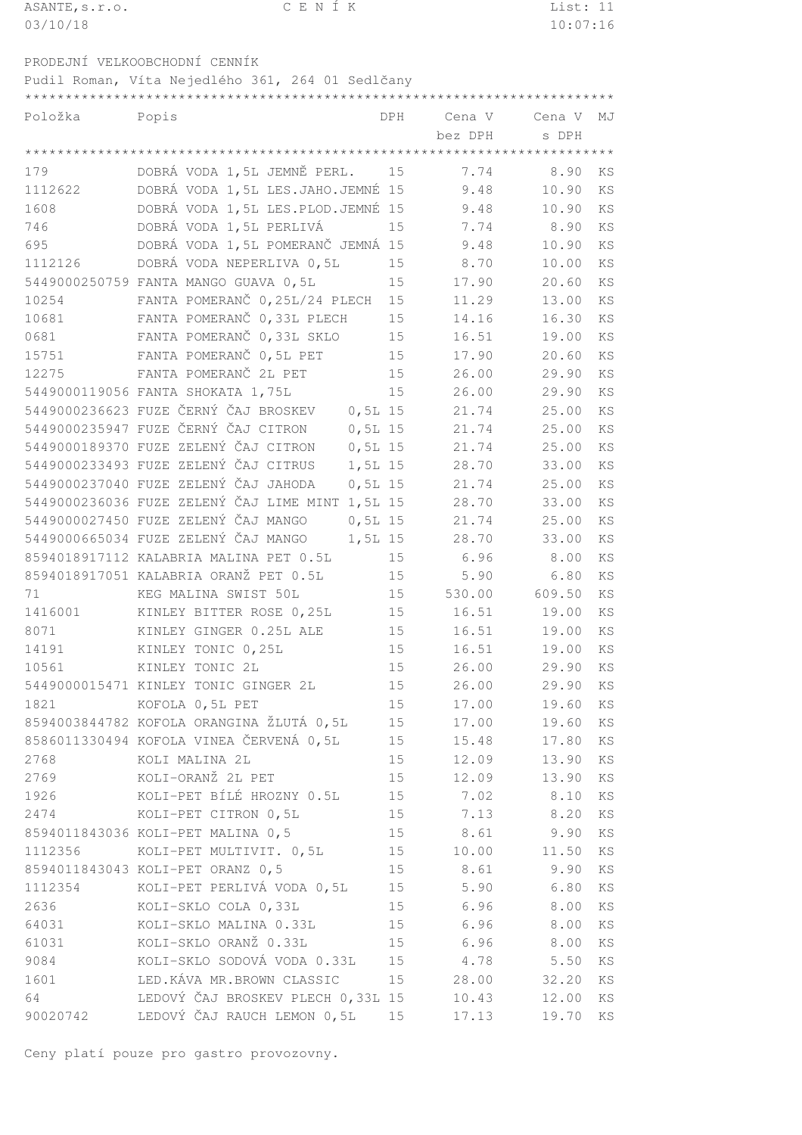| ASANTE, s.r.o. | CENÍK                                            |            |             | List: 11      |    |
|----------------|--------------------------------------------------|------------|-------------|---------------|----|
| 03/10/18       |                                                  |            |             | 10:07:16      |    |
|                |                                                  |            |             |               |    |
|                | PRODEJNÍ VELKOOBCHODNÍ CENNÍK                    |            |             |               |    |
|                | Pudil Roman, Víta Nejedlého 361, 264 01 Sedlčany |            |             |               |    |
|                |                                                  |            |             |               |    |
| Položka        | Popis                                            | <b>DPH</b> | Cena V      | Cena V        | MJ |
|                |                                                  |            | bez DPH     | s DPH         |    |
|                |                                                  |            |             |               |    |
| 179            | DOBRÁ VODA 1,5L JEMNĚ PERL.                      | 15         | 7.74        | 8.90          | KS |
| 1112622        | DOBRÁ VODA 1,5L LES.JAHO.JEMNÉ 15                |            | 9.48        | 10.90         | KS |
| 1608           | DOBRÁ VODA 1,5L LES.PLOD.JEMNÉ 15                |            | 9.48        | 10.90         | KS |
| 746            | DOBRÁ VODA 1,5L PERLIVÁ                          | 15         | 7.74        | 8.90          | KS |
| 695            | DOBRÁ VODA 1,5L POMERANČ JEMNÁ 15                |            | 9.48        | 10.90         | KS |
| 1112126        | DOBRÁ VODA NEPERLIVA 0,5L                        | 15         | 8.70        | 10.00         | KS |
|                | 5449000250759 FANTA MANGO GUAVA 0,5L             | 15         | 17.90       | 20.60         | KS |
| 10254          | FANTA POMERANČ 0,25L/24 PLECH                    | 15         | 11.29       | 13.00         | KS |
| 10681          | FANTA POMERANČ 0,33L PLECH                       | 15         | 14.16       | 16.30         | KS |
| 0681           | FANTA POMERANČ 0,33L SKLO                        | 15         | 16.51       | 19.00         | KS |
| 15751          | FANTA POMERANČ 0,5L PET                          | 15         | 17.90       | 20.60         | KS |
| 12275          | FANTA POMERANČ 2L PET                            | 15         | 26.00       | 29.90         | KS |
|                | 5449000119056 FANTA SHOKATA 1,75L                | 15         | 26.00       | 29.90         | KS |
|                | 5449000236623 FUZE ČERNÝ ČAJ BROSKEV             | $0, 5L$ 15 | 21.74       | 25.00         | KS |
|                | 5449000235947 FUZE ČERNÝ ČAJ CITRON              | $0, 5L$ 15 | 21.74       | 25.00         | KS |
|                | 5449000189370 FUZE ZELENÝ ČAJ CITRON             | $0, 5L$ 15 | 21.74       | 25.00         | KS |
|                | 5449000233493 FUZE ZELENÝ ČAJ CITRUS             | 1,5L 15    | 28.70       | 33.00         | KS |
|                | 5449000237040 FUZE ZELENÝ ČAJ JAHODA             | $0, 5L$ 15 | 21.74       | 25.00         | KS |
|                | 5449000236036 FUZE ZELENÝ ČAJ LIME MINT 1,5L 15  |            | 28.70       | 33.00         | KS |
|                | 5449000027450 FUZE ZELENÝ ČAJ MANGO              | $0, 5L$ 15 | 21.74       | 25.00         | KS |
|                | 5449000665034 FUZE ZELENÝ ČAJ MANGO              | 1,5L 15    | 28.70       | 33.00         | KS |
|                | 8594018917112 KALABRIA MALINA PET 0.5L           | 15         | 6.96        | 8.00          | KS |
|                | 8594018917051 KALABRIA ORANŽ PET 0.5L            | 15         | 5.90        | 6.80          | KS |
| 71             | KEG MALINA SWIST 50L                             | 15         |             | 530.00 609.50 | KS |
| 1416001        | KINLEY BITTER ROSE 0,25L                         |            | 15<br>16.51 | 19.00         | KS |
| 8071           | KINLEY GINGER 0.25L ALE                          | 15         | 16.51       | 19.00         | KS |
| 14191          | KINLEY TONIC 0, 25L                              | 15         | 16.51       | 19.00         | KS |
| 10561          | KINLEY TONIC 2L                                  | 15         | 26.00       | 29.90         | KS |
|                | 5449000015471 KINLEY TONIC GINGER 2L             | 15         | 26.00       | 29.90         | KS |
| 1821 7         | KOFOLA 0,5L PET                                  | 15         | 17.00       | 19.60         | KS |
|                | 8594003844782 KOFOLA ORANGINA ŽLUTÁ 0,5L         | 15         | 17.00       | 19.60         | KS |
|                | 8586011330494 KOFOLA VINEA ČERVENÁ 0,5L          | 15         | 15.48       | 17.80         | KS |
| 2768           | KOLI MALINA 2L                                   | 15         | 12.09       | 13.90         | KS |
| 2769           | KOLI-ORANŽ 2L PET                                | 15         | 12.09       | 13.90         | KS |
| 1926           | KOLI-PET BÍLÉ HROZNY 0.5L                        |            | 15 7.02     | 8.10          | KS |
| 2474           | KOLI-PET CITRON 0,5L                             |            | 15<br>7.13  | 8.20          | KS |
|                | 8594011843036 KOLI-PET MALINA 0,5                | 15         | 8.61        | 9.90          | KS |
|                | 1112356 KOLI-PET MULTIVIT. 0,5L                  | 15         | 10.00       | 11.50         | KS |
|                | 8594011843043 KOLI-PET ORANZ 0,5                 | 15         | 8.61        | 9.90          | KS |
|                |                                                  |            |             |               |    |

 KOLI-PET PERLIVÁ VODA 0,5L 15 5.90 6.80 KS KOLI-SKLO COLA 0,33L 15 6.96 8.00 KS KOLI-SKLO MALINA 0.33L 15 6.96 8.00 KS KOLI-SKLO ORANŽ 0.33L 15 6.96 8.00 KS KOLI-SKLO SODOVÁ VODA 0.33L 15 4.78 5.50 KS LED.KÁVA MR.BROWN CLASSIC 15 28.00 32.20 KS 64 LEDOVÝ ČAJ BROSKEV PLECH 0,33L 15 10.43 12.00 KS 90020742 LEDOVÝ ČAJ RAUCH LEMON 0,5L 15 17.13 19.70 KS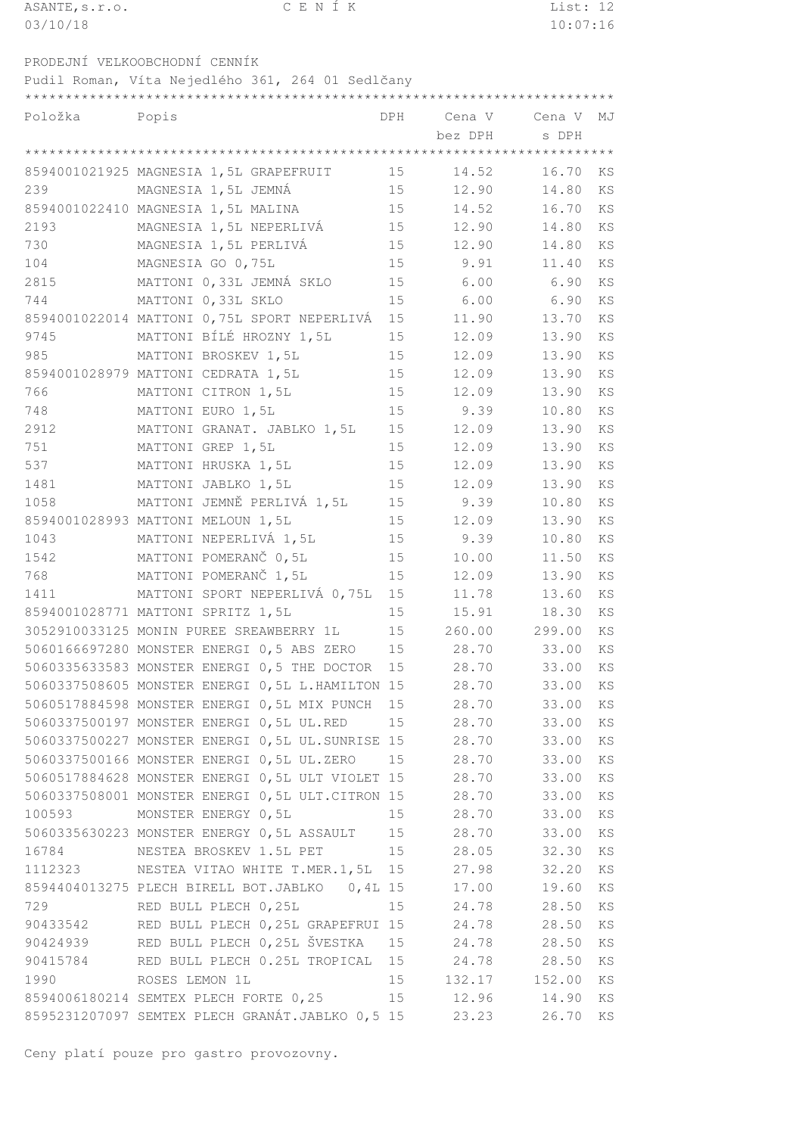| ASANTE, s.r.o.                                   |                   |                             | CENÍK |     |          | List: $\overline{12}$ |           |
|--------------------------------------------------|-------------------|-----------------------------|-------|-----|----------|-----------------------|-----------|
| 03/10/18                                         |                   |                             |       |     |          | 10:07:16              |           |
|                                                  |                   |                             |       |     |          |                       |           |
| PRODEJNÍ VELKOOBCHODNÍ CENNÍK                    |                   |                             |       |     |          |                       |           |
| Pudil Roman, Víta Nejedlého 361, 264 01 Sedlčany |                   |                             |       |     |          |                       |           |
|                                                  |                   |                             |       |     |          |                       |           |
| Položka                                          | Popis             |                             |       | DPH |          |                       |           |
|                                                  |                   |                             |       |     | bez DPH  | s DPH                 |           |
|                                                  |                   |                             |       |     |          |                       |           |
| 8594001021925 MAGNESIA 1,5L GRAPEFRUIT           |                   |                             |       |     | 15 14.52 | 16.70                 | <b>KS</b> |
| 239                                              |                   | MAGNESIA 1,5L JEMNÁ         |       |     | 15 12.90 | 14.80                 | KS        |
| 8594001022410 MAGNESIA 1,5L MALINA               |                   |                             |       | 15  | 14.52    | 16.70                 | KS        |
| 2193                                             |                   | MAGNESIA 1,5L NEPERLIVÁ     |       | 15  | 12.90    | 14.80                 | KS        |
| 730                                              |                   | MAGNESIA 1,5L PERLIVÁ       |       |     | 15 12.90 | 14.80                 | KS        |
| 104                                              | MAGNESIA GO 0,75L |                             |       |     | 15 9.91  | 11.40                 | KS        |
| 2815                                             |                   | MATTONI 0,33L JEMNÁ SKLO    |       | 15  | 6.00     | 6.90                  | KS        |
| 744                                              |                   | MATTONI 0,33L SKLO          |       | 15  | 6.00     | 6.90                  | KS        |
| 8594001022014 MATTONI 0,75L SPORT NEPERLIVÁ 15   |                   |                             |       |     | 11.90    | 13.70                 | KS        |
| 9745                                             |                   | MATTONI BÍLÉ HROZNY 1,5L    |       | 15  | 12.09    | 13.90                 | KS        |
| 985                                              |                   | MATTONI BROSKEV 1,5L        |       | 15  | 12.09    | 13.90                 | KS        |
| 8594001028979 MATTONI CEDRATA 1,5L               |                   |                             |       | 15  | 12.09    | 13.90                 | KS        |
| 766                                              |                   | MATTONI CITRON 1,5L         |       | 15  | 12.09    | 13.90                 | KS        |
| 748                                              | MATTONI EURO 1,5L |                             |       |     | 15 9.39  | 10.80                 | KS        |
| 2912                                             |                   | MATTONI GRANAT. JABLKO 1,5L |       |     | 15 12.09 | 13.90                 | KS        |
| 751                                              | MATTONI GREP 1,5L |                             |       | 15  | 12.09    | 13.90                 | KS        |
| 537                                              |                   | MATTONI HRUSKA 1,5L         |       | 15  | 12.09    | 13.90                 | KS        |
| $1 A Q 1$                                        |                   | MATTONI INDIKO 1 51         |       | 15  | 1200     | 13.00 KC              |           |

|          | 8594001022410 MAGNESIA 1,5L MALINA              | ŢР | 14.52         | 16.70    | KS |
|----------|-------------------------------------------------|----|---------------|----------|----|
| 2193     | MAGNESIA 1,5L NEPERLIVÁ                         | 15 | 12.90         | 14.80    | KS |
| 730      | MAGNESIA 1,5L PERLIVÁ                           | 15 | 12.90         | 14.80    | KS |
| 104      | MAGNESIA GO 0,75L                               | 15 | 9.91          | 11.40    | KS |
| 2815     | MATTONI 0,33L JEMNÁ SKLO                        | 15 | $6.00$ $6.90$ |          | KS |
| 744      | MATTONI 0,33L SKLO                              | 15 | 6.00          | 6.90     | KS |
|          | 8594001022014 MATTONI 0,75L SPORT NEPERLIVÁ     | 15 | 11.90         | 13.70    | KS |
| 9745     | MATTONI BÍLÉ HROZNY 1,5L                        | 15 | 12.09         | 13.90    | KS |
| 985      | MATTONI BROSKEV 1,5L                            | 15 | 12.09         | 13.90    | KS |
|          | 8594001028979 MATTONI CEDRATA 1,5L              | 15 | 12.09         | 13.90    | KS |
| 766      | MATTONI CITRON 1,5L                             | 15 | 12.09         | 13.90    | KS |
| 748      | MATTONI EURO 1,5L                               | 15 | 9.39          | 10.80    | KS |
| 2912     | MATTONI GRANAT. JABLKO 1,5L                     | 15 | 12.09         | 13.90    | KS |
| 751      | MATTONI GREP 1,5L                               | 15 | 12.09         | 13.90    | KS |
| 537      | MATTONI HRUSKA 1,5L                             | 15 | 12.09         | 13.90    | KS |
| 1481     | MATTONI JABLKO 1,5L                             | 15 | 12.09         | 13.90    | KS |
| 1058     | MATTONI JEMNĚ PERLIVÁ 1,5L                      | 15 | 9.39          | 10.80    | KS |
|          | 8594001028993 MATTONI MELOUN 1,5L               | 15 | 12.09         | 13.90    | KS |
| 1043     | MATTONI NEPERLIVÁ 1,5L                          | 15 | 9.39          | 10.80    | KS |
| 1542     | MATTONI POMERANČ 0,5L                           | 15 | 10.00         | 11.50    | KS |
| 768      | MATTONI POMERANČ 1,5L                           | 15 | 12.09         | 13.90    | KS |
| 1411     | MATTONI SPORT NEPERLIVÁ 0,75L                   | 15 | 11.78         | 13.60    | KS |
|          | 8594001028771 MATTONI SPRITZ 1,5L               | 15 | 15.91         | 18.30    | KS |
|          | 3052910033125 MONIN PUREE SREAWBERRY 1L         | 15 | 260.00        | 299.00   | KS |
|          | 5060166697280 MONSTER ENERGI 0,5 ABS ZERO       | 15 | 28.70         | 33.00    | KS |
|          | 5060335633583 MONSTER ENERGI 0,5 THE DOCTOR     | 15 | 28.70         | 33.00    | KS |
|          | 5060337508605 MONSTER ENERGI 0,5L L.HAMILTON 15 |    | 28.70         | 33.00    | KS |
|          | 5060517884598 MONSTER ENERGI 0,5L MIX PUNCH     | 15 | 28.70         | 33.00    | KS |
|          | 5060337500197 MONSTER ENERGI 0,5L UL.RED        | 15 | 28.70         | 33.00    | KS |
|          | 5060337500227 MONSTER ENERGI 0,5L UL.SUNRISE 15 |    | 28.70         | 33.00    | KS |
|          | 5060337500166 MONSTER ENERGI 0,5L UL.ZERO       | 15 | 28.70         | 33.00    | KS |
|          | 5060517884628 MONSTER ENERGI 0,5L ULT VIOLET 15 |    | 28.70         | 33.00    | KS |
|          | 5060337508001 MONSTER ENERGI 0,5L ULT.CITRON 15 |    | 28.70         | 33.00    | KS |
|          | 100593 MONSTER ENERGY 0,5L                      | 15 | 28.70         | 33.00    | KS |
|          | 5060335630223 MONSTER ENERGY 0,5L ASSAULT       | 15 | 28.70         | 33.00    | KS |
| 16784    | NESTEA BROSKEV 1.5L PET                         | 15 | 28.05         | 32.30 KS |    |
| 1112323  | NESTEA VITAO WHITE T.MER.1,5L 15                |    | 27.98         | 32.20    | KS |
|          | 8594404013275 PLECH BIRELL BOT.JABLKO 0,4L 15   |    | 17.00         | 19.60    | KS |
| 729      | RED BULL PLECH 0,25L                            |    | 15<br>24.78   | 28.50    | KS |
|          | 90433542 RED BULL PLECH 0,25L GRAPEFRUI 15      |    | 24.78         | 28.50    | KS |
|          |                                                 |    |               | 28.50    | KS |
| 90415784 | RED BULL PLECH 0.25L TROPICAL 15                |    | 24.78         | 28.50    | KS |
| 1990 000 | ROSES LEMON 1L                                  | 15 | 132.17 152.00 |          | KS |
|          | 8594006180214 SEMTEX PLECH FORTE 0,25           | 15 | 12.96         | 14.90    | KS |
|          | 8595231207097 SEMTEX PLECH GRANÁT.JABLKO 0,5 15 |    | 23.23         | 26.70    | KS |
|          |                                                 |    |               |          |    |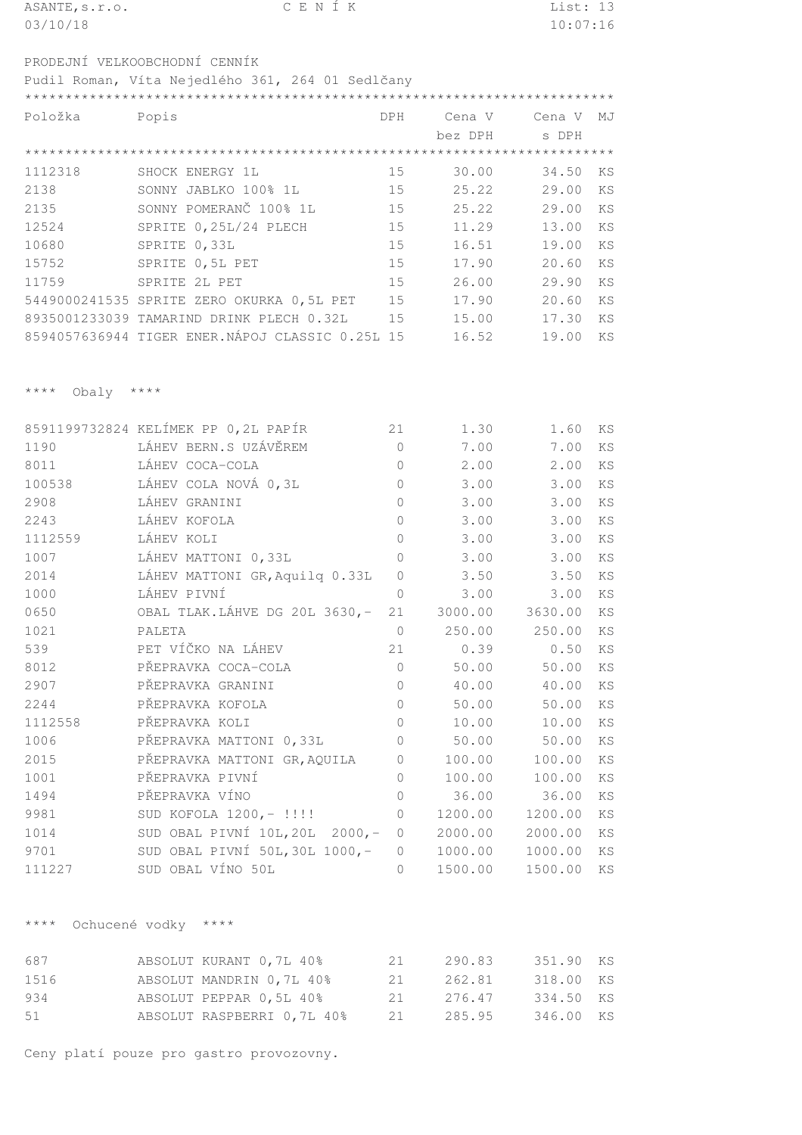| ASANTE, s.r.o. | CENÍK                                            |     |         | List: 13      |    |
|----------------|--------------------------------------------------|-----|---------|---------------|----|
| 03/10/18       |                                                  |     |         | 10:07:16      |    |
|                |                                                  |     |         |               |    |
|                | PRODEJNÍ VELKOOBCHODNÍ CENNÍK                    |     |         |               |    |
|                | Pudil Roman, Víta Nejedlého 361, 264 01 Sedlčany |     |         |               |    |
|                |                                                  |     |         |               |    |
| Položka        | Popis                                            | DPH |         | Cena V Cena V | MJ |
|                |                                                  |     | bez DPH | s DPH         |    |
|                |                                                  |     |         |               |    |
| 1112318        | SHOCK ENERGY 1L                                  | 15  | 30.00   | 34.50         | KS |
| 2138           | SONNY JABLKO 100% 1L                             | 15  | 25.22   | 29.00         | KS |
| 2135           | SONNY POMERANČ 100% 1L                           | 15  | 25.22   | 29.00         | KS |
| 12524          | SPRITE 0,25L/24 PLECH                            | 15  | 11.29   | 13.00         | KS |
| 10680          | SPRITE 0,33L                                     | 15  | 16.51   | 19.00         | KS |
| 15752          | SPRITE 0,5L PET                                  | 15  | 17.90   | 20.60         | KS |
| 11759          | SPRITE 2L PET                                    | 15  | 26.00   | 29.90         | KS |
|                | 5449000241535 SPRITE ZERO OKURKA 0,5L PET        | 15  | 17.90   | 20.60         | KS |
|                | 8935001233039 TAMARIND DRINK PLECH 0.32L         | 15  | 15.00   | 17.30         | KS |

TIGER ENER.NÁPOJ CLASSIC 0.25L 15 16.52 19.00 KS

\*\*\*\* Obaly \*\*\*\*

|         | 8591199732824 KELÍMEK PP 0,2L PAPÍR | 21         | 1.30    | 1.60    | KS                     |
|---------|-------------------------------------|------------|---------|---------|------------------------|
| 1190    | LÁHEV BERN.S UZÁVĚREM               | $\bigcirc$ | 7.00    | 7.00    | KS                     |
| 8011    | LÁHEV COCA-COLA                     | $\bigcirc$ | 2.00    | 2.00    | KS                     |
| 100538  | LÁHEV COLA NOVÁ 0,3L                | $\bigcirc$ | 3.00    | 3.00    | KS                     |
| 2908    | LÁHEV GRANINI                       | $\Omega$   | 3.00    | 3.00    | KS                     |
| 2243    | LÁHEV KOFOLA                        | 0          | 3.00    | 3.00    | KS                     |
| 1112559 | LÁHEV KOLI                          | $\Omega$   | 3.00    | 3.00    | KS                     |
| 1007    | LÁHEV MATTONI 0,33L                 | $\Omega$   | 3.00    | 3.00    | $\mathop{\mathrm{KS}}$ |
| 2014    | LÁHEV MATTONI GR, Aquilq 0.33L      | $\bigcap$  | 3.50    | 3.50    | KS                     |
| 1000    | LÁHEV PIVNÍ                         | $\bigcirc$ | 3.00    | 3.00    | KS                     |
| 0650    | OBAL TLAK.LÁHVE DG 20L 3630,-       | 21         | 3000.00 | 3630.00 | KS                     |
| 1021    | PALETA                              | $\circ$    | 250.00  | 250.00  | KS                     |
| 539     | PET VÍČKO NA LÁHEV                  | 21         | 0.39    | 0.50    | KS                     |
| 8012    | PŘEPRAVKA COCA-COLA                 | $\bigcirc$ | 50.00   | 50.00   | KS                     |
| 2907    | PŘEPRAVKA GRANINI                   | $\bigcirc$ | 40.00   | 40.00   | KS                     |
| 2244    | PŘEPRAVKA KOFOLA                    | $\bigcirc$ | 50.00   | 50.00   | KS                     |
| 1112558 | PŘEPRAVKA KOLI                      | $\bigcirc$ | 10.00   | 10.00   | KS                     |
| 1006    | PŘEPRAVKA MATTONI 0,33L             | $\circ$    | 50.00   | 50.00   | KS                     |
| 2015    | PŘEPRAVKA MATTONI GR, AQUILA        | $\bigcirc$ | 100.00  | 100.00  | KS                     |
| 1001    | PŘEPRAVKA PIVNÍ                     | $\bigcirc$ | 100.00  | 100.00  | KS                     |
| 1494    | PŘEPRAVKA VÍNO                      | $\bigcirc$ | 36.00   | 36.00   | KS                     |
| 9981    | SUD KOFOLA 1200,- !!!!              | $\bigcirc$ | 1200.00 | 1200.00 | KS                     |
| 1014    | SUD OBAL PIVNÍ 10L, 20L 2000,- 0    |            | 2000.00 | 2000.00 | KS                     |
| 9701    | SUD OBAL PIVNÍ 50L, 30L 1000,- 0    |            | 1000.00 | 1000.00 | KS                     |
| 111227  | SUD OBAL VÍNO 50L                   | $\bigcirc$ | 1500.00 | 1500.00 | KS                     |

\*\*\*\* Ochucené vodky \*\*\*\*

|  |                                                                                                              |      | 351.90 KS                            |  |
|--|--------------------------------------------------------------------------------------------------------------|------|--------------------------------------|--|
|  | -21 -                                                                                                        |      | 318.00 KS                            |  |
|  | -21 -                                                                                                        |      | 334.50 KS                            |  |
|  |                                                                                                              |      | 346.00 KS                            |  |
|  | ABSOLUT KURANT 0,7L 40%<br>ABSOLUT MANDRIN 0,7L 40%<br>ABSOLUT PEPPAR 0,5L 40%<br>ABSOLUT RASPBERRI 0,7L 40% | -2.1 | 290.83<br>262.81<br>276.47<br>285.95 |  |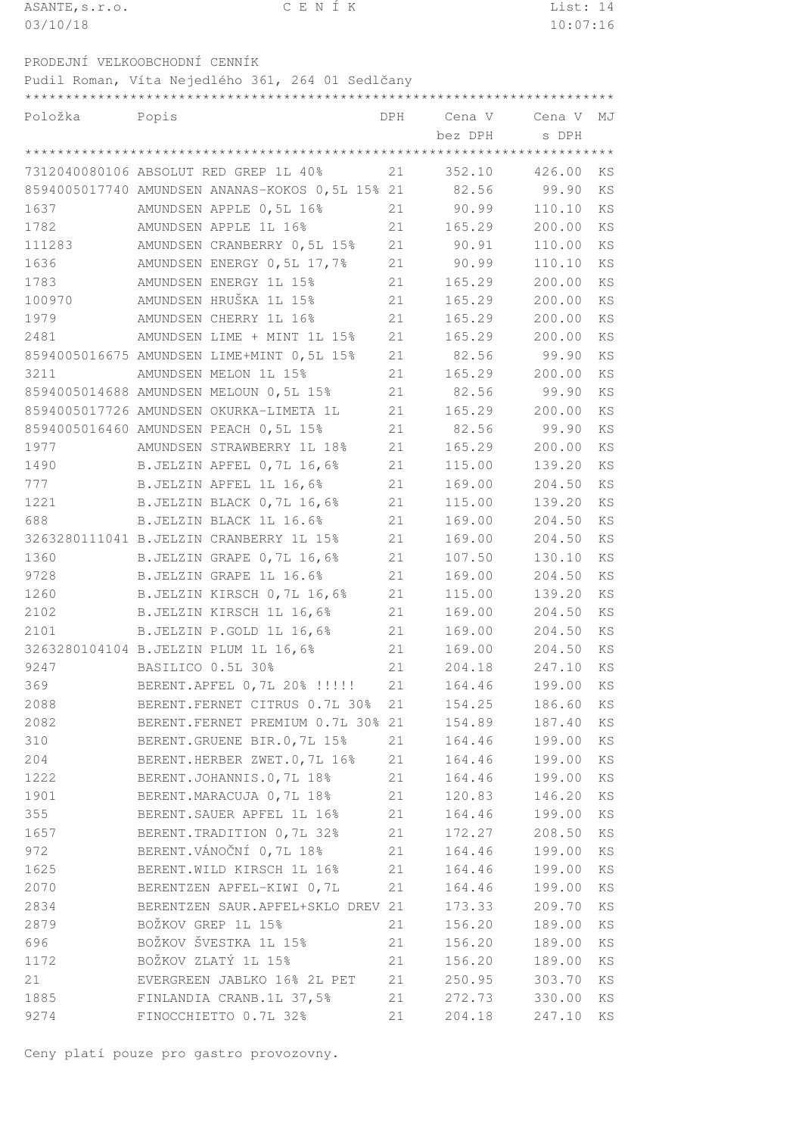| ASANTE, s.r.o. |  |  | CENÍK |  | List: 14 |  |
|----------------|--|--|-------|--|----------|--|
| 03/10/18       |  |  |       |  | 10:07:16 |  |
|                |  |  |       |  |          |  |

PRODEJNÍ VELKOOBCHODNÍ CENNÍK

Pudil Roman, Víta Nejedlého 361, 264 01 Sedlčany \*\*\*\*\*\*\*\*\*\*\*\*\*\*\*\*\*\*\*\*\*\*\*\*\*\*\*\*\*\*\*\*\*\*\*\*\*\*\*\*\*\*\*\*\*\*\*\*\*\*\*\*\*\*\*\*\*\*\*\*\*\*\*\*\*\*\*\*\*\*\*\*\*

| Položka | Popis                                                |    | DPH Cena V Cena V<br>bez DPH | s DPH            | MJ        |
|---------|------------------------------------------------------|----|------------------------------|------------------|-----------|
|         |                                                      |    |                              |                  |           |
|         | 7312040080106 ABSOLUT RED GREP 1L 40%                | 21 | 352.10                       | 426.00           | KS        |
|         | 8594005017740 AMUNDSEN ANANAS-KOKOS 0,5L 15% 21      |    | 82.56                        | 99.90            | KS        |
| 1637    | AMUNDSEN APPLE 0,5L 16%                              | 21 | 90.99                        | 110.10           | <b>KS</b> |
| 1782    | AMUNDSEN APPLE 1L 16%                                | 21 | 165.29                       | 200.00           | KS        |
| 111283  | AMUNDSEN CRANBERRY 0,5L 15%                          | 21 | 90.91                        | 110.00           | KS        |
| 1636    | AMUNDSEN ENERGY 0,5L 17,7%                           | 21 | 90.99                        | 110.10           | KS        |
| 1783    | AMUNDSEN ENERGY 1L 15%                               | 21 | 165.29                       | 200.00           | KS        |
| 100970  | AMUNDSEN HRUŠKA 1L 15%                               | 21 | 165.29                       | 200.00           | KS        |
| 1979    | AMUNDSEN CHERRY 1L 16%                               | 21 | 165.29                       | 200.00           | KS        |
| 2481    | AMUNDSEN LIME + MINT 1L 15%                          | 21 | 165.29                       | 200.00           | KS        |
|         | 8594005016675 AMUNDSEN LIME+MINT 0,5L 15%            | 21 | 82.56                        | 99.90            | KS        |
| 3211    | AMUNDSEN MELON 1L 15%                                | 21 | 165.29                       | 200.00           | KS        |
|         | 8594005014688 AMUNDSEN MELOUN 0,5L 15%               | 21 | 82.56                        | 99.90            | KS        |
|         | 8594005017726 AMUNDSEN OKURKA-LIMETA 1L              | 21 | 165.29                       | 200.00           | KS        |
|         | 8594005016460 AMUNDSEN PEACH 0,5L 15%                | 21 | 82.56                        | 99.90            | <b>KS</b> |
| 1977    | AMUNDSEN STRAWBERRY 1L 18%                           | 21 | 165.29                       | 200.00           | KS        |
| 1490    | B.JELZIN APFEL 0,7L 16,6%                            | 21 | 115.00                       | 139.20           | KS        |
| 777     | B.JELZIN APFEL 1L 16,6%                              | 21 | 169.00                       | 204.50           | KS        |
| 1221    | B.JELZIN BLACK 0,7L 16,6%                            | 21 | 115.00                       | 139.20           | KS        |
| 688     | B.JELZIN BLACK 1L 16.6%                              | 21 | 169.00                       | 204.50           | KS        |
|         | 3263280111041 B.JELZIN CRANBERRY 1L 15%              | 21 | 169.00                       | 204.50           | KS        |
| 1360    |                                                      | 21 | 107.50                       | 130.10           | KS        |
| 9728    | B.JELZIN GRAPE 0,7L 16,6%<br>B.JELZIN GRAPE 1L 16.6% | 21 |                              |                  | KS        |
|         |                                                      |    | 169.00                       | 204.50<br>139.20 |           |
| 1260    | B.JELZIN KIRSCH 0,7L 16,6%                           | 21 | 115.00                       |                  | KS        |
| 2102    | B.JELZIN KIRSCH 1L 16,6%                             | 21 | 169.00                       | 204.50           | KS        |
| 2101    | B.JELZIN P.GOLD 1L 16,6%                             | 21 | 169.00                       | 204.50           | KS        |
|         | 3263280104104 B.JELZIN PLUM 1L 16,6%                 | 21 | 169.00                       | 204.50           | KS        |
| 9247    | BASILICO 0.5L 30%                                    | 21 | 204.18                       | 247.10           | KS        |
| 369     | BERENT.APFEL 0,7L 20% !!!!!                          | 21 | 164.46                       | 199.00           | KS        |
| 2088    | BERENT. FERNET CITRUS 0.7L 30%                       | 21 | 154.25                       | 186.60           | KS        |
| 2082    | BERENT.FERNET PREMIUM 0.7L 30% 21                    |    | 154.89                       | 187.40           | ΚS        |
| 310     | BERENT.GRUENE BIR.0,7L 15%                           | 21 | 164.46                       | 199.00           | ΚS        |
| 204     | BERENT.HERBER ZWET.0,7L 16%                          | 21 | 164.46                       | 199.00           | KS        |
| 1222    | BERENT.JOHANNIS.0,7L 18%                             | 21 | 164.46                       | 199.00           | ΚS        |
| 1901    | BERENT.MARACUJA 0,7L 18%                             | 21 | 120.83                       | 146.20           | KS        |
| 355     | BERENT. SAUER APFEL 1L 16%                           | 21 | 164.46                       | 199.00           | KS        |
| 1657    | BERENT. TRADITION 0, 7L 32%                          | 21 | 172.27                       | 208.50           | ΚS        |
| 972     | BERENT.VÁNOČNÍ 0,7L 18%                              | 21 | 164.46                       | 199.00           | KS        |
| 1625    | BERENT.WILD KIRSCH 1L 16%                            | 21 | 164.46                       | 199.00           | KS        |
| 2070    | BERENTZEN APFEL-KIWI 0,7L                            | 21 | 164.46                       | 199.00           | KS        |
| 2834    | BERENTZEN SAUR.APFEL+SKLO DREV 21                    |    | 173.33                       | 209.70           | KS        |
| 2879    | BOŽKOV GREP 1L 15%                                   | 21 | 156.20                       | 189.00           | KS        |
| 696     | BOŽKOV ŠVESTKA 1L 15%                                | 21 | 156.20                       | 189.00           | KS        |
| 1172    | BOŽKOV ZLATÝ 1L 15%                                  | 21 | 156.20                       | 189.00           | ΚS        |
| 21      | EVERGREEN JABLKO 16% 2L PET                          | 21 | 250.95                       | 303.70           | ΚS        |
| 1885    | FINLANDIA CRANB.1L 37,5%                             | 21 | 272.73                       | 330.00           | ΚS        |
| 9274    | FINOCCHIETTO 0.7L 32%                                | 21 | 204.18                       | 247.10           | ΚS        |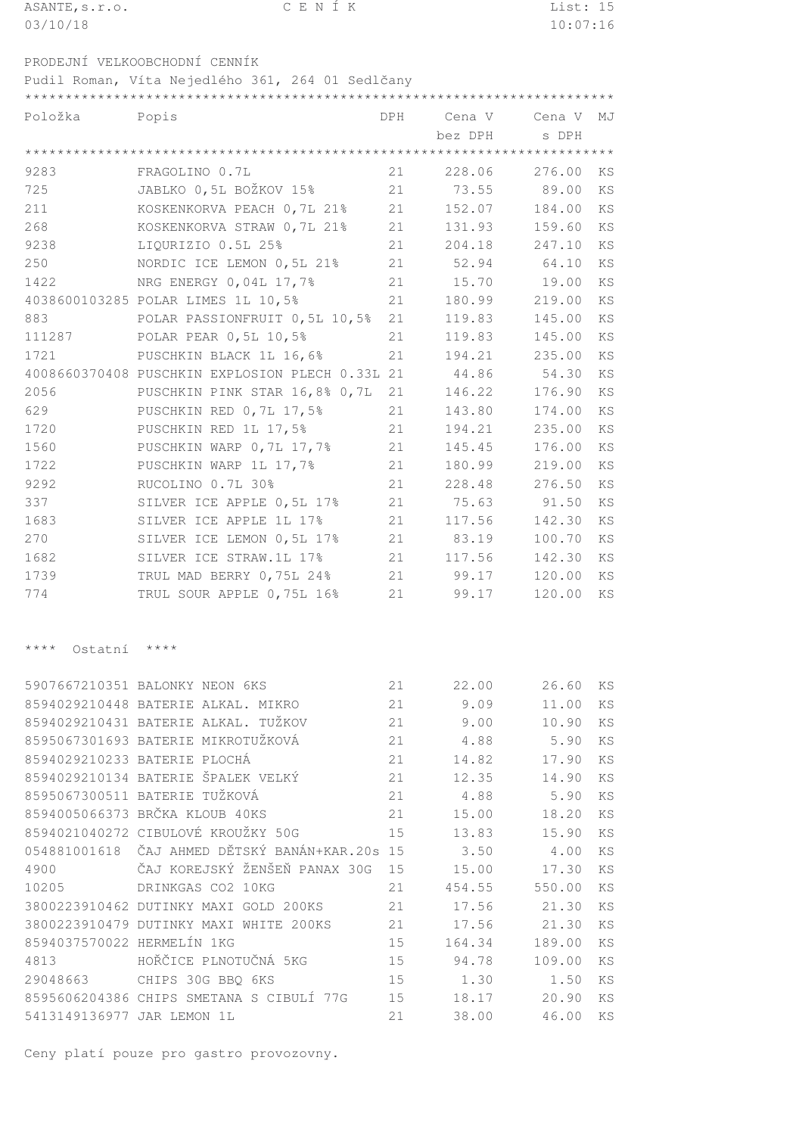| ASANTE, s.r.o.             | CENÍK                                            |     |         | List: 15 |    |  |
|----------------------------|--------------------------------------------------|-----|---------|----------|----|--|
| 03/10/18                   |                                                  |     |         | 10:07:16 |    |  |
|                            |                                                  |     |         |          |    |  |
|                            | PRODEJNÍ VELKOOBCHODNÍ CENNÍK                    |     |         |          |    |  |
|                            | Pudil Roman, Víta Nejedlého 361, 264 01 Sedlčany |     |         |          |    |  |
|                            |                                                  |     |         |          |    |  |
| Položka                    | Popis                                            | DPH | Cena V  | Cena V   | MJ |  |
|                            |                                                  |     | bez DPH | s DPH    |    |  |
|                            |                                                  |     |         |          |    |  |
| 9283                       | FRAGOLINO 0.7L                                   | 21  | 228.06  | 276.00   | KS |  |
| 725                        | JABLKO 0,5L BOŽKOV 15%                           | 21  | 73.55   | 89.00    | KS |  |
| 211                        | KOSKENKORVA PEACH 0,7L 21%                       | 21  | 152.07  | 184.00   | KS |  |
| 268                        | KOSKENKORVA STRAW 0,7L 21%                       | 21  | 131.93  | 159.60   | KS |  |
| 9238                       | LIQURIZIO 0.5L 25%                               | 21  | 204.18  | 247.10   | KS |  |
| 250                        | NORDIC ICE LEMON 0, 5L 21%                       | 21  | 52.94   | 64.10    | KS |  |
| 1422                       | NRG ENERGY 0,04L 17,7%                           | 21  | 15.70   | 19.00    | KS |  |
|                            | 4038600103285 POLAR LIMES 1L 10,5%               | 21  | 180.99  | 219.00   | KS |  |
| 883                        | POLAR PASSIONFRUIT 0,5L 10,5%                    | 21  | 119.83  | 145.00   | KS |  |
| 111287                     | POLAR PEAR 0, 5L 10, 5%                          | 21  | 119.83  | 145.00   | KS |  |
| 1721                       | PUSCHKIN BLACK 1L 16,6%                          | 21  | 194.21  | 235.00   | ΚS |  |
|                            | 4008660370408 PUSCHKIN EXPLOSION PLECH 0.33L 21  |     | 44.86   | 54.30    | KS |  |
| 2056                       | PUSCHKIN PINK STAR 16,8% 0,7L                    | 21  | 146.22  | 176.90   | KS |  |
| 629                        | PUSCHKIN RED 0,7L 17,5%                          | 21  | 143.80  | 174.00   | KS |  |
| 1720                       | PUSCHKIN RED 1L 17,5%                            | 21  | 194.21  | 235.00   | ΚS |  |
| 1560                       | PUSCHKIN WARP 0, 7L 17, 7%                       | 21  | 145.45  | 176.00   | KS |  |
| 1722                       | PUSCHKIN WARP 1L 17,7%                           | 21  | 180.99  | 219.00   | KS |  |
| 9292                       | RUCOLINO 0.7L 30%                                | 21  | 228.48  | 276.50   | KS |  |
| 337                        | SILVER ICE APPLE 0,5L 17%                        | 21  | 75.63   | 91.50    | KS |  |
| 1683                       | SILVER ICE APPLE 1L 17%                          | 21  | 117.56  | 142.30   | KS |  |
| 270                        | SILVER ICE LEMON 0,5L 17%                        | 21  | 83.19   | 100.70   | KS |  |
| 1682                       | SILVER ICE STRAW.1L 17%                          | 21  | 117.56  | 142.30   | KS |  |
| 1739                       | TRUL MAD BERRY 0,75L 24%                         | 21  | 99.17   | 120.00   | KS |  |
| 774                        | TRUL SOUR APPLE 0,75L 16%                        | 21  | 99.17   | 120.00   | KS |  |
|                            |                                                  |     |         |          |    |  |
|                            |                                                  |     |         |          |    |  |
| $***$ * *<br>Ostatní       | $***$                                            |     |         |          |    |  |
|                            |                                                  |     |         |          |    |  |
|                            | 5907667210351 BALONKY NEON 6KS                   | 21  | 22.00   | 26.60    | KS |  |
|                            | 8594029210448 BATERIE ALKAL. MIKRO               | 21  | 9.09    | 11.00    | KS |  |
|                            | 8594029210431 BATERIE ALKAL. TUŽKOV              | 21  | 9.00    | 10.90    | KS |  |
|                            | 8595067301693 BATERIE MIKROTUŽKOVÁ               | 21  | 4.88    | 5.90     | KS |  |
|                            | 8594029210233 BATERIE PLOCHÁ                     | 21  | 14.82   | 17.90    | KS |  |
|                            | 8594029210134 BATERIE ŠPALEK VELKÝ               | 21  | 12.35   | 14.90    | KS |  |
|                            | 8595067300511 BATERIE TUŽKOVÁ                    | 21  | 4.88    | 5.90     | KS |  |
|                            | 8594005066373 BRČKA KLOUB 40KS                   | 21  | 15.00   | 18.20    | KS |  |
|                            | 8594021040272 CIBULOVÉ KROUŽKY 50G               | 15  | 13.83   | 15.90    | ΚS |  |
| 054881001618               | ČAJ AHMED DĚTSKÝ BANÁN+KAR.20s                   | 15  | 3.50    | 4.00     | ΚS |  |
| 4900                       | ČAJ KOREJSKÝ ŽENŠEŇ PANAX 30G                    | 15  | 15.00   | 17.30    | ΚS |  |
| 10205                      | DRINKGAS CO2 10KG                                | 21  | 454.55  | 550.00   | KS |  |
|                            | 3800223910462 DUTINKY MAXI GOLD 200KS            | 21  | 17.56   | 21.30    | KS |  |
|                            | 3800223910479 DUTINKY MAXI WHITE 200KS           | 21  | 17.56   | 21.30    | KS |  |
| 8594037570022 HERMELÍN 1KG |                                                  | 15  | 164.34  | 189.00   | ΚS |  |
| 4813                       | HOŘČICE PLNOTUČNÁ 5KG                            | 15  | 94.78   | 109.00   | ΚS |  |
| 29048663                   | CHIPS 30G BBQ 6KS                                | 15  | 1.30    | 1.50     | KS |  |

 CHIPS SMETANA S CIBULÍ 77G 15 18.17 20.90 KS 5413149136977 JAR LEMON 1L 21 38.00 46.00 KS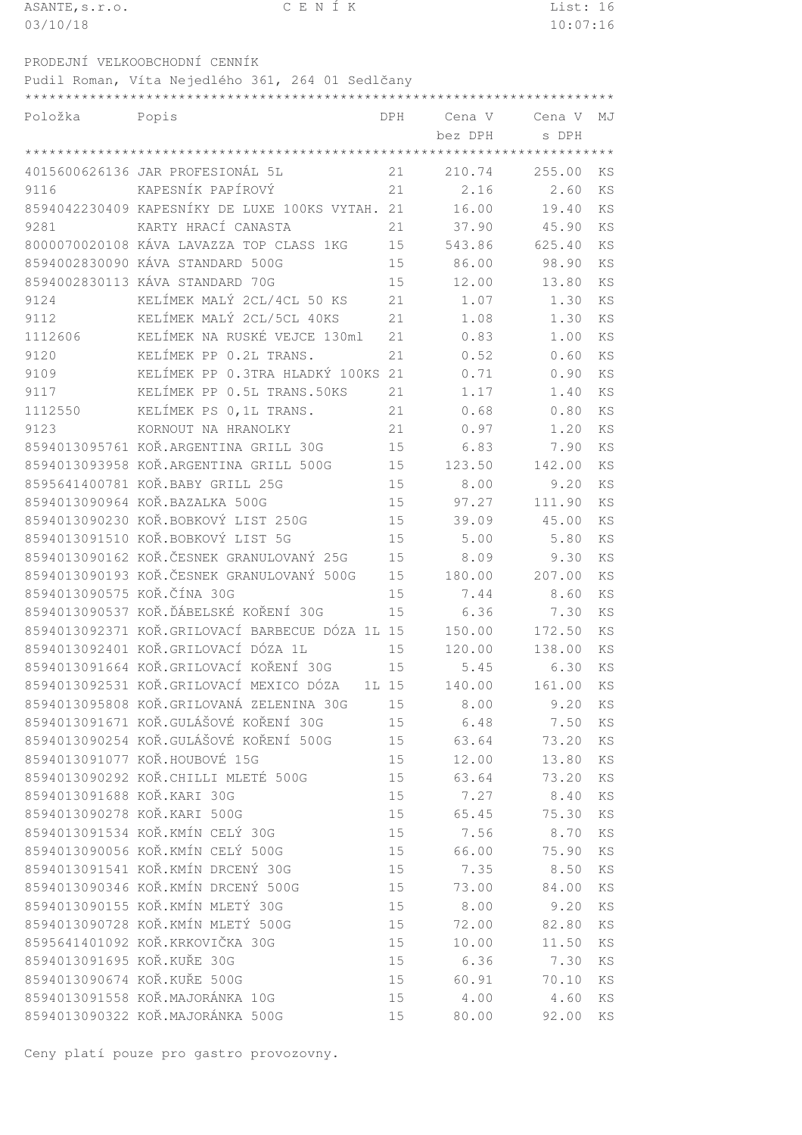| ASANTE, s.r.o.             | CENÍK                                            |            |         | List: 16 |           |
|----------------------------|--------------------------------------------------|------------|---------|----------|-----------|
| 03/10/18                   |                                                  |            |         | 10:07:16 |           |
|                            |                                                  |            |         |          |           |
|                            | PRODEJNÍ VELKOOBCHODNÍ CENNÍK                    |            |         |          |           |
|                            | Pudil Roman, Víta Nejedlého 361, 264 01 Sedlčany |            |         |          |           |
|                            |                                                  |            |         |          |           |
| Položka                    | Popis                                            | <b>DPH</b> | Cena V  | Cena V   | MJ        |
|                            |                                                  |            | bez DPH | s DPH    |           |
|                            |                                                  |            |         |          |           |
|                            | 4015600626136 JAR PROFESIONÁL 5L                 | 21         | 210.74  | 255.00   | KS        |
| 9116                       | KAPESNÍK PAPÍROVÝ                                | 21         | 2.16    | 2.60     | KS        |
|                            | 8594042230409 KAPESNÍKY DE LUXE 100KS VYTAH. 21  |            | 16.00   | 19.40    | KS        |
| 9281                       | KARTY HRACÍ CANASTA                              | 21         | 37.90   | 45.90    | <b>KS</b> |
|                            | 8000070020108 KÁVA LAVAZZA TOP CLASS 1KG         | 15         | 543.86  | 625.40   | KS        |
|                            | 8594002830090 KÁVA STANDARD 500G                 | 15         | 86.00   | 98.90    | KS        |
|                            | 8594002830113 KÁVA STANDARD 70G                  | 15         | 12.00   | 13.80    | KS        |
| 9124                       | KELÍMEK MALÝ 2CL/4CL 50 KS                       | 21         | 1.07    | 1.30     | KS        |
| 9112                       | KELÍMEK MALÝ 2CL/5CL 40KS                        | 21         | 1.08    | 1.30     | KS        |
| 1112606                    | KELÍMEK NA RUSKÉ VEJCE 130ml                     | 21         | 0.83    | 1.00     | KS        |
| 9120                       | KELÍMEK PP 0.2L TRANS.                           | 21         | 0.52    | 0.60     | <b>KS</b> |
| 9109                       | KELÍMEK PP 0.3TRA HLADKÝ 100KS                   | 21         | 0.71    | 0.90     | KS        |
| 9117                       | KELÍMEK PP 0.5L TRANS.50KS                       | 21         | 1.17    | 1.40     | KS        |
| 1112550                    | KELÍMEK PS 0, 1L TRANS.                          | 21         | 0.68    | 0.80     | <b>KS</b> |
| 9123                       | KORNOUT NA HRANOLKY                              | 21         | 0.97    | 1.20     | <b>KS</b> |
|                            | 8594013095761 KOŘ.ARGENTINA GRILL 30G            | 15         | 6.83    | 7.90     | KS        |
|                            | 8594013093958 KOŘ.ARGENTINA GRILL 500G           | 15         | 123.50  | 142.00   | <b>KS</b> |
|                            | 8595641400781 KOŘ.BABY GRILL 25G                 | 15         | 8.00    | 9.20     | KS        |
|                            | 8594013090964 KOŘ.BAZALKA 500G                   | 15         | 97.27   | 111.90   | KS        |
|                            | 8594013090230 KOŘ.BOBKOVÝ LIST 250G              | 15         | 39.09   | 45.00    | KS        |
|                            | 8594013091510 KOŘ.BOBKOVÝ LIST 5G                | 15         | 5.00    | 5.80     | KS        |
|                            | 8594013090162 KOŘ.ČESNEK GRANULOVANÝ 25G         | 15         | 8.09    | 9.30     | KS        |
|                            | 8594013090193 KOŘ.ČESNEK GRANULOVANÝ 500G        | 15         | 180.00  | 207.00   | KS        |
| 8594013090575 KOŘ.ČÍNA 30G |                                                  | 15         | 7.44    | 8.60     | KS        |
|                            | 8594013090537 KOŘ. ĎÁBELSKÉ KOŘENÍ 30G           | 15         | 6.36    | 7.30     | ΚS        |
|                            | 8594013092371 KOŘ.GRILOVACÍ BARBECUE DÓZA 1L 15  |            | 150.00  | 172.50   | ΚS        |
|                            | 8594013092401 KOŘ.GRILOVACÍ DÓZA 1L              | 15         | 120.00  | 138.00   | ΚS        |
|                            | 8594013091664 KOŘ.GRILOVACÍ KOŘENÍ 30G           | 15         | 5.45    | 6.30     | KS        |
|                            | 8594013092531 KOŘ.GRILOVACÍ MEXICO DÓZA          |            |         |          |           |
|                            | 8594013095808 KOŘ.GRILOVANÁ ZELENINA 30G         | 1L 15      | 140.00  | 161.00   | KS        |
|                            | 8594013091671 KOŘ.GULÁŠOVÉ KOŘENÍ 30G            | 15         | 8.00    | 9.20     | ΚS        |
|                            |                                                  | 15         | 6.48    | 7.50     | KS        |
|                            | 8594013090254 KOŘ.GULÁŠOVÉ KOŘENÍ 500G           | 15         | 63.64   | 73.20    | KS        |
|                            | 8594013091077 KOŘ.HOUBOVÉ 15G                    | 15         | 12.00   | 13.80    | ΚS        |
|                            | 8594013090292 KOŘ. CHILLI MLETÉ 500G             | 15         | 63.64   | 73.20    | ΚS        |
| 8594013091688 KOŘ.KARI 30G |                                                  | 15         | 7.27    | 8.40     | KS        |
|                            | 8594013090278 KOŘ.KARI 500G                      | 15         | 65.45   | 75.30    | KS        |
|                            | 8594013091534 KOŘ.KMÍN CELÝ 30G                  | 15         | 7.56    | 8.70     | KS        |
|                            | 8594013090056 KOŘ.KMÍN CELÝ 500G                 | 15         | 66.00   | 75.90    | KS        |
|                            | 8594013091541 KOŘ.KMÍN DRCENÝ 30G                | 15         | 7.35    | 8.50     | KS        |
|                            | 8594013090346 KOŘ.KMÍN DRCENÝ 500G               | 15         | 73.00   | 84.00    | ΚS        |
|                            | 8594013090155 KOŘ.KMÍN MLETÝ 30G                 | 15         | 8.00    | 9.20     | ΚS        |
|                            | 8594013090728 KOŘ.KMÍN MLETÝ 500G                | 15         | 72.00   | 82.80    | ΚS        |
|                            | 8595641401092 KOŘ.KRKOVIČKA 30G                  | 15         | 10.00   | 11.50    | ΚS        |
| 8594013091695 KOŘ.KUŘE 30G |                                                  | 15         | 6.36    | 7.30     | ΚS        |

8594013090674 KOŘ.KUŘE 500G 15 60.91 70.10 KS

8594013091558 KOŘ.MAJORÁNKA 10G<br>8594013090322 KOŘ.MAJORÁNKA 500G 15 20.00 92.00 KS

Ceny platí pouze pro gastro provozovny.

8594013090322 KOŘ.MAJORÁNKA 500G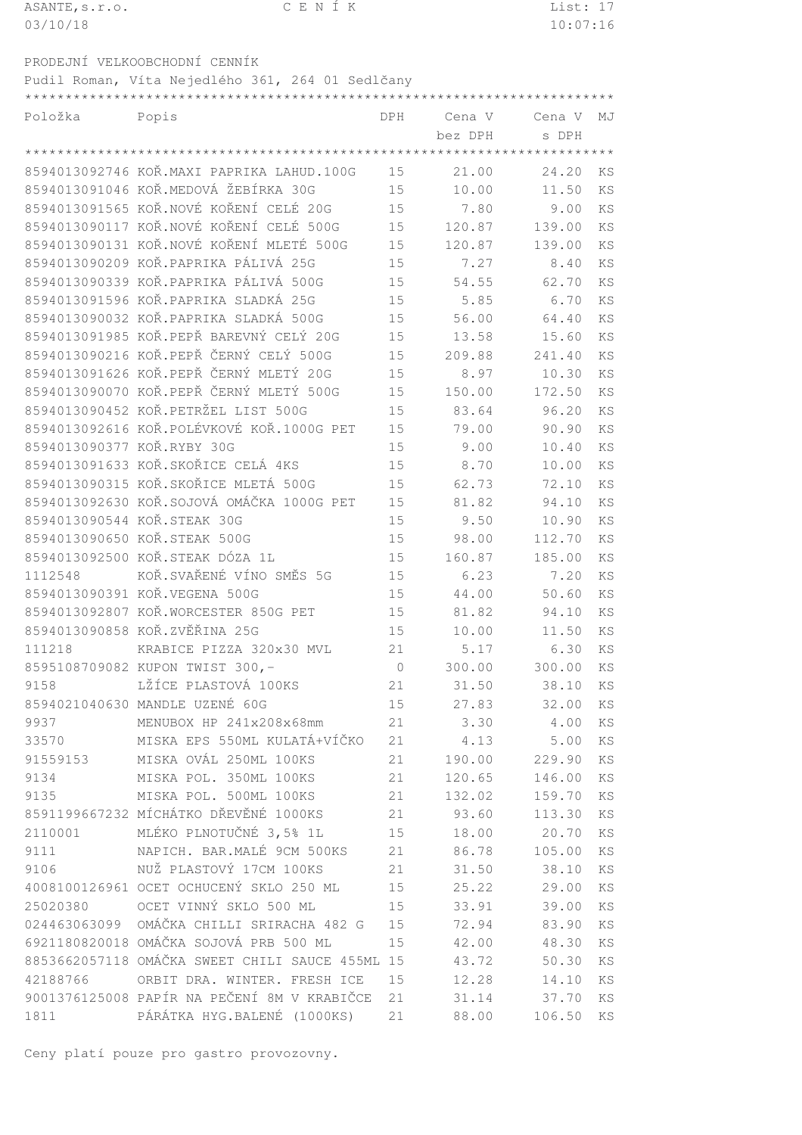| ASANTE, s.r.o. | CENÍK                                            |            |         | List: 17 |           |
|----------------|--------------------------------------------------|------------|---------|----------|-----------|
| 03/10/18       |                                                  |            |         | 10:07:16 |           |
|                | PRODEJNÍ VELKOOBCHODNÍ CENNÍK                    |            |         |          |           |
|                | Pudil Roman, Víta Nejedlého 361, 264 01 Sedlčany |            |         |          |           |
|                |                                                  |            |         |          |           |
| Položka        | Popis                                            | <b>DPH</b> | Cena V  | Cena V   | MJ        |
|                |                                                  |            | bez DPH | s DPH    |           |
|                |                                                  |            |         |          |           |
|                | 8594013092746 KOŘ.MAXI PAPRIKA LAHUD.100G        | 15         | 21.00   | 24.20    | KS        |
|                | 8594013091046 KOŘ.MEDOVÁ ŽEBÍRKA 30G             | 15         | 10.00   | 11.50    | KS        |
|                | 8594013091565 KOŘ.NOVÉ KOŘENÍ CELÉ 20G           | 15         | 7.80    | 9.00     | KS        |
|                | 8594013090117 KOŘ.NOVÉ KOŘENÍ CELÉ 500G          | 15         | 120.87  | 139.00   | KS        |
|                | 8594013090131 KOŘ.NOVÉ KOŘENÍ MLETÉ 500G         | 15         | 120.87  | 139.00   | KS        |
|                | 8594013090209 KOŘ.PAPRIKA PÁLIVÁ 25G             | 15         | 7.27    | 8.40     | KS        |
|                | 8594013090339 KOŘ.PAPRIKA PÁLIVÁ 500G            | 15         | 54.55   | 62.70    | KS        |
|                | 8594013091596 KOŘ.PAPRIKA SLADKÁ 25G             | 15         | 5.85    | 6.70     | KS        |
|                | 8594013090032 KOŘ.PAPRIKA SLADKÁ 500G            | 15         | 56.00   | 64.40    | KS        |
|                | 8594013091985 KOŘ.PEPŘ BAREVNÝ CELÝ 20G          | 15         | 13.58   | 15.60    | KS        |
|                | 8594013090216 KOŘ.PEPŘ ČERNÝ CELÝ 500G           | 15         | 209.88  | 241.40   | <b>KS</b> |
|                | 8594013091626 KOŘ.PEPŘ ČERNÝ MLETÝ 20G           | 15         | 8.97    | 10.30    | <b>KS</b> |
|                | 8594013090070 KOŘ.PEPŘ ČERNÝ MLETÝ 500G          | 15         | 150.00  | 172.50   | <b>KS</b> |
|                | 8594013090452 KOŘ.PETRŽEL LIST 500G              | 15         | 83.64   | 96.20    | KS        |
|                | 8594013092616 KOŘ.POLÉVKOVÉ KOŘ.1000G PET        | 15         | 79.00   | 90.90    | KS        |
|                | 8594013090377 KOŘ.RYBY 30G                       | 15         | 9.00    | 10.40    | KS        |
|                | 8594013091633 KOŘ. SKOŘICE CELÁ 4KS              | 15         | 8.70    | 10.00    | KS        |
|                | 8594013090315 KOŘ.SKOŘICE MLETÁ 500G             | 15         | 62.73   | 72.10    | KS        |
|                | 8594013092630 KOŘ. SOJOVÁ OMÁČKA 1000G PET       | 15         | 81.82   | 94.10    | KS        |
|                | 8594013090544 KOŘ.STEAK 30G                      | 15         | 9.50    | 10.90    | KS        |
|                | 8594013090650 KOŘ.STEAK 500G                     | 15         | 98.00   | 112.70   | ΚS        |
|                | 8594013092500 KOŘ.STEAK DÓZA 1L                  | 15         | 160.87  | 185.00   | KS        |
|                | 1112548 KOŘ. SVAŘENÉ VÍNO SMĚS 5G                | 15         | 6.23    | 7.20     | KS        |
|                | 8594013090391 KOŘ.VEGENA 500G                    | 15         | 44.00   | 50.60    | KS        |
|                | 8594013092807 KOŘ.WORCESTER 850G PET             | 15         | 81.82   | 94.10    | KS        |
|                | 8594013090858 KOŘ.ZVĚŘINA 25G                    | 15         | 10.00   | 11.50    | KS        |
|                | 111218 KRABICE PIZZA 320x30 MVL                  | 21         | 5.17    | 630      | KS        |

 KRABICE PIZZA 320x30 MVL 21 5.17 6.30 KS KUPON TWIST 300,- 0 300.00 300.00 KS LŽÍCE PLASTOVÁ 100KS 21 31.50 38.10 KS 8594021040630 MANDLE UZENÉ 60G 15 27.83 32.00 KS MENUBOX HP 241x208x68mm 21 3.30 4.00 KS 33570 MISKA EPS 550ML KULATÁ+VÍČKO 21 4.13 5.00 KS MISKA OVÁL 250ML 100KS 21 190.00 229.90 KS MISKA POL. 350ML 100KS 21 120.65 146.00 KS MISKA POL. 500ML 100KS 21 132.02 159.70 KS 8591199667232 MÍCHÁTKO DŘEVĚNÉ 1000KS 21 93.60 113.30 KS 2110001 MLÉKO PLNOTUČNÉ 3,5% 1L 15 18.00 20.70 KS NAPICH. BAR.MALÉ 9CM 500KS 21 86.78 105.00 KS NUŽ PLASTOVÝ 17CM 100KS 21 31.50 38.10 KS OCET OCHUCENÝ SKLO 250 ML 15 25.22 29.00 KS OCET VINNÝ SKLO 500 ML 15 33.91 39.00 KS OMÁKA CHILLI SRIRACHA 482 G 15 72.94 83.90 KS OMÁKA SOJOVÁ PRB 500 ML 15 42.00 48.30 KS OMÁKA SWEET CHILI SAUCE 455ML 15 43.72 50.30 KS ORBIT DRA. WINTER. FRESH ICE 15 12.28 14.10 KS 9001376125008 PAPÍR NA PEČENÍ 8M V KRABIČCE 21 31.14 37.70 KS PÁRÁTKA HYG.BALENÉ (1000KS) 21 88.00 106.50 KS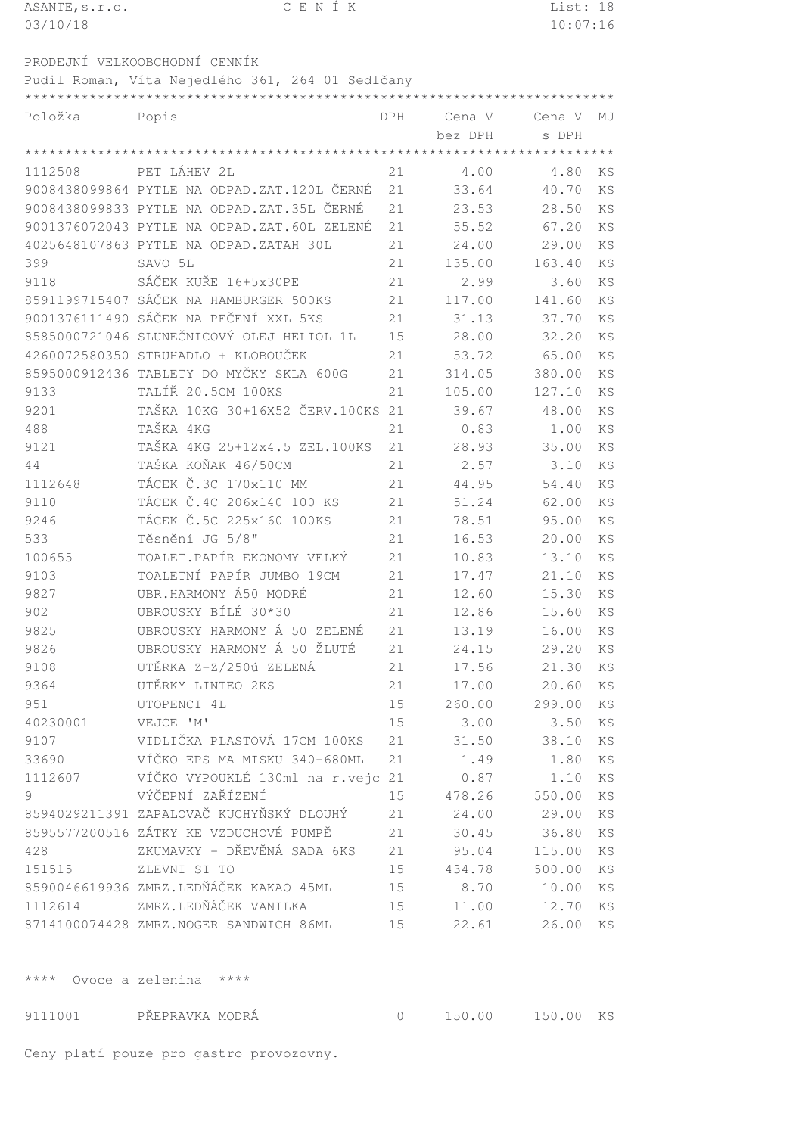| ASANTE, s.r.o. | CENÍK                                            |     |         | List: 18       |           |
|----------------|--------------------------------------------------|-----|---------|----------------|-----------|
| 03/10/18       |                                                  |     |         | 10:07:16       |           |
|                |                                                  |     |         |                |           |
|                | PRODEJNÍ VELKOOBCHODNÍ CENNÍK                    |     |         |                |           |
|                | Pudil Roman, Víta Nejedlého 361, 264 01 Sedlčany |     |         |                |           |
|                |                                                  |     |         |                |           |
| Položka        | Popis                                            | DPH | Cena V  | Cena V         | MJ        |
|                |                                                  |     | bez DPH | s DPH          |           |
|                |                                                  |     |         |                |           |
| 1112508        | PET LÁHEV 2L                                     | 21  | 4.00    | 4.80           | KS        |
|                | 9008438099864 PYTLE NA ODPAD.ZAT.120L ČERNÉ      | 21  | 33.64   | 40.70          | KS        |
|                | 9008438099833 PYTLE NA ODPAD.ZAT.35L ČERNÉ       | 21  | 23.53   | 28.50          | KS        |
|                | 9001376072043 PYTLE NA ODPAD.ZAT.60L ZELENÉ      | 21  | 55.52   | 67.20          | KS        |
|                | 4025648107863 PYTLE NA ODPAD.ZATAH 30L           | 21  | 24.00   | 29.00          | KS        |
| 399            | SAVO 5L                                          | 21  | 135.00  | 163.40         | KS        |
| 9118           | SÁČEK KUŘE 16+5x30PE                             | 21  | 2.99    | 3.60           | <b>KS</b> |
|                | 8591199715407 SÁČEK NA HAMBURGER 500KS           | 21  | 117.00  | 141.60         | KS        |
|                | 9001376111490 SÁČEK NA PEČENÍ XXL 5KS            | 21  | 31.13   | 37.70          | KS        |
|                | 8585000721046 SLUNEČNICOVÝ OLEJ HELIOL 1L        | 15  | 28.00   | 32.20          | KS        |
|                | 4260072580350 STRUHADLO + KLOBOUČEK              | 21  | 53.72   | 65.00          | KS        |
|                | 8595000912436 TABLETY DO MYČKY SKLA 600G         | 21  | 314.05  | 380.00         | KS        |
| 9133           | TALÍŘ 20.5CM 100KS                               | 21  | 105.00  | 127.10         | KS        |
| 9201           | TAŠKA 10KG 30+16X52 ČERV.100KS 21                |     | 39.67   | 48.00          | KS        |
| 488            | TAŠKA 4KG                                        | 21  | 0.83    | 1.00           | KS        |
| 9121           | TAŠKA 4KG 25+12x4.5 ZEL.100KS                    | 21  | 28.93   | 35.00          | KS        |
| 44             | TAŠKA KOŇAK 46/50CM                              | 21  | 2.57    | 3.10           | KS        |
| 1112648        | TÁCEK Č.3C 170x110 MM                            | 21  | 44.95   | 54.40          | KS        |
| 9110           | TÁCEK Č.4C 206x140 100 KS                        | 21  | 51.24   | 62.00          | KS        |
| 9246           | TÁCEK Č.5C 225x160 100KS                         | 21  | 78.51   | 95.00          | KS        |
| 533            | Těsnění JG 5/8"                                  | 21  | 16.53   | 20.00          | KS        |
| 100655         | TOALET.PAPÍR EKONOMY VELKÝ                       | 21  | 10.83   | 13.10          | KS        |
| 9103           | TOALETNÍ PAPÍR JUMBO 19CM                        | 21  | 17.47   | 21.10          | KS        |
| 9827           | UBR.HARMONY Á50 MODRÉ                            | 21  | 12.60   | 15.30          | KS        |
| 902            | UBROUSKY BÍLÉ 30*30                              | 21  | 12.86   | 15.60          | KS        |
| 9825           | UBROUSKY HARMONY Á 50 ZELENÉ                     | 21  | 13.19   | 16.00          | KS        |
| 9826           | UBROUSKY HARMONY Á 50 ŽLUTÉ                      | 21  | 24.15   | 29.20          | KS        |
| 9108           | UTĚRKA Z-Z/250ú ZELENÁ                           | 21  | 17.56   | 21.30          | KS        |
| 9364           | UTĚRKY LINTEO 2KS                                | 21  | 17.00   | 20.60          | KS        |
| 951            | UTOPENCI 4L                                      | 15  | 260.00  | 299.00         | KS        |
| 40230001       | VEJCE 'M'                                        | 15  | 3.00    | 3.50           | KS        |
| 9107           | VIDLIČKA PLASTOVÁ 17CM 100KS                     | 21  | 31.50   | 38.10          | KS        |
| 33690          | VÍČKO EPS MA MISKU 340-680ML                     | 21  | 1.49    | 1.80           | KS        |
| 1112607        | VÍČKO VYPOUKLÉ 130ml na r.vejc 21                |     | 0.87    | 1.10           | KS        |
| 9              | VÝČEPNÍ ZAŘÍZENÍ                                 | 15  | 478.26  | 550.00         | KS        |
|                | 8594029211391 ZAPALOVAČ KUCHYŇSKÝ DLOUHÝ         | 21  | 24.00   | 29.00          | KS        |
|                | 8595577200516 ZÁTKY KE VZDUCHOVÉ PUMPĚ           | 21  | 30.45   | 36.80          | KS        |
| 428            | ZKUMAVKY - DŘEVĚNÁ SADA 6KS                      | 21  | 95.04   | 115.00         | KS        |
| 151515         | ZLEVNI SI TO                                     | 15  | 434.78  | 500.00         | KS        |
|                | 8590046619936 ZMRZ.LEDŇÁČEK KAKAO 45ML           | 15  | 8.70    |                | KS        |
|                | 1112614 ZMRZ.LEDŇÁČEK VANILKA                    | 15  | 11.00   | 10.00<br>12.70 | KS        |
|                | 8714100074428 ZMRZ.NOGER SANDWICH 86ML           | 15  | 22.61   | 26.00          | KS        |
|                |                                                  |     |         |                |           |

\*\*\*\* Ovoce a zelenina \*\*\*\*

9111001 PŘEPRAVKA MODRÁ 0 150.00 150.00 KS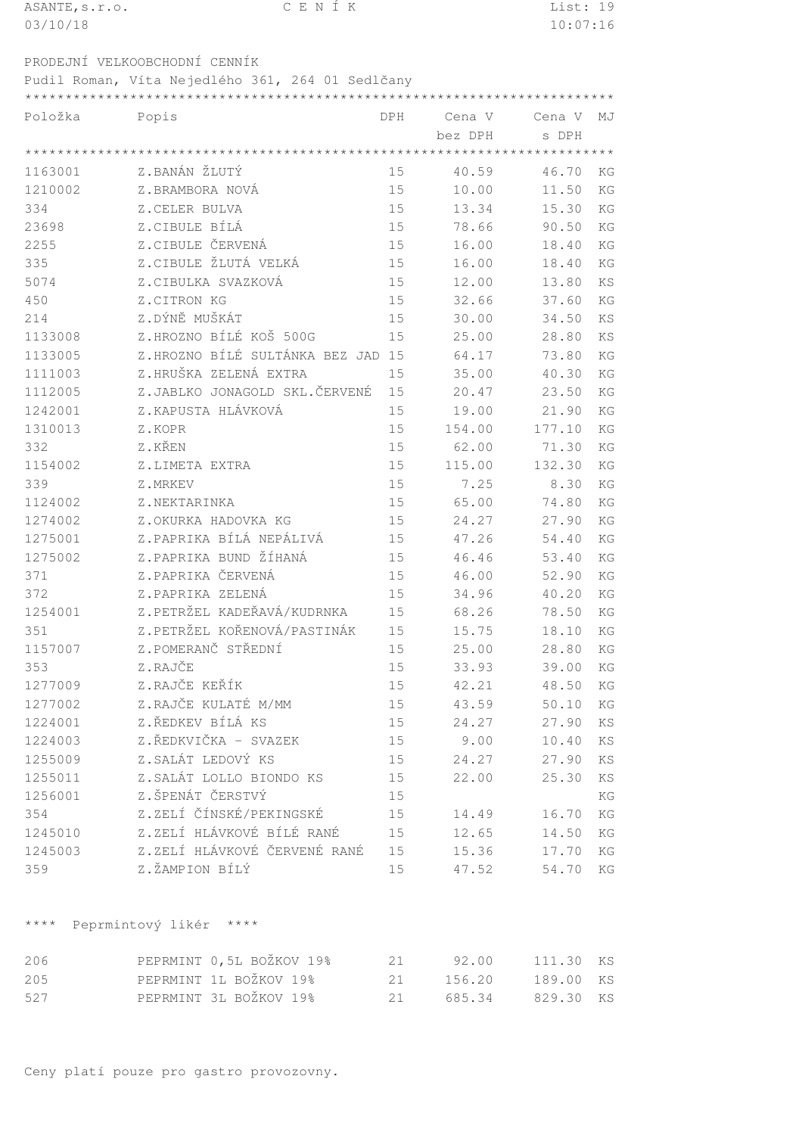| ASANTE, s.r.o. | CENÍK                                            |        |         | List: 19 |    |
|----------------|--------------------------------------------------|--------|---------|----------|----|
| 03/10/18       |                                                  |        |         | 10:07:16 |    |
|                | PRODEJNÍ VELKOOBCHODNÍ CENNÍK                    |        |         |          |    |
|                | Pudil Roman, Víta Nejedlého 361, 264 01 Sedlčany |        |         |          |    |
|                |                                                  |        |         |          |    |
| Položka        | Popis                                            | DPH    | Cena V  | Cena V   | MJ |
|                |                                                  |        | bez DPH | s DPH    |    |
|                |                                                  |        |         |          |    |
| 1163001        | Z.BANÁN ŽLUTÝ                                    | 15     | 40.59   | 46.70    | KG |
| 1210002        | Z.BRAMBORA NOVÁ                                  | 15     | 10.00   | 11.50    | KG |
| 334            | Z.CELER BULVA                                    | 15     | 13.34   | 15.30    | KG |
| 23698          | Z.CIBULE BÍLÁ                                    | 15     | 78.66   | 90.50    | KG |
| 2255           | Z.CIBULE ČERVENÁ                                 | 15     | 16.00   | 18.40    | KG |
| 335            | Z.CIBULE ŽLUTÁ VELKÁ                             | 15     | 16.00   | 18.40    | KG |
| 5074           | Z.CIBULKA SVAZKOVÁ                               | 15     | 12.00   | 13.80    | KS |
| 450            | Z.CITRON KG                                      | 15     | 32.66   | 37.60    | KG |
| 214            | Z.DÝNĚ MUŠKÁT                                    | 15     | 30.00   | 34.50    | KS |
| 1133008        | Z.HROZNO BÍLÉ KOŠ 500G                           | 15     | 25.00   | 28.80    | KS |
| 1133005        | Z.HROZNO BÍLÉ SULTÁNKA BEZ JAD 15                |        | 64.17   | 73.80    | KG |
| 1111003        | Z.HRUŠKA ZELENÁ EXTRA                            | 15     | 35.00   | 40.30    | KG |
| 1112005        | Z.JABLKO JONAGOLD SKL.ČERVENÉ                    | 15     | 20.47   | 23.50    | KG |
| 1242001        | Z.KAPUSTA HLÁVKOVÁ                               | 15     | 19.00   | 21.90    | KG |
| 1310013        | Z.KOPR                                           | 15     | 154.00  | 177.10   | KG |
| 332            | Z.KŘEN                                           | 15     | 62.00   | 71.30    | KG |
| 1154002        | Z.LIMETA EXTRA                                   | 15     | 115.00  | 132.30   | KG |
| 339            | Z.MRKEV                                          | 15     | 7.25    | 8.30     | KG |
| 1124002        | Z.NEKTARINKA                                     | 15     | 65.00   | 74.80    | KG |
| 1274002        | Z.OKURKA HADOVKA KG                              | 15     | 24.27   | 27.90    | KG |
| 1275001        | Z.PAPRIKA BÍLÁ NEPÁLIVÁ                          | 15     | 47.26   | 54.40    | KG |
| 1275002        | Z.PAPRIKA BUND ŽÍHANÁ                            | 15     | 46.46   | 53.40    | KG |
| 371            | Z.PAPRIKA ČERVENÁ                                | 15     | 46.00   | 52.90    | KG |
| 372            | Z.PAPRIKA ZELENÁ                                 | 15     | 34.96   | 40.20    | KG |
| 1254001        | Z.PETRŽEL KADEŘAVÁ/KUDRNKA                       | 15     | 68.26   | 78.50    | KG |
| 351            | Z.PETRŽEL KOŘENOVÁ/PASTINÁK                      | 15     | 15.75   | 18.10    | KG |
| 1157007        | Z.POMERANČ STŘEDNÍ                               | 15     | 25.00   | 28.80    | KG |
| 353            | Z.RAJČE                                          | 15     | 33.93   | 39.00    | KG |
| 1277009        | Z.RAJČE KEŘÍK                                    | 15     | 42.21   | 48.50    | KG |
| 1277002        | Z.RAJČE KULATÉ M/MM                              | 15     | 43.59   | 50.10    | KG |
| 1224001        | Z.ŘEDKEV BÍLÁ KS                                 | 15     | 24.27   | 27.90    | KS |
| 1224003        | Z.ŘEDKVIČKA - SVAZEK                             | 15     | 9.00    | 10.40    | KS |
| 1255009        | Z.SALÁT LEDOVÝ KS                                | 15     | 24.27   | 27.90    | KS |
| 1255011        | Z.SALÁT LOLLO BIONDO KS                          | $15\,$ | 22.00   | 25.30    | KS |
| 1256001        | Z.ŠPENÁT ČERSTVÝ                                 | 15     |         |          | KG |
| 354            | Z.ZELÍ ČÍNSKÉ/PEKINGSKÉ                          | 15     | 14.49   | 16.70    | KG |
| 1245010        | Z.ZELÍ HLÁVKOVÉ BÍLÉ RANÉ                        | 15     | 12.65   | 14.50    | KG |
| 1245003        | Z.ZELÍ HLÁVKOVÉ ČERVENÉ RANÉ                     | 15     | 15.36   | 17.70    | KG |
| 359            | Z.ŽAMPION BÍLÝ                                   | 15     | 47.52   | 54.70    | KG |
|                |                                                  |        |         |          |    |

\*\*\*\* Peprmintový likér \*\*\*\*

| 206 | PEPRMINT 0,5L BOŽKOV 19% | 2.1 | 92.00 111.30 KS  |  |
|-----|--------------------------|-----|------------------|--|
| 205 | PEPRMINT 1L BOŽKOV 19%   | 2.1 | 156.20 189.00 KS |  |
| 527 | PEPRMINT 3L BOŽKOV 19%   | 21  | 685.34 829.30 KS |  |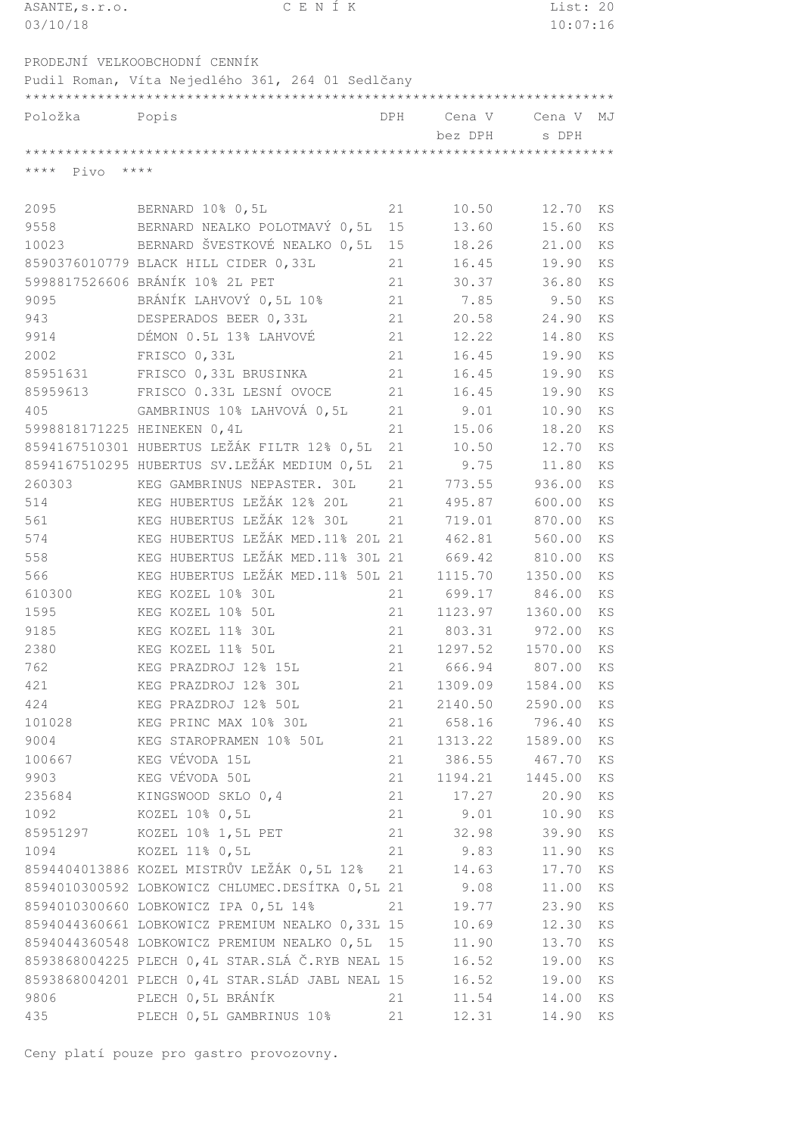| ASANTE, s.r.o.              | CENÍK                                                                   |            |                | List: 20       |           |
|-----------------------------|-------------------------------------------------------------------------|------------|----------------|----------------|-----------|
| 03/10/18                    |                                                                         |            |                | 10:07:16       |           |
|                             |                                                                         |            |                |                |           |
|                             | PRODEJNÍ VELKOOBCHODNÍ CENNÍK                                           |            |                |                |           |
|                             | Pudil Roman, Víta Nejedlého 361, 264 01 Sedlčany                        |            |                |                |           |
|                             |                                                                         |            |                |                |           |
| Položka                     | Popis                                                                   | <b>DPH</b> | Cena V         | Cena V         | MJ        |
|                             |                                                                         |            | bez DPH        | s DPH          |           |
|                             |                                                                         |            |                |                |           |
| $***$ * * *<br>Pivo         | $* * * * *$                                                             |            |                |                |           |
|                             |                                                                         |            |                |                |           |
| 2095                        | BERNARD 10% 0,5L                                                        | 21         | 10.50          | 12.70          | KS        |
| 9558                        | BERNARD NEALKO POLOTMAVÝ 0,5L                                           | 15         | 13.60          | 15.60          | KS        |
| 10023                       | BERNARD ŠVESTKOVÉ NEALKO 0,5L                                           | 15         | 18.26          | 21.00          | KS        |
|                             | 8590376010779 BLACK HILL CIDER 0,33L<br>5998817526606 BRÁNÍK 10% 2L PET | 21         | 16.45          | 19.90          | KS        |
|                             | BRÁNÍK LAHVOVÝ 0,5L 10%                                                 | 21         | 30.37          | 36.80          | KS        |
| 9095                        |                                                                         | 21         | 7.85           | 9.50           | KS        |
| 943                         | DESPERADOS BEER 0,33L<br>DÉMON 0.5L 13% LAHVOVÉ                         | 21         | 20.58          | 24.90          | KS        |
| 9914                        |                                                                         | 21         | 12.22          | 14.80          | KS        |
| 2002                        | FRISCO 0,33L                                                            | 21         | 16.45<br>16.45 | 19.90          | <b>KS</b> |
| 85951631<br>85959613        | FRISCO 0,33L BRUSINKA<br>FRISCO 0.33L LESNÍ OVOCE                       | 21<br>21   | 16.45          | 19.90<br>19.90 | KS<br>KS  |
| 405                         | GAMBRINUS 10% LAHVOVÁ 0,5L                                              | 21         |                |                |           |
| 5998818171225 HEINEKEN 0,4L |                                                                         | 21         | 9.01<br>15.06  | 10.90<br>18.20 | KS<br>KS  |
|                             | 8594167510301 HUBERTUS LEŽÁK FILTR 12% 0,5L                             | 21         |                |                | KS        |
|                             | 8594167510295 HUBERTUS SV.LEŽÁK MEDIUM 0,5L                             | 21         | 10.50<br>9.75  | 12.70<br>11.80 | KS        |
| 260303                      | KEG GAMBRINUS NEPASTER. 30L                                             | 21         | 773.55         | 936.00         | KS        |
| 514                         | KEG HUBERTUS LEŽÁK 12% 20L                                              | 21         | 495.87         | 600.00         | KS        |
| 561                         | KEG HUBERTUS LEŽÁK 12% 30L                                              | 21         | 719.01         | 870.00         | KS        |
| 574                         | KEG HUBERTUS LEŽÁK MED.11% 20L 21                                       |            | 462.81         | 560.00         | KS        |
| 558                         | KEG HUBERTUS LEŽÁK MED.11% 30L 21                                       |            | 669.42         | 810.00         | KS        |
| 566                         | KEG HUBERTUS LEŽÁK MED.11% 50L 21                                       |            | 1115.70        | 1350.00        | KS        |
| 610300                      | KEG KOZEL 10% 30L                                                       | 21         | 699.17         | 846.00         | KS        |
| 1595                        | KEG KOZEL 10% 50L                                                       | 21         | 1123.97        | 1360.00        | KS        |
| 9185                        | KEG KOZEL 11% 30L                                                       | 21         | 803.31         | 972.00         | KS        |
| 2380                        | KEG KOZEL 11% 50L                                                       | 21         | 1297.52        | 1570.00        | ΚS        |
| 762                         | KEG PRAZDROJ 12% 15L                                                    | 21         | 666.94         | 807.00         | ΚS        |
| 421                         | KEG PRAZDROJ 12% 30L                                                    | 21         | 1309.09        | 1584.00        | KS        |
| 424                         | KEG PRAZDROJ 12% 50L                                                    | 21         | 2140.50        | 2590.00        | KS        |
| 101028                      | KEG PRINC MAX 10% 30L                                                   | 21         | 658.16         | 796.40         | ΚS        |
| 9004                        | KEG STAROPRAMEN 10% 50L                                                 | 21         | 1313.22        | 1589.00        | KS        |
| 100667                      | KEG VÉVODA 15L                                                          | 21         | 386.55         | 467.70         | KS        |
| 9903                        | KEG VÉVODA 50L                                                          | 21         | 1194.21        | 1445.00        | ΚS        |
| 235684                      | KINGSWOOD SKLO 0,4                                                      | 21         | 17.27          | 20.90          | KS        |
| 1092                        | KOZEL 10% 0,5L                                                          | 21         | 9.01           | 10.90          | KS        |
| 85951297                    | KOZEL 10% 1,5L PET                                                      | 21         | 32.98          | 39.90          | KS        |
| 1094                        | KOZEL 11% 0,5L                                                          | 21         | 9.83           | 11.90          | ΚS        |
|                             | 8594404013886 KOZEL MISTRŮV LEŽÁK 0,5L 12%                              | 21         | 14.63          | 17.70          | KS        |
|                             | 8594010300592 LOBKOWICZ CHLUMEC.DESÍTKA 0,5L 21                         |            | 9.08           | 11.00          | KS        |
|                             | 8594010300660 LOBKOWICZ IPA 0,5L 14%                                    | 21         | 19.77          | 23.90          | ΚS        |
|                             | 8594044360661 LOBKOWICZ PREMIUM NEALKO 0,33L 15                         |            | 10.69          | 12.30          | ΚS        |
|                             | 8594044360548 LOBKOWICZ PREMIUM NEALKO 0,5L 15                          |            | 11.90          | 13.70          | ΚS        |
|                             | 8593868004225 PLECH 0,4L STAR.SLÁ Č.RYB NEAL 15                         |            | 16.52          | 19.00          | KS        |
|                             | 8593868004201 PLECH 0,4L STAR.SLÁD JABL NEAL 15                         |            | 16.52          | 19.00          | KS        |
| 9806                        | PLECH 0,5L BRÁNÍK                                                       | 21         | 11.54          | 14.00          | KS        |
| 435                         | PLECH 0,5L GAMBRINUS 10%                                                | 21         | 12.31          | 14.90          | KS        |
|                             |                                                                         |            |                |                |           |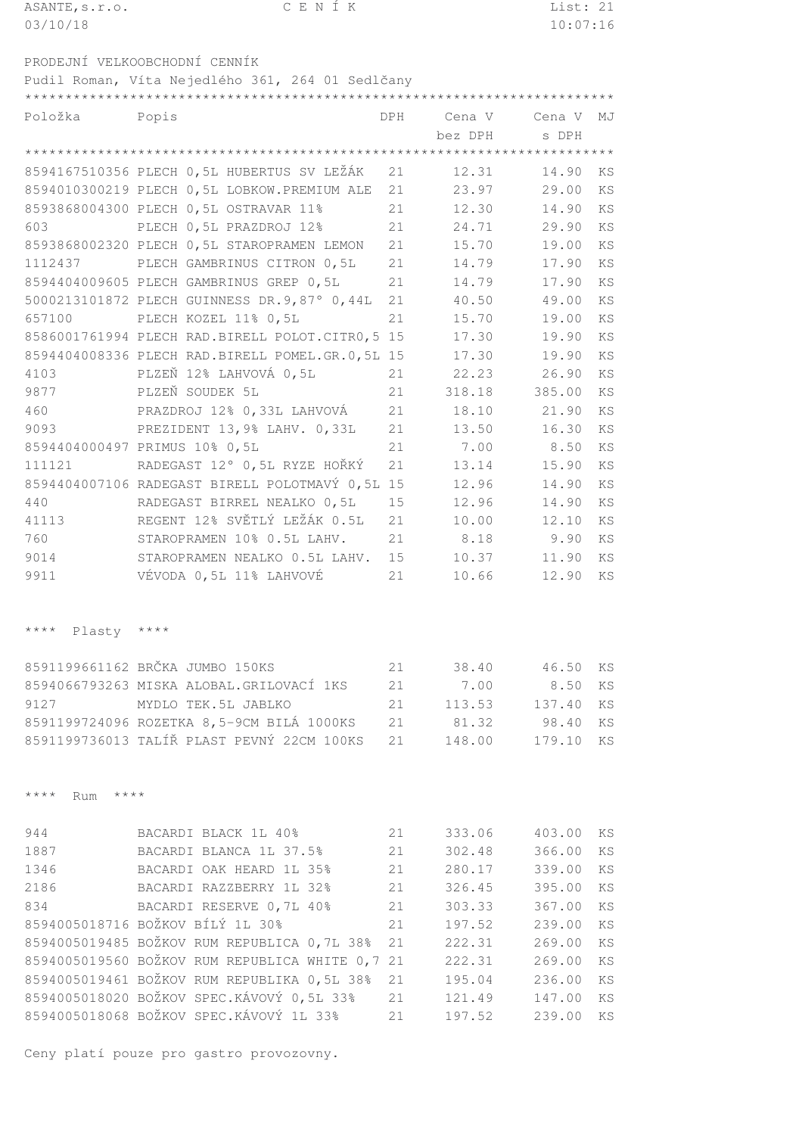| ASANTE, s.r.o.      | CENÍK                                            |     |                | List: 21      |    |
|---------------------|--------------------------------------------------|-----|----------------|---------------|----|
| 03/10/18            |                                                  |     |                | 10:07:16      |    |
|                     |                                                  |     |                |               |    |
|                     | PRODEJNÍ VELKOOBCHODNÍ CENNÍK                    |     |                |               |    |
|                     | Pudil Roman, Víta Nejedlého 361, 264 01 Sedlčany |     |                |               |    |
|                     |                                                  |     |                |               |    |
| Položka             | Popis                                            | DPH |                |               | MJ |
|                     |                                                  |     | bez DPH        | s DPH         |    |
|                     |                                                  |     |                |               |    |
|                     | 8594167510356 PLECH 0,5L HUBERTUS SV LEŽÁK       | 21  | 12.31          | 14.90         | KS |
|                     | 8594010300219 PLECH 0,5L LOBKOW.PREMIUM ALE      | 21  | 23.97          | 29.00         | KS |
|                     | 8593868004300 PLECH 0,5L OSTRAVAR 11%            | 21  | 12.30          | 14.90         | KS |
| 603                 | PLECH 0,5L PRAZDROJ 12%                          | 21  | 24.71          | 29.90         | KS |
|                     | 8593868002320 PLECH 0,5L STAROPRAMEN LEMON       | 21  | 15.70          | 19.00         | KS |
| 1112437             | PLECH GAMBRINUS CITRON 0,5L                      | 21  | 14.79          | 17.90         | KS |
|                     | 8594404009605 PLECH GAMBRINUS GREP 0,5L          | 21  | 14.79          | 17.90         | KS |
|                     | 5000213101872 PLECH GUINNESS DR. 9,87° 0,44L     | 21  | 40.50          | 49.00         | KS |
| 657100              | PLECH KOZEL 11% 0,5L                             | 21  | 15.70          | 19.00         | KS |
|                     | 8586001761994 PLECH RAD.BIRELL POLOT.CITR0,5 15  |     | 17.30          | 19.90         | KS |
|                     | 8594404008336 PLECH RAD.BIRELL POMEL.GR.0,5L 15  |     | 17.30          | 19.90         | KS |
| 4103                | PLZEŇ 12% LAHVOVÁ 0,5L                           | 21  | 22.23          | 26.90         | KS |
| 9877                | PLZEŇ SOUDEK 5L                                  | 21  | 318.18         | 385.00        | KS |
| 460                 | PRAZDROJ 12% 0,33L LAHVOVÁ                       | 21  | 18.10          | 21.90         | KS |
| 9093                | PREZIDENT 13,9% LAHV. 0,33L                      | 21  | 13.50          | 16.30         | KS |
|                     | 8594404000497 PRIMUS 10% 0,5L                    | 21  | 7.00           | 8.50          | KS |
| 111121              | RADEGAST 12° 0,5L RYZE HOŘKÝ                     | 21  | 13.14          | 15.90         | KS |
|                     | 8594404007106 RADEGAST BIRELL POLOTMAVÝ 0,5L 15  |     | 12.96          | 14.90         | KS |
| 440                 | RADEGAST BIRREL NEALKO 0,5L                      | 15  | 12.96          | 14.90         | KS |
| 41113               | REGENT 12% SVĚTLÝ LEŽÁK 0.5L                     | 21  | 10.00          | 12.10         | KS |
| 760                 | STAROPRAMEN 10% 0.5L LAHV.                       | 21  | 8.18           | 9.90          | KS |
| 9014                | STAROPRAMEN NEALKO 0.5L LAHV.                    | 15  | 10.37          | 11.90         | KS |
| 9911                | VÉVODA 0,5L 11% LAHVOVÉ                          | 21  | 10.66          | 12.90         | KS |
|                     |                                                  |     |                |               |    |
|                     |                                                  |     |                |               |    |
| **** Plasty ****    |                                                  |     |                |               |    |
|                     |                                                  |     |                |               |    |
|                     | 8591199661162 BRČKA JUMBO 150KS                  |     | 21 38.40 46.50 |               | KS |
|                     | 8594066793263 MISKA ALOBAL.GRILOVACÍ 1KS         | 21  | 7.00           | 8.50          | KS |
| 9127                | MYDLO TEK.5L JABLKO                              | 21  |                | 113.53 137.40 | KS |
|                     | 8591199724096 ROZETKA 8,5-9CM BILÁ 1000KS        |     | 21 81.32 98.40 |               | KS |
|                     | 8591199736013 TALÍŘ PLAST PEVNÝ 22CM 100KS       | 21  |                | 148.00 179.10 | KS |
|                     |                                                  |     |                |               |    |
|                     |                                                  |     |                |               |    |
| **** Rum<br>$***$ * |                                                  |     |                |               |    |
|                     |                                                  |     |                |               |    |
| 944                 | BACARDI BLACK 1L 40%                             | 21  |                | 333.06 403.00 | KS |
| 1887                | BACARDI BLANCA 1L 37.5%                          | 21  |                | 302.48 366.00 | KS |
| 1346                | BACARDI OAK HEARD 1L 35%                         | 21  |                | 280.17 339.00 | KS |
| 2186                | BACARDI RAZZBERRY 1L 32%                         | 21  |                | 326.45 395.00 | KS |
| 834                 | BACARDI RESERVE 0,7L 40%                         | 21  | 303.33         | 367.00        | KS |
|                     | 8594005018716 BOŽKOV BÍLÝ 1L 30%                 | 21  |                | 197.52 239.00 | KS |
|                     | 8594005019485 BOŽKOV RUM REPUBLICA 0,7L 38%      | 21  | 222.31 269.00  |               | KS |
|                     | 8594005019560 BOŽKOV RUM REPUBLICA WHITE 0,7 21  |     | 222.31         | 269.00        | KS |
|                     | 8594005019461 BOŽKOV RUM REPUBLIKA 0,5L 38% 21   |     |                | 195.04 236.00 | KS |

 BOŽKOV SPEC.KÁVOVÝ 0,5L 33% 21 121.49 147.00 KS BOŽKOV SPEC.KÁVOVÝ 1L 33% 21 197.52 239.00 KS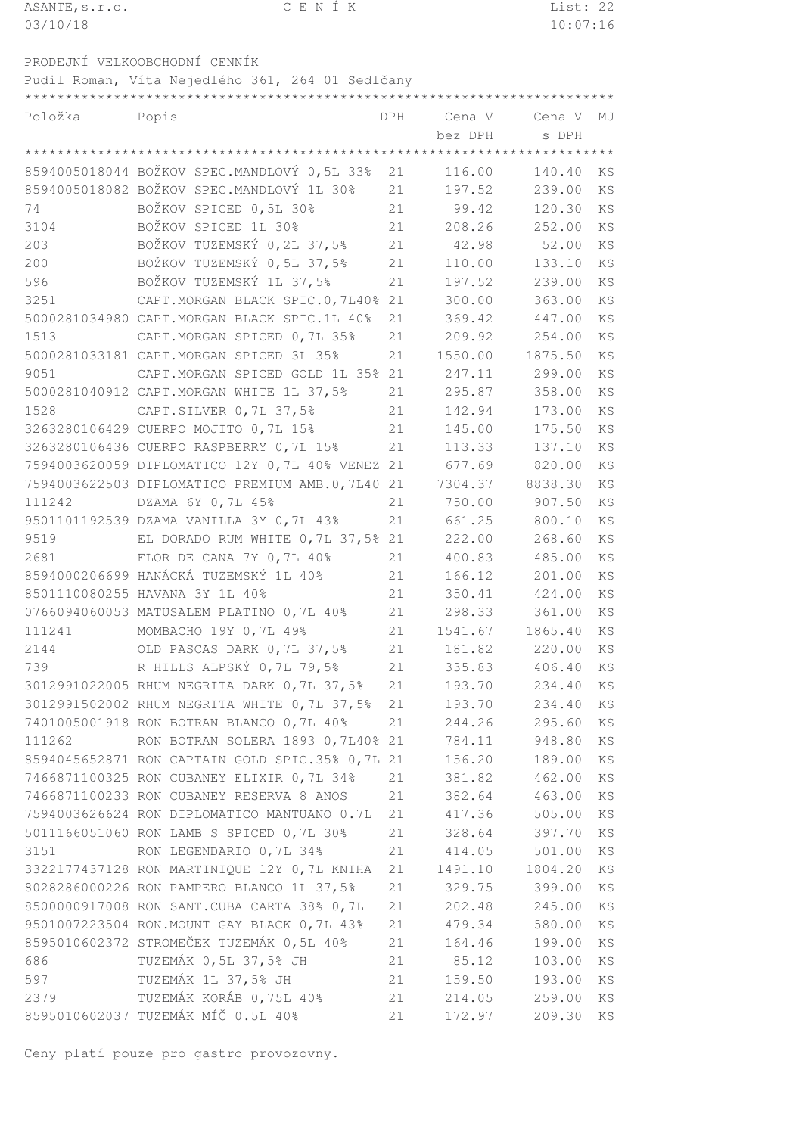| ASANTE, s.r.o. | CENIK | List: 22 |
|----------------|-------|----------|
| 03/10/18       |       | 10:07:16 |

PRODEJNÍ VELKOOBCHODNÍ CENNÍK

Pudil Roman, Víta Nejedlého 361, 264 01 Sedlčany

| Položka | Popis                                           |    | DPH Cena V Cena V |         | MJ        |  |
|---------|-------------------------------------------------|----|-------------------|---------|-----------|--|
|         |                                                 |    | bez DPH           | s DPH   |           |  |
|         |                                                 |    |                   |         |           |  |
|         | 8594005018044 BOŽKOV SPEC.MANDLOVÝ 0,5L 33%     | 21 | 116.00            | 140.40  | KS        |  |
|         | 8594005018082 BOŽKOV SPEC.MANDLOVÝ 1L 30%       | 21 | 197.52            | 239.00  | <b>KS</b> |  |
| 74      | BOŽKOV SPICED 0,5L 30%                          | 21 | 99.42             | 120.30  | KS        |  |
| 3104    | BOŽKOV SPICED 1L 30%                            | 21 | 208.26 252.00     |         | KS        |  |
| 203     | BOŽKOV TUZEMSKÝ 0,2L 37,5%                      | 21 | 42.98 52.00       |         | <b>KS</b> |  |
| 200     | BOŽKOV TUZEMSKÝ 0,5L 37,5%                      | 21 | 110.00            | 133.10  | KS        |  |
| 596     | BOŽKOV TUZEMSKÝ 1L 37,5%                        | 21 | 197.52            | 239.00  | KS        |  |
| 3251    | CAPT. MORGAN BLACK SPIC.0, 7L40% 21             |    | 300.00            | 363.00  | KS        |  |
|         | 5000281034980 CAPT.MORGAN BLACK SPIC.1L 40%     | 21 | 369.42            | 447.00  | KS        |  |
| 1513    | CAPT.MORGAN SPICED 0,7L 35%                     | 21 | 209.92            | 254.00  | KS        |  |
|         | 5000281033181 CAPT.MORGAN SPICED 3L 35%         | 21 | 1550.00           | 1875.50 | KS        |  |
| 9051    | CAPT. MORGAN SPICED GOLD 1L 35% 21              |    | 247.11 299.00     |         | KS        |  |
|         | 5000281040912 CAPT.MORGAN WHITE 1L 37,5%        | 21 | 295.87            | 358.00  | KS        |  |
| 1528    | CAPT.SILVER 0,7L 37,5%                          | 21 | 142.94            | 173.00  | KS        |  |
|         | 3263280106429 CUERPO MOJITO 0,7L 15%            | 21 | 145.00            | 175.50  | KS        |  |
|         | 3263280106436 CUERPO RASPBERRY 0,7L 15%         | 21 | 113.33            | 137.10  | KS        |  |
|         | 7594003620059 DIPLOMATICO 12Y 0,7L 40% VENEZ 21 |    | 677.69            | 820.00  | KS        |  |
|         | 7594003622503 DIPLOMATICO PREMIUM AMB.0,7L40 21 |    | 7304.37           | 8838.30 | <b>KS</b> |  |
| 111242  | DZAMA 6Y 0,7L 45%                               | 21 | 750.00            | 907.50  | KS        |  |
|         | 9501101192539 DZAMA VANILLA 3Y 0,7L 43%         | 21 | 661.25            | 800.10  | KS        |  |
| 9519    | EL DORADO RUM WHITE 0,7L 37,5% 21               |    | 222.00            | 268.60  | KS        |  |
| 2681    | FLOR DE CANA 7Y 0,7L 40%                        | 21 | 400.83            | 485.00  | KS        |  |
|         | 8594000206699 HANÁCKÁ TUZEMSKÝ 1L 40%           | 21 | 166.12            | 201.00  | KS        |  |
|         | 8501110080255 HAVANA 3Y 1L 40%                  | 21 | 350.41            | 424.00  | KS        |  |
|         | 0766094060053 MATUSALEM PLATINO 0,7L 40%        | 21 | 298.33            | 361.00  | KS        |  |
| 111241  | MOMBACHO 19Y 0, 7L 49%                          | 21 | 1541.67           | 1865.40 | KS        |  |
| 2144    | OLD PASCAS DARK 0,7L 37,5%                      | 21 | 181.82 220.00     |         | KS        |  |
| 739     | R HILLS ALPSKÝ 0,7L 79,5%                       | 21 | 335.83            | 406.40  | KS        |  |
|         | 3012991022005 RHUM NEGRITA DARK 0, 7L 37, 5%    | 21 | 193.70            | 234.40  | KS        |  |
|         | 3012991502002 RHUM NEGRITA WHITE 0,7L 37,5%     | 21 | 193.70            | 234.40  | KS        |  |
|         | 7401005001918 RON BOTRAN BLANCO 0,7L 40%        | 21 | 244.26            | 295.60  | KS        |  |
| 111262  | RON BOTRAN SOLERA 1893 0,7L40% 21               |    | 784.11            | 948.80  | KS        |  |
|         | 8594045652871 RON CAPTAIN GOLD SPIC.35% 0,7L 21 |    | 156.20            | 189.00  | KS        |  |
|         | 7466871100325 RON CUBANEY ELIXIR 0,7L 34%       | 21 | 381.82            | 462.00  | KS        |  |
|         | 7466871100233 RON CUBANEY RESERVA 8 ANOS        | 21 | 382.64            | 463.00  | KS        |  |
|         | 7594003626624 RON DIPLOMATICO MANTUANO 0.7L     | 21 | 417.36            | 505.00  | KS        |  |
|         | 5011166051060 RON LAMB S SPICED 0,7L 30%        | 21 | 328.64            | 397.70  | ΚS        |  |
| 3151    | RON LEGENDARIO 0,7L 34%                         | 21 | 414.05            | 501.00  | KS        |  |
|         | 3322177437128 RON MARTINIQUE 12Y 0, 7L KNIHA    | 21 | 1491.10           | 1804.20 | KS        |  |
|         | 8028286000226 RON PAMPERO BLANCO 1L 37,5%       | 21 | 329.75            | 399.00  | ΚS        |  |
|         | 8500000917008 RON SANT.CUBA CARTA 38% 0,7L      | 21 | 202.48            | 245.00  | ΚS        |  |
|         | 9501007223504 RON.MOUNT GAY BLACK 0,7L 43%      | 21 | 479.34            | 580.00  | KS        |  |
|         | 8595010602372 STROMEČEK TUZEMÁK 0,5L 40%        | 21 | 164.46            | 199.00  | KS        |  |
| 686     | TUZEMÁK 0,5L 37,5% JH                           | 21 | 85.12             | 103.00  | KS        |  |
| 597     | TUZEMÁK 1L 37,5% JH                             | 21 | 159.50            | 193.00  | KS        |  |
| 2379    | TUZEMÁK KORÁB 0,75L 40%                         | 21 | 214.05            | 259.00  | KS        |  |
|         | 8595010602037 TUZEMÁK MÍČ 0.5L 40%              | 21 | 172.97            | 209.30  | ΚS        |  |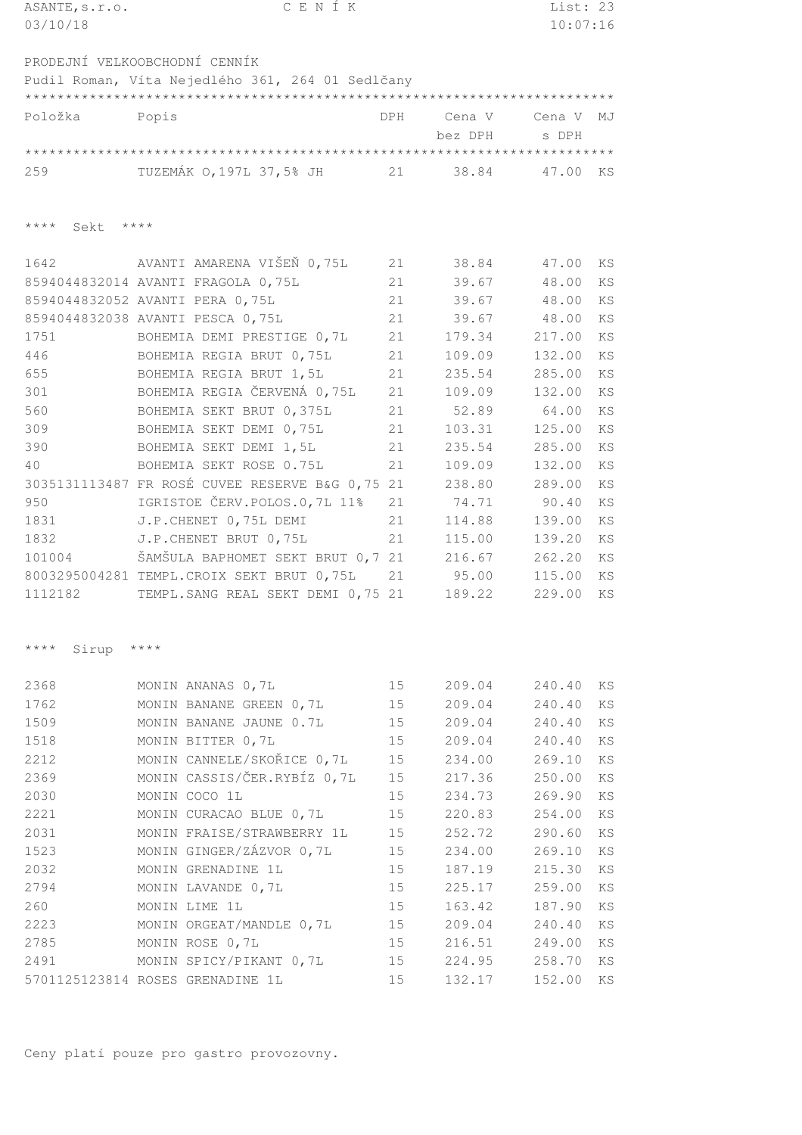| ASANTE, s.r.o.       | CENÍK                                              |            |         | List: 23 |    |
|----------------------|----------------------------------------------------|------------|---------|----------|----|
| 03/10/18             |                                                    |            |         | 10:07:16 |    |
|                      |                                                    |            |         |          |    |
|                      | PRODEJNÍ VELKOOBCHODNÍ CENNÍK                      |            |         |          |    |
|                      | Pudil Roman, Víta Nejedlého 361, 264 01 Sedlčany   |            |         |          |    |
|                      |                                                    |            |         |          |    |
| Položka              | Popis                                              | <b>DPH</b> | Cena V  | Cena V   | MJ |
|                      |                                                    |            | bez DPH | s DPH    |    |
|                      |                                                    |            |         |          |    |
| 259                  | TUZEMÁK 0,197L 37,5% JH 21 38.84                   |            |         | 47.00    | KS |
|                      |                                                    |            |         |          |    |
|                      |                                                    |            |         |          |    |
| $***$ * * *<br>Sekt  | $***$ *                                            |            |         |          |    |
|                      |                                                    |            |         |          |    |
| 1642                 | AVANTI AMARENA VIŠEŇ 0,75L                         | 21         | 38.84   | 47.00    | ΚS |
|                      | 8594044832014 AVANTI FRAGOLA 0,75L                 | 21         | 39.67   | 48.00    | KS |
|                      | 8594044832052 AVANTI PERA 0,75L                    | 21         | 39.67   | 48.00    | KS |
|                      | 8594044832038 AVANTI PESCA 0,75L                   | 21         | 39.67   | 48.00    | KS |
| 1751                 | BOHEMIA DEMI PRESTIGE 0,7L                         | 21         | 179.34  | 217.00   | KS |
| 446                  | BOHEMIA REGIA BRUT 0,75L                           | 21         | 109.09  | 132.00   | KS |
| 655                  | BOHEMIA REGIA BRUT 1,5L                            | 21         | 235.54  | 285.00   | KS |
| 301                  | BOHEMIA REGIA ČERVENÁ 0,75L                        | 21         | 109.09  | 132.00   | KS |
| 560                  | BOHEMIA SEKT BRUT 0,375L                           | 21         | 52.89   | 64.00    | KS |
| 309                  | BOHEMIA SEKT DEMI 0,75L                            | 21         | 103.31  | 125.00   | KS |
| 390                  | BOHEMIA SEKT DEMI 1,5L                             | 21         | 235.54  | 285.00   | KS |
| 40                   | BOHEMIA SEKT ROSE 0.75L                            | 21         | 109.09  | 132.00   | KS |
|                      | 3035131113487 FR ROSÉ CUVEE RESERVE B&G 0,75 21    |            | 238.80  | 289.00   | KS |
| 950                  | IGRISTOE ČERV.POLOS.0,7L 11%                       | 21         | 74.71   | 90.40    | KS |
| 1831                 | J.P. CHENET 0,75L DEMI                             | 21         | 114.88  | 139.00   | KS |
| 1832                 | J.P. CHENET BRUT 0,75L                             | 21         | 115.00  | 139.20   | KS |
| 101004               | ŠAMŠULA BAPHOMET SEKT BRUT 0,7 21                  |            | 216.67  | 262.20   | KS |
|                      | 8003295004281 TEMPL.CROIX SEKT BRUT 0,75L          | 21         | 95.00   | 115.00   | KS |
| 1112182              | TEMPL. SANG REAL SEKT DEMI 0,75 21                 |            | 189.22  | 229.00   | KS |
|                      |                                                    |            |         |          |    |
|                      |                                                    |            |         |          |    |
| $***$ * * *<br>Sirup | $\star\star\star\star$                             |            |         |          |    |
|                      |                                                    |            |         |          |    |
| 2368                 |                                                    | 15         | 209.04  | 240.40   |    |
| 1762                 | MONIN ANANAS 0,7L                                  |            | 209.04  | 240.40   | ΚS |
| 1509                 | MONIN BANANE GREEN 0,7L<br>MONIN BANANE JAUNE 0.7L | 15         | 209.04  | 240.40   | ΚS |
|                      |                                                    | 15         |         |          | ΚS |
| 1518                 | MONIN BITTER 0,7L                                  | 15         | 209.04  | 240.40   | ΚS |
| 2212                 | MONIN CANNELE/SKOŘICE 0,7L                         | 15         | 234.00  | 269.10   | KS |
| 2369                 | MONIN CASSIS/ČER.RYBÍZ 0,7L                        | 15         | 217.36  | 250.00   | ΚS |
| 2030                 | MONIN COCO 1L                                      | 15         | 234.73  | 269.90   | KS |
| 2221                 | MONIN CURACAO BLUE 0,7L                            | 15         | 220.83  | 254.00   | ΚS |
| 2031                 | MONIN FRAISE/STRAWBERRY 1L                         | 15         | 252.72  | 290.60   | KS |
| 1523                 | MONIN GINGER/ZÁZVOR 0,7L                           | 15         | 234.00  | 269.10   | KS |
| 2032                 | MONIN GRENADINE 1L                                 | 15         | 187.19  | 215.30   | KS |
| 2794                 | MONIN LAVANDE 0,7L                                 | 15         | 225.17  | 259.00   | KS |
| 260                  | MONIN LIME 1L                                      | 15         | 163.42  | 187.90   | KS |
| 2223                 | MONIN ORGEAT/MANDLE 0,7L                           | 15         | 209.04  | 240.40   | ΚS |
| 2785                 | MONIN ROSE 0,7L                                    | 15         | 216.51  | 249.00   | ΚS |
| 2491                 | MONIN SPICY/PIKANT 0,7L                            | 15         | 224.95  | 258.70   | ΚS |
|                      | 5701125123814 ROSES GRENADINE 1L                   | 15         | 132.17  | 152.00   | ΚS |
|                      |                                                    |            |         |          |    |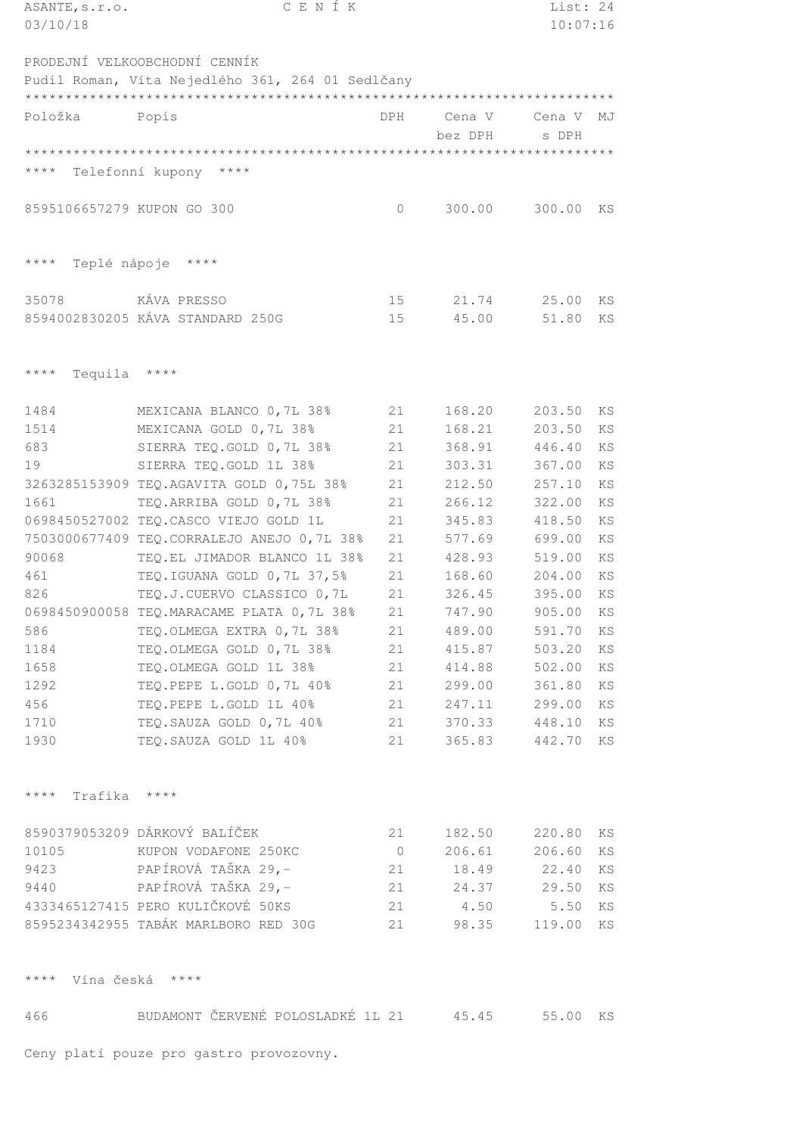| ASANTE, s.r.o.                         | CENÍK                                            |                |         | List: 24 |                        |
|----------------------------------------|--------------------------------------------------|----------------|---------|----------|------------------------|
| 03/10/18                               |                                                  |                |         | 10:07:16 |                        |
|                                        |                                                  |                |         |          |                        |
|                                        | PRODEJNÍ VELKOOBCHODNÍ CENNÍK                    |                |         |          |                        |
|                                        | Pudil Roman, Víta Nejedlého 361, 264 01 Sedlčany |                |         |          |                        |
|                                        |                                                  |                |         |          |                        |
| Položka                                | Popis                                            | DPH            | Cena V  | Cena V   | MJ                     |
|                                        |                                                  |                | bez DPH | s DPH    |                        |
|                                        |                                                  |                |         |          |                        |
| $***$ * * *<br>Telefonní kupony        | $***$ *                                          |                |         |          |                        |
|                                        |                                                  |                |         |          |                        |
| 8595106657279 KUPON GO 300             |                                                  | $\bigcirc$     | 300.00  | 300.00   | KS                     |
|                                        |                                                  |                |         |          |                        |
|                                        |                                                  |                |         |          |                        |
| $* * * * *$<br>Teplé nápoje            | $\star\star\star\star$                           |                |         |          |                        |
|                                        |                                                  |                |         |          |                        |
| 35078                                  | KÁVA PRESSO                                      | 15             | 21.74   | 25.00    | KS                     |
|                                        | 8594002830205 KÁVA STANDARD 250G                 | 15             | 45.00   | 51.80    | $\mathop{\mathrm{KS}}$ |
|                                        |                                                  |                |         |          |                        |
|                                        |                                                  |                |         |          |                        |
| $***$ * * *<br>Tequila                 | $\star\star\star\star$                           |                |         |          |                        |
|                                        |                                                  |                |         |          |                        |
| 1484                                   | MEXICANA BLANCO 0,7L 38%                         | 21             | 168.20  | 203.50   | KS                     |
| 1514                                   | MEXICANA GOLD 0,7L 38%                           | 21             | 168.21  | 203.50   | KS                     |
| 683                                    | SIERRA TEQ.GOLD 0,7L 38%                         | 21             | 368.91  | 446.40   | KS                     |
| 19                                     | SIERRA TEQ. GOLD 1L 38%                          | 21             | 303.31  | 367.00   | KS                     |
|                                        | 3263285153909 TEQ.AGAVITA GOLD 0,75L 38%         | 21             | 212.50  | 257.10   | KS                     |
| 1661                                   | TEQ.ARRIBA GOLD 0,7L 38%                         | 21             | 266.12  | 322.00   | KS                     |
|                                        | 0698450527002 TEQ.CASCO VIEJO GOLD 1L            | 21             | 345.83  | 418.50   | KS                     |
|                                        | 7503000677409 TEQ.CORRALEJO ANEJO 0,7L 38%       | 21             | 577.69  | 699.00   | KS                     |
| 90068                                  | TEQ.EL JIMADOR BLANCO 1L 38%                     | 21             | 428.93  | 519.00   | KS                     |
| 461                                    | TEQ.IGUANA GOLD 0,7L 37,5%                       | 21             | 168.60  | 204.00   | KS                     |
| 826                                    | TEQ.J.CUERVO CLASSICO 0,7L                       | 21             | 326.45  | 395.00   | KS                     |
|                                        | 0698450900058 TEQ.MARACAME PLATA 0,7L 38%        | 21             | 747.90  | 905.00   | ΚS                     |
| 586                                    | TEQ.OLMEGA EXTRA 0,7L 38%                        | 21             | 489.00  | 591.70   | KS                     |
| 1184                                   | TEQ.OLMEGA GOLD 0,7L 38%                         | 21             | 415.87  | 503.20   | ΚS                     |
| 1658                                   | TEQ.OLMEGA GOLD 1L 38%                           | 21             | 414.88  | 502.00   | KS                     |
| 1292                                   | TEQ.PEPE L.GOLD 0,7L 40%                         | 21             | 299.00  | 361.80   | KS                     |
| 456                                    | TEQ.PEPE L.GOLD 1L 40%                           | 21             | 247.11  | 299.00   | ΚS                     |
| 1710                                   | TEQ. SAUZA GOLD 0, 7L 40%                        | 21             | 370.33  | 448.10   | KS                     |
| 1930                                   | TEQ. SAUZA GOLD 1L 40%                           | 21             | 365.83  | 442.70   | KS                     |
|                                        |                                                  |                |         |          |                        |
|                                        |                                                  |                |         |          |                        |
| $\star\star\star\star$<br>Trafika **** |                                                  |                |         |          |                        |
|                                        |                                                  |                |         |          |                        |
|                                        | 8590379053209 DÁRKOVÝ BALÍČEK                    | 21             | 182.50  | 220.80   | KS                     |
| 10105                                  | KUPON VODAFONE 250KC                             | $\overline{0}$ | 206.61  | 206.60   | ΚS                     |
| 9423                                   | PAPÍROVÁ TAŠKA 29,-                              | 21             | 18.49   | 22.40    | ΚS                     |
| 9440                                   | PAPÍROVÁ TAŠKA 29,-                              | 21             | 24.37   | 29.50    | KS                     |
|                                        | 4333465127415 PERO KULIČKOVÉ 50KS                | 21             | 4.50    | 5.50     | ΚS                     |
|                                        | 8595234342955 TABÁK MARLBORO RED 30G             | 21             | 98.35   | 119.00   | KS                     |
|                                        |                                                  |                |         |          |                        |
|                                        |                                                  |                |         |          |                        |
| $***$ * * *                            | Vína česká ****                                  |                |         |          |                        |
|                                        |                                                  |                |         |          |                        |
| 466                                    | BUDAMONT ČERVENÉ POLOSLADKÉ 1L 21                |                | 45.45   | 55.00    | KS                     |
|                                        |                                                  |                |         |          |                        |
|                                        | Ceny platí pouze pro gastro provozovny.          |                |         |          |                        |
|                                        |                                                  |                |         |          |                        |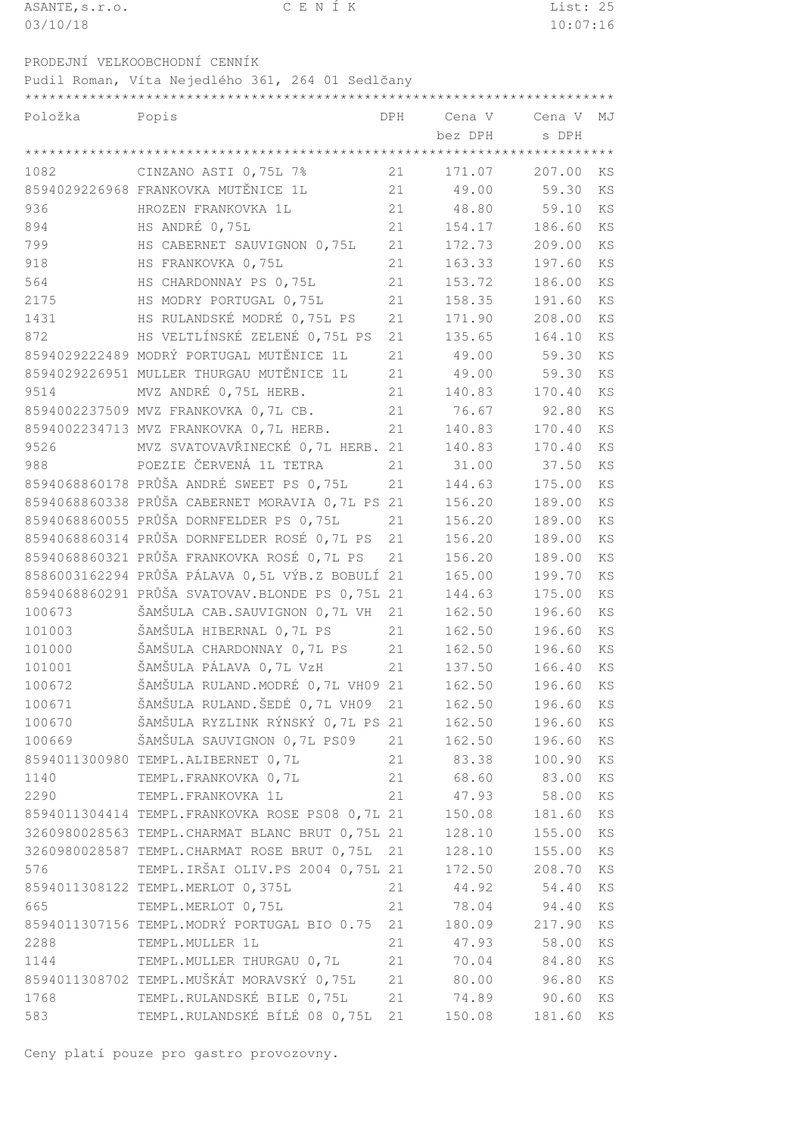| ASANTE, s.r.o. | CENIK | List: 25 |
|----------------|-------|----------|
| 03/10/18       |       | 10:07:16 |
|                |       |          |

\*\*\*\*\*\*\*\*\*\*\*\*\*\*\*\*\*\*\*\*\*\*\*\*\*\*\*\*\*\*\*\*\*\*\*\*\*\*\*\*\*\*\*\*\*\*\*\*\*\*\*\*\*\*\*\*\*\*\*\*\*\*\*\*\*\*\*\*\*\*\*\*\*

PRODEJNÍ VELKOOBCHODNÍ CENNÍK

Pudil Roman, Víta Nejedlého 361, 264 01 Sedlčany

| Položka | Popis                                            | DPH | Cena V Cena V |        | MJ                     |
|---------|--------------------------------------------------|-----|---------------|--------|------------------------|
|         |                                                  |     | bez DPH       | s DPH  |                        |
|         |                                                  |     |               |        |                        |
| 1082    | CINZANO ASTI 0,75L 7%                            | 21  | 171.07        | 207.00 | KS                     |
|         | 8594029226968 FRANKOVKA MUTĚNICE 1L              | 21  | 49.00         | 59.30  | KS                     |
| 936     | HROZEN FRANKOVKA 1L                              | 21  | 48.80         | 59.10  | KS                     |
| 894     | HS ANDRÉ 0,75L                                   | 21  | 154.17        | 186.60 | KS                     |
| 799     | HS CABERNET SAUVIGNON 0,75L                      | 21  | 172.73        | 209.00 | KS                     |
| 918     | HS FRANKOVKA 0,75L                               | 21  | 163.33        | 197.60 | KS                     |
| 564     | HS CHARDONNAY PS 0,75L                           | 21  | 153.72        | 186.00 | KS                     |
| 2175    | HS MODRY PORTUGAL 0,75L                          | 21  | 158.35        | 191.60 | KS                     |
| 1431    | HS RULANDSKÉ MODRÉ 0,75L PS                      | 21  | 171.90        | 208.00 | KS                     |
| 872     | HS VELTLÍNSKÉ ZELENÉ 0,75L PS                    | 21  | 135.65        | 164.10 | KS                     |
|         | 8594029222489 MODRÝ PORTUGAL MUTĚNICE 1L         | 21  | 49.00         | 59.30  | KS                     |
|         | 8594029226951 MULLER THURGAU MUTĚNICE 1L         | 21  | 49.00         | 59.30  | KS                     |
| 9514    | MVZ ANDRÉ 0,75L HERB.                            | 21  | 140.83        | 170.40 | KS                     |
|         | 8594002237509 MVZ FRANKOVKA 0,7L CB.             | 21  | 76.67         | 92.80  | KS                     |
|         | 8594002234713 MVZ FRANKOVKA 0,7L HERB.           | 21  | 140.83        | 170.40 | KS                     |
| 9526    | MVZ SVATOVAVŘINECKÉ 0,7L HERB. 21                |     | 140.83        | 170.40 | KS                     |
| 988     | POEZIE ČERVENÁ 1L TETRA                          | 21  | 31.00         | 37.50  | KS                     |
|         | 8594068860178 PRŮŠA ANDRÉ SWEET PS 0,75L         | 21  | 144.63        | 175.00 | KS                     |
|         | 8594068860338 PRŮŠA CABERNET MORAVIA 0,7L PS 21  |     | 156.20        | 189.00 | KS                     |
|         | 8594068860055 PRŮŠA DORNFELDER PS 0,75L          | 21  | 156.20        | 189.00 | KS                     |
|         | 8594068860314 PRŮŠA DORNFELDER ROSÉ 0,7L PS      | 21  | 156.20        | 189.00 | KS                     |
|         | 8594068860321 PRŮŠA FRANKOVKA ROSÉ 0,7L PS       | 21  | 156.20        | 189.00 | KS                     |
|         | 8586003162294 PRŮŠA PÁLAVA 0,5L VÝB.Z BOBULÍ 21  |     | 165.00        | 199.70 | KS                     |
|         | 8594068860291 PRŮŠA SVATOVAV. BLONDE PS 0,75L 21 |     | 144.63        | 175.00 | KS                     |
| 100673  | ŠAMŠULA CAB. SAUVIGNON 0,7L VH                   | 21  | 162.50        | 196.60 | KS                     |
| 101003  | ŠAMŠULA HIBERNAL 0,7L PS                         | 21  | 162.50        |        | KS                     |
| 101000  | ŠAMŠULA CHARDONNAY 0,7L PS                       | 21  |               | 196.60 | KS                     |
|         |                                                  |     | 162.50        | 196.60 |                        |
| 101001  | ŠAMŠULA PÁLAVA 0,7L VzH                          | 21  | 137.50        | 166.40 | KS                     |
| 100672  | ŠAMŠULA RULAND. MODRÉ 0,7L VH09 21               |     | 162.50        | 196.60 | KS                     |
| 100671  | ŠAMŠULA RULAND.ŠEDÉ 0,7L VH09                    | 21  | 162.50        | 196.60 | $\mathop{\mathrm{KS}}$ |
| 100670  | ŠAMŠULA RYZLINK RÝNSKÝ 0,7L PS 21                |     | 162.50        | 196.60 | KS                     |
| 100669  | ŠAMŠULA SAUVIGNON 0,7L PS09                      | 21  | 162.50        | 196.60 | KS                     |
|         | 8594011300980 TEMPL.ALIBERNET 0,7L               | 21  | 83.38         | 100.90 | KS                     |
| 1140    | TEMPL.FRANKOVKA 0,7L                             | 21  | 68.60         | 83.00  | KS                     |
| 2290    | TEMPL.FRANKOVKA 1L                               | 21  | 47.93         | 58.00  | KS                     |
|         | 8594011304414 TEMPL.FRANKOVKA ROSE PS08 0,7L 21  |     | 150.08        | 181.60 | KS                     |
|         | 3260980028563 TEMPL. CHARMAT BLANC BRUT 0,75L 21 |     | 128.10        | 155.00 | KS                     |
|         | 3260980028587 TEMPL. CHARMAT ROSE BRUT 0,75L     | 21  | 128.10        | 155.00 | KS                     |
| 576     | TEMPL.IRŠAI OLIV.PS 2004 0,75L 21                |     | 172.50        | 208.70 | KS                     |
|         | 8594011308122 TEMPL.MERLOT 0,375L                | 21  | 44.92         | 54.40  | KS                     |
| 665     | TEMPL.MERLOT 0,75L                               | 21  | 78.04         | 94.40  | KS                     |
|         | 8594011307156 TEMPL.MODRÝ PORTUGAL BIO 0.75      | 21  | 180.09        | 217.90 | KS                     |
| 2288    | TEMPL.MULLER 1L                                  | 21  | 47.93         | 58.00  | KS                     |
| 1144    | TEMPL.MULLER THURGAU 0,7L                        | 21  | 70.04         | 84.80  | ΚS                     |
|         | 8594011308702 TEMPL.MUŠKÁT MORAVSKÝ 0,75L        | 21  | 80.00         | 96.80  | KS                     |
| 1768    | TEMPL.RULANDSKÉ BILE 0,75L                       | 21  | 74.89         | 90.60  | KS                     |
| 583     | TEMPL.RULANDSKÉ BÍLÉ 08 0,75L                    | 21  | 150.08        | 181.60 | KS                     |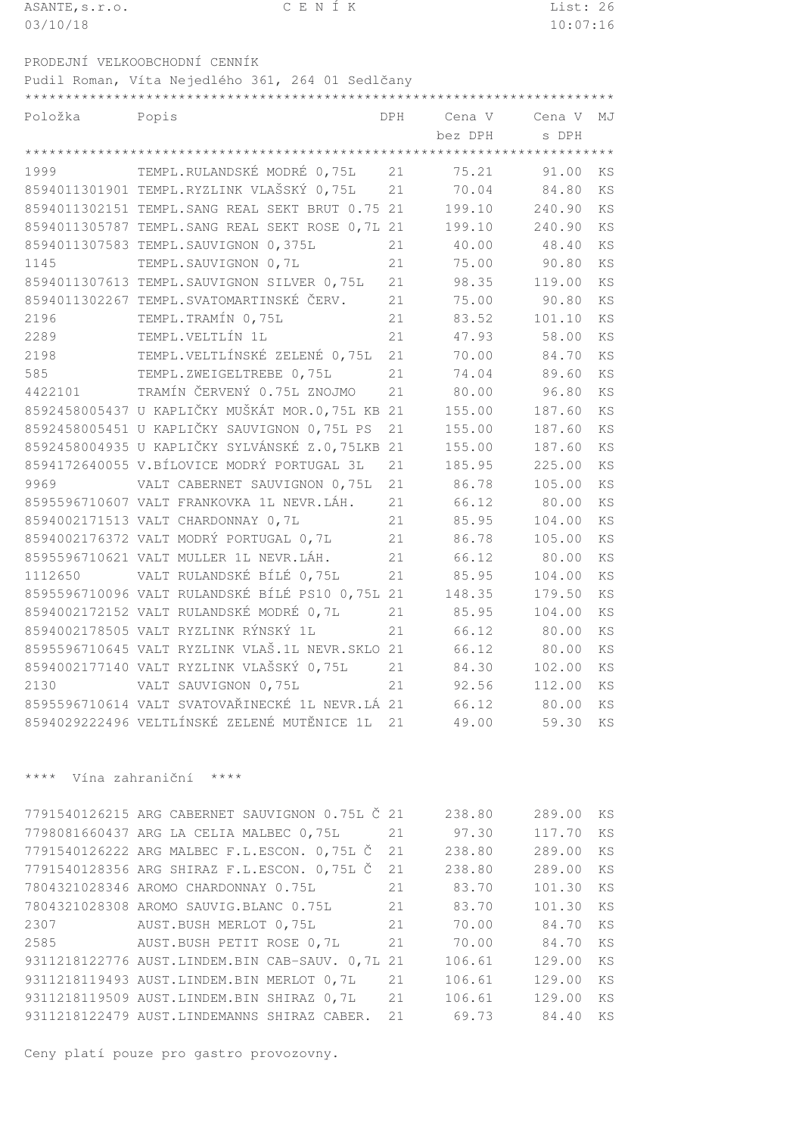| ASANTE, s.r.o. | CENÍK                                             |     |         | List: 26 |                        |
|----------------|---------------------------------------------------|-----|---------|----------|------------------------|
| 03/10/18       |                                                   |     |         | 10:07:16 |                        |
|                |                                                   |     |         |          |                        |
|                | PRODEJNÍ VELKOOBCHODNÍ CENNÍK                     |     |         |          |                        |
|                | Pudil Roman, Víta Nejedlého 361, 264 01 Sedlčany  |     |         |          |                        |
|                |                                                   |     |         |          |                        |
| Položka        | Popis                                             | DPH | Cena V  | Cena V   | MJ                     |
|                |                                                   |     | bez DPH | s DPH    |                        |
|                |                                                   |     |         |          |                        |
| 1999           | TEMPL.RULANDSKÉ MODRÉ 0,75L                       | 21  | 75.21   | 91.00    | ΚS                     |
|                | 8594011301901 TEMPL.RYZLINK VLAŠSKÝ 0,75L         | 21  | 70.04   | 84.80    | KS                     |
|                | 8594011302151 TEMPL.SANG REAL SEKT BRUT 0.75 21   |     | 199.10  | 240.90   | <b>KS</b>              |
|                | 8594011305787 TEMPL. SANG REAL SEKT ROSE 0, 7L 21 |     | 199.10  | 240.90   | KS                     |
|                | 8594011307583 TEMPL.SAUVIGNON 0,375L              | 21  | 40.00   | 48.40    | KS                     |
| 1145           | TEMPL. SAUVIGNON 0,7L                             | 21  | 75.00   | 90.80    | <b>KS</b>              |
|                | 8594011307613 TEMPL.SAUVIGNON SILVER 0,75L        | 21  | 98.35   | 119.00   | <b>KS</b>              |
|                | 8594011302267 TEMPL.SVATOMARTINSKÉ ČERV.          | 21  | 75.00   | 90.80    | <b>KS</b>              |
| 2196           | TEMPL. TRAMÍN 0,75L                               | 21  | 83.52   | 101.10   | KS                     |
| 2289           | TEMPL.VELTLÍN 1L                                  | 21  | 47.93   | 58.00    | <b>KS</b>              |
| 2198           | TEMPL.VELTLÍNSKÉ ZELENÉ 0,75L                     | 21  | 70.00   | 84.70    | KS                     |
| 585            | TEMPL.ZWEIGELTREBE 0,75L                          | 21  | 74.04   | 89.60    | KS                     |
| 4422101        | TRAMÍN ČERVENÝ 0.75L ZNOJMO                       | 21  | 80.00   | 96.80    | KS                     |
|                | 8592458005437 U KAPLIČKY MUŠKÁT MOR.0,75L KB 21   |     | 155.00  | 187.60   | <b>KS</b>              |
|                | 8592458005451 U KAPLIČKY SAUVIGNON 0,75L PS       | 21  | 155.00  | 187.60   | KS                     |
|                | 8592458004935 U KAPLIČKY SYLVÁNSKÉ Z.0,75LKB 21   |     | 155.00  | 187.60   | KS                     |
|                | 8594172640055 V.BÍLOVICE MODRÝ PORTUGAL 3L        | 21  | 185.95  | 225.00   | <b>KS</b>              |
| 9969           | VALT CABERNET SAUVIGNON 0,75L                     | 21  | 86.78   | 105.00   | <b>KS</b>              |
|                | 8595596710607 VALT FRANKOVKA 1L NEVR.LÁH.         | 21  | 66.12   | 80.00    | <b>KS</b>              |
|                | 8594002171513 VALT CHARDONNAY 0,7L                | 21  | 85.95   | 104.00   | KS                     |
|                | 8594002176372 VALT MODRÝ PORTUGAL 0,7L            | 21  | 86.78   | 105.00   | <b>KS</b>              |
|                | 8595596710621 VALT MULLER 1L NEVR.LÁH.            | 21  | 66.12   | 80.00    | KS                     |
| 1112650        | VALT RULANDSKÉ BÍLÉ 0,75L                         | 21  | 85.95   | 104.00   | KS                     |
|                | 8595596710096 VALT RULANDSKÉ BÍLÉ PS10 0,75L 21   |     | 148.35  | 179.50   | KS                     |
|                | 8594002172152 VALT RULANDSKÉ MODRÉ 0,7L           | 21  | 85.95   | 104.00   | ΚS                     |
|                | 8594002178505 VALT RYZLINK RÝNSKÝ 1L              | 21  | 66.12   | 80.00    | KS                     |
|                | 8595596710645 VALT RYZLINK VLAŠ.1L NEVR.SKLO 21   |     | 66.12   | 80.00    | ΚS                     |
|                | 8594002177140 VALT RYZLINK VLAŠSKÝ 0,75L          | 21  | 84.30   | 102.00   | ΚS                     |
| 2130           | VALT SAUVIGNON 0,75L                              | 21  | 92.56   | 112.00   | KS                     |
|                | 8595596710614 VALT SVATOVAŘINECKÉ 1L NEVR.LÁ 21   |     | 66.12   | 80.00    | KS                     |
|                | 8594029222496 VELTLÍNSKÉ ZELENÉ MUTĚNICE 1L       | 21  | 49.00   | 59.30    | KS                     |
|                |                                                   |     |         |          |                        |
|                |                                                   |     |         |          |                        |
| $***$ * *      | Vína zahraniční ****                              |     |         |          |                        |
|                |                                                   |     |         |          |                        |
|                | 7791540126215 ARG CABERNET SAUVIGNON 0.75L Č 21   |     | 238.80  | 289.00   | KS                     |
|                | 7798081660437 ARG LA CELIA MALBEC 0,75L           | 21  | 97.30   | 117.70   | ΚS                     |
|                | 7791540126222 ARG MALBEC F.L.ESCON. 0,75L Č       | 21  | 238.80  | 289.00   | KS                     |
|                | 7791540128356 ARG SHIRAZ F.L.ESCON. 0,75L Č       | 21  | 238.80  | 289.00   | KS                     |
|                | 7804321028346 AROMO CHARDONNAY 0.75L              | 21  | 83.70   | 101.30   | KS                     |
|                | 7804321028308 AROMO SAUVIG.BLANC 0.75L            | 21  | 83.70   | 101.30   | KS                     |
| 2307           | AUST. BUSH MERLOT 0, 75L                          | 21  | 70.00   | 84.70    | KS                     |
| 2585           | AUST.BUSH PETIT ROSE 0,7L                         | 21  | 70.00   | 84.70    | $\mathop{\mathrm{KS}}$ |
|                | 9311218122776 AUST.LINDEM.BIN CAB-SAUV. 0,7L 21   |     | 106.61  | 129.00   | KS                     |
|                | 9311218119493 AUST.LINDEM.BIN MERLOT 0,7L         | 21  | 106.61  | 129.00   | $\mathop{\mathrm{KS}}$ |
|                | 9311218119509 AUST.LINDEM.BIN SHIRAZ 0,7L         | 21  | 106.61  | 129.00   | ΚS                     |
|                | 9311218122479 AUST.LINDEMANNS SHIRAZ CABER.       | 21  | 69.73   | 84.40    | ΚS                     |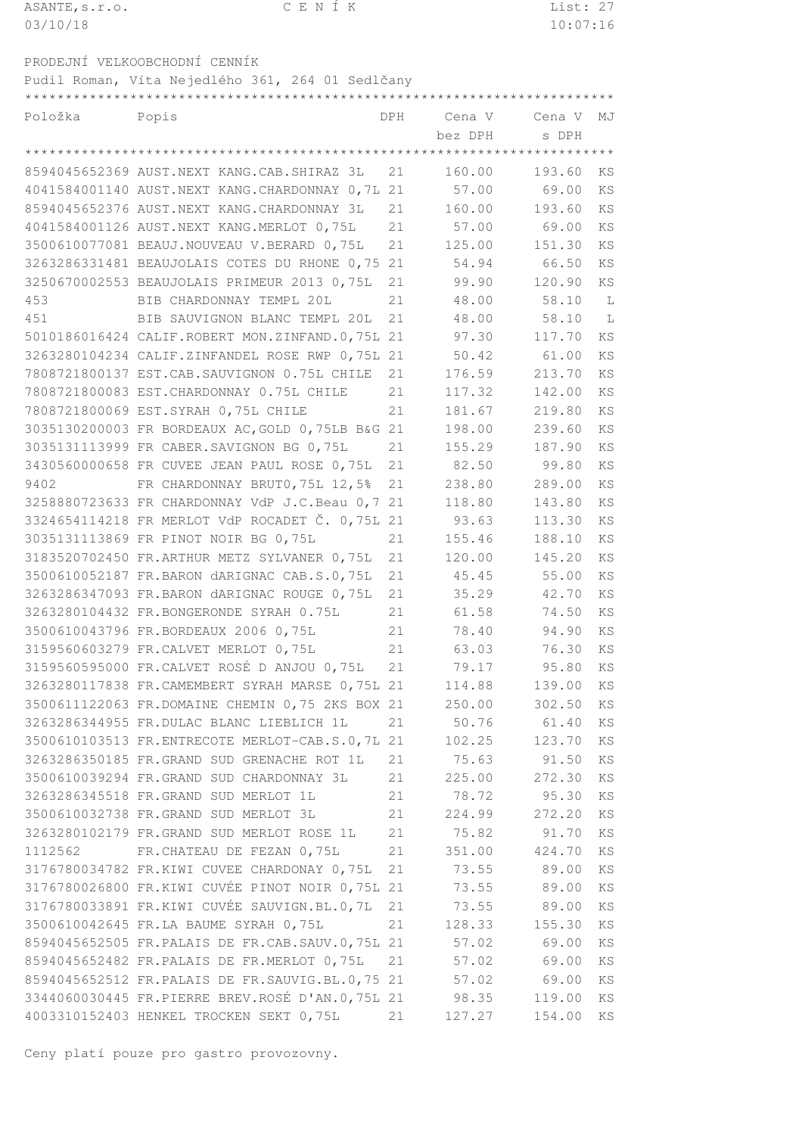| ASANTE, s.r.o. | CENIK | List: 27 |
|----------------|-------|----------|
| 03/10/18       |       | 10:07:16 |
|                |       |          |

\*\*\*\*\*\*\*\*\*\*\*\*\*\*\*\*\*\*\*\*\*\*\*\*\*\*\*\*\*\*\*\*\*\*\*\*\*\*\*\*\*\*\*\*\*\*\*\*\*\*\*\*\*\*\*\*\*\*\*\*\*\*\*\*\*\*\*\*\*\*\*\*\*

PRODEJNÍ VELKOOBCHODNÍ CENNÍK

Pudil Roman, Víta Nejedlého 361, 264 01 Sedlčany

Položka Popis DPH Cena V Cena V MJ bez DPH s DPH \*\*\*\*\*\*\*\*\*\*\*\*\*\*\*\*\*\*\*\*\*\*\*\*\*\*\*\*\*\*\*\*\*\*\*\*\*\*\*\*\*\*\*\*\*\*\*\*\*\*\*\*\*\*\*\*\*\*\*\*\*\*\*\*\*\*\*\*\*\*\*\*\* AUST.NEXT KANG.CAB.SHIRAZ 3L 21 160.00 193.60 KS AUST.NEXT KANG.CHARDONNAY 0,7L 21 57.00 69.00 KS AUST.NEXT KANG.CHARDONNAY 3L 21 160.00 193.60 KS AUST.NEXT KANG.MERLOT 0,75L 21 57.00 69.00 KS BEAUJ.NOUVEAU V.BERARD 0,75L 21 125.00 151.30 KS BEAUJOLAIS COTES DU RHONE 0,75 21 54.94 66.50 KS BEAUJOLAIS PRIMEUR 2013 0,75L 21 99.90 120.90 KS BIB CHARDONNAY TEMPL 20L 21 48.00 58.10 L BIB SAUVIGNON BLANC TEMPL 20L 21 48.00 58.10 L CALIF.ROBERT MON.ZINFAND.0,75L 21 97.30 117.70 KS 3263280104234 CALIF.ZINFANDEL ROSE RWP 0,75L 21 50.42 61.00 KS EST.CAB.SAUVIGNON 0.75L CHILE 21 176.59 213.70 KS EST.CHARDONNAY 0.75L CHILE 21 117.32 142.00 KS EST.SYRAH 0,75L CHILE 21 181.67 219.80 KS FR BORDEAUX AC,GOLD 0,75LB B&G 21 198.00 239.60 KS FR CABER.SAVIGNON BG 0,75L 21 155.29 187.90 KS FR CUVEE JEAN PAUL ROSE 0,75L 21 82.50 99.80 KS FR CHARDONNAY BRUT0,75L 12,5% 21 238.80 289.00 KS 3258880723633 FR CHARDONNAY VdP J.C.Beau 0,7 21 118.80 143.80 KS<br>3324654114218 FR MERLOT VdP ROCADET Č. 0,75L 21 93.63 113.30 KS<br>3035131113869 FR PINOT NOIR BG 0,75L 21 155.46 188.10 KS 3324654114218 FR MERLOT VdP ROCADET Č. 0,75L 21 93.63 113.30 KS FR PINOT NOIR BG 0,75L 21 155.46 188.10 KS FR.ARTHUR METZ SYLVANER 0,75L 21 120.00 145.20 KS 3500610052187 FR.BARON dARIGNAC CAB.S.0,75L 21 45.45 55.00 KS<br>3263286347093 FR.BARON dARIGNAC ROUGE 0,75L 21 35.29 42.70 KS FR.BARON dARIGNAC ROUGE 0,75L 21 35.29 42.70 KS 3263280104432 FR.BONGERONDE SYRAH 0.75L 21 61.58 74.50 KS<br>3500610043796 FR.BORDEAUX 2006 0.75L 21 78.40 94.90 KS FR.BORDEAUX 2006 0,75L 21 78.40 94.90 KS 3159560603279 FR.CALVET MERLOT 0,75L 21 63.03 76.30 KS FR.CALVET ROSÉ D ANJOU 0,75L 21 79.17 95.80 KS FR.CAMEMBERT SYRAH MARSE 0,75L 21 114.88 139.00 KS FR.DOMAINE CHEMIN 0,75 2KS BOX 21 250.00 302.50 KS FR.DULAC BLANC LIEBLICH 1L 21 50.76 61.40 KS FR.ENTRECOTE MERLOT-CAB.S.0,7L 21 102.25 123.70 KS FR.GRAND SUD GRENACHE ROT 1L 21 75.63 91.50 KS FR.GRAND SUD CHARDONNAY 3L 21 225.00 272.30 KS FR.GRAND SUD MERLOT 1L 21 78.72 95.30 KS FR.GRAND SUD MERLOT 3L 21 224.99 272.20 KS FR.GRAND SUD MERLOT ROSE 1L 21 75.82 91.70 KS FR.CHATEAU DE FEZAN 0,75L 21 351.00 424.70 KS FR.KIWI CUVEE CHARDONAY 0,75L 21 73.55 89.00 KS FR.KIWI CUVÉE PINOT NOIR 0,75L 21 73.55 89.00 KS FR.KIWI CUVÉE SAUVIGN.BL.0,7L 21 73.55 89.00 KS 3500610042645 FR.LA BAUME SYRAH 0,75L 21 128.33 155.30 KS<br>8594045652505 FR.PALAIS DE FR.CAB.SAUV.0,75L 21 57.02 69.00 KS 8594045652505 FR.PALAIS DE FR.CAB.SAUV.0,75L 21 57.02 69.00 KS

 FR.PALAIS DE FR.SAUVIG.BL.0,75 21 57.02 69.00 KS FR.PIERRE BREV.ROSÉ D'AN.0,75L 21 98.35 119.00 KS HENKEL TROCKEN SEKT 0,75L 21 127.27 154.00 KS

8594045652482 FR.PALAIS DE FR.MERLOT 0,75L 21 57.02 69.00 KS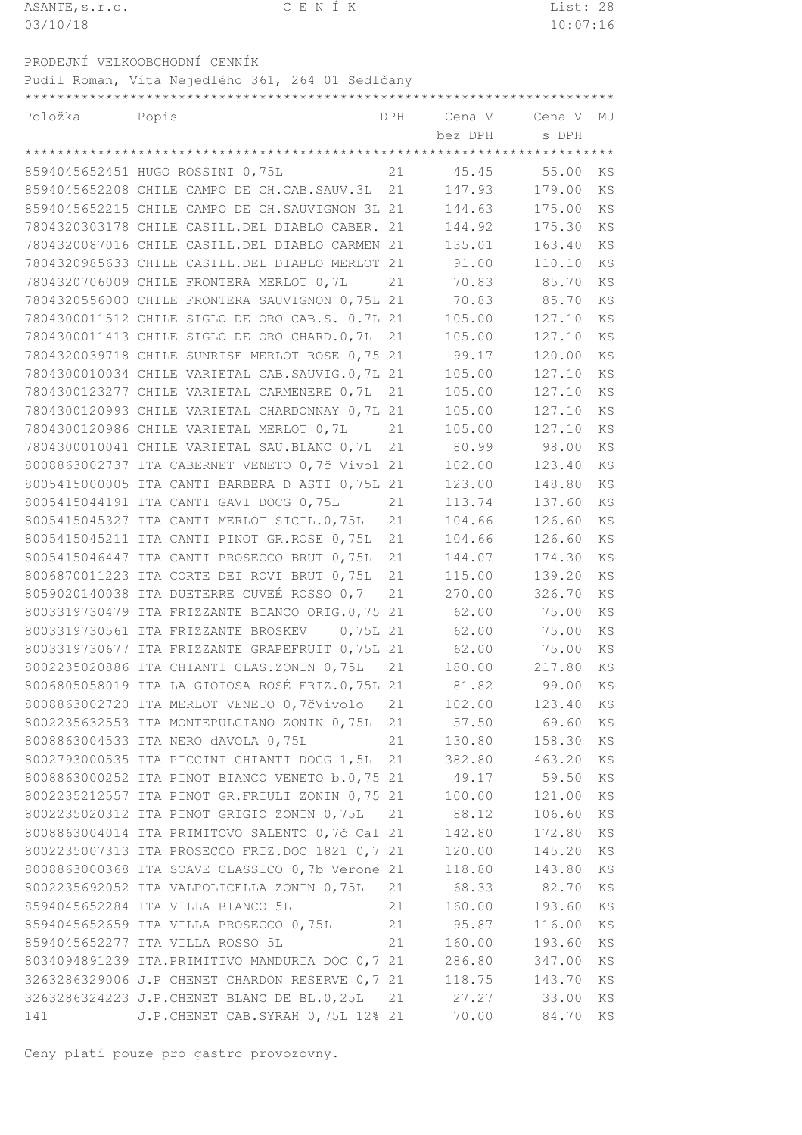| ASANTE, s.r.o. |                                                  | CENIK |     |        | List: 28 |       |
|----------------|--------------------------------------------------|-------|-----|--------|----------|-------|
| 03/10/18       |                                                  |       |     |        | 10:07:16 |       |
|                |                                                  |       |     |        |          |       |
|                | PRODEJNÍ VELKOOBCHODNÍ CENNÍK                    |       |     |        |          |       |
|                | Pudil Roman, Víta Nejedlého 361, 264 01 Sedlčany |       |     |        |          |       |
|                |                                                  |       |     |        |          |       |
| Položka        | Popis                                            |       | DPH | Cena V | Cena V   | - M.T |

| Položka | Popis                                                  |    | DPH Cena V Cena V |             | MJ |
|---------|--------------------------------------------------------|----|-------------------|-------------|----|
|         |                                                        |    | bez DPH           | s DPH       |    |
|         |                                                        |    |                   |             |    |
|         | 8594045652451 HUGO ROSSINI 0,75L                       | 21 | 45.45             | 55.00       | ΚS |
|         | 8594045652208 CHILE CAMPO DE CH.CAB.SAUV.3L            | 21 | 147.93            | 179.00      | KS |
|         | 8594045652215 CHILE CAMPO DE CH. SAUVIGNON 3L 21       |    | 144.63            | 175.00      | KS |
|         | 7804320303178 CHILE CASILL. DEL DIABLO CABER. 21       |    | 144.92            | 175.30      | KS |
|         | 7804320087016 CHILE CASILL. DEL DIABLO CARMEN 21       |    | 135.01            | 163.40      | KS |
|         | 7804320985633 CHILE CASILL.DEL DIABLO MERLOT 21        |    | 91.00             | 110.10      | KS |
|         | 7804320706009 CHILE FRONTERA MERLOT 0,7L               | 21 | 70.83             | 85.70       | KS |
|         | 7804320556000 CHILE FRONTERA SAUVIGNON 0,75L 21        |    | 70.83             | 85.70       | KS |
|         | 7804300011512 CHILE SIGLO DE ORO CAB.S. 0.7L 21        |    | 105.00            | 127.10      | KS |
|         | 7804300011413 CHILE SIGLO DE ORO CHARD.0,7L            | 21 | 105.00            | 127.10      | ΚS |
|         | 7804320039718 CHILE SUNRISE MERLOT ROSE 0,75 21        |    | 99.17             | 120.00      | KS |
|         | 7804300010034 CHILE VARIETAL CAB. SAUVIG.0, 7L 21      |    | 105.00            | 127.10      | KS |
|         | 7804300123277 CHILE VARIETAL CARMENERE 0,7L            | 21 | 105.00            | 127.10      | KS |
|         | 7804300120993 CHILE VARIETAL CHARDONNAY 0,7L 21        |    | 105.00            | 127.10      | KS |
|         | 7804300120986 CHILE VARIETAL MERLOT 0,7L               | 21 | 105.00            | 127.10      | KS |
|         | 7804300010041 CHILE VARIETAL SAU. BLANC 0, 7L          | 21 | 80.99             | 98.00       | KS |
|         | 8008863002737 ITA CABERNET VENETO 0,7č Vivol 21        |    | 102.00            | 123.40      | KS |
|         | 8005415000005 ITA CANTI BARBERA D ASTI 0,75L 21        |    | 123.00            | 148.80      | KS |
|         | 8005415044191 ITA CANTI GAVI DOCG 0,75L                | 21 | 113.74            | 137.60      | KS |
|         | 8005415045327 ITA CANTI MERLOT SICIL.0,75L             | 21 | 104.66            | 126.60      | KS |
|         | 8005415045211 ITA CANTI PINOT GR.ROSE 0,75L            | 21 | 104.66            | 126.60      | KS |
|         | 8005415046447 ITA CANTI PROSECCO BRUT 0,75L            | 21 | 144.07            | 174.30      | KS |
|         | 8006870011223 ITA CORTE DEI ROVI BRUT 0,75L            | 21 | 115.00            | 139.20      | KS |
|         | 8059020140038 ITA DUETERRE CUVEÉ ROSSO 0,7             | 21 | 270.00            | 326.70      | KS |
|         | 8003319730479 ITA FRIZZANTE BIANCO ORIG.0,75           | 21 | 62.00             | 75.00       | KS |
|         | 8003319730561 ITA FRIZZANTE BROSKEV<br>$0,75L$ 21      |    | 62.00             | 75.00       | KS |
|         | 8003319730677 ITA FRIZZANTE GRAPEFRUIT 0,75L 21        |    | 62.00             | 75.00       | KS |
|         | 8002235020886 ITA CHIANTI CLAS. ZONIN 0,75L            | 21 | 180.00            | 217.80      | KS |
|         | 8006805058019 ITA LA GIOIOSA ROSÉ FRIZ.0,75L 21        |    | 81.82             | 99.00       | KS |
|         | 8008863002720 ITA MERLOT VENETO 0,7čVivolo 21          |    | 102.00            | 123.40      | ΚS |
|         | 8002235632553 ITA MONTEPULCIANO ZONIN 0,75L            | 21 | 57.50             | 69.60       | ΚS |
|         | 8008863004533 ITA NERO dAVOLA 0,75L                    | 21 | 130.80            | 158.30      | KS |
|         | 8002793000535 ITA PICCINI CHIANTI DOCG 1,5L 21         |    | 382.80            | 463.20      | KS |
|         | 8008863000252 ITA PINOT BIANCO VENETO b.0,75 21        |    | 49.17             | 59.50       | KS |
|         | 8002235212557 ITA PINOT GR. FRIULI ZONIN 0,75 21       |    | 100.00            | 121.00      | KS |
|         | 8002235020312 ITA PINOT GRIGIO ZONIN 0,75L             | 21 | 88.12             | 106.60      | KS |
|         | 8008863004014 ITA PRIMITOVO SALENTO 0,7č Cal 21        |    | 142.80            | 172.80      | ΚS |
|         | 8002235007313 ITA PROSECCO FRIZ.DOC 1821 0,7 21        |    | 120.00            | 145.20      | KS |
|         | 8008863000368 ITA SOAVE CLASSICO 0, 7b Verone 21       |    | 118.80            | 143.80      | KS |
|         | 8002235692052 ITA VALPOLICELLA ZONIN 0,75L             | 21 | 68.33             | 82.70       | KS |
|         | 8594045652284 ITA VILLA BIANCO 5L                      | 21 | 160.00            | 193.60      | KS |
|         | 8594045652659 ITA VILLA PROSECCO 0,75L                 | 21 | 95.87             | 116.00      | KS |
|         | 8594045652277 ITA VILLA ROSSO 5L                       | 21 | 160.00            | 193.60      | KS |
|         | 8034094891239 ITA. PRIMITIVO MANDURIA DOC 0,7 21       |    | 286.80            | 347.00      | ΚS |
|         | 3263286329006 J.P CHENET CHARDON RESERVE 0,7 21 118.75 |    |                   | 143.70      | KS |
|         | 3263286324223 J.P.CHENET BLANC DE BL.0,25L 21          |    | 27.27             | 33.00       | KS |
| 141     | J.P. CHENET CAB. SYRAH 0, 75L 12% 21                   |    |                   | 70.00 84.70 | KS |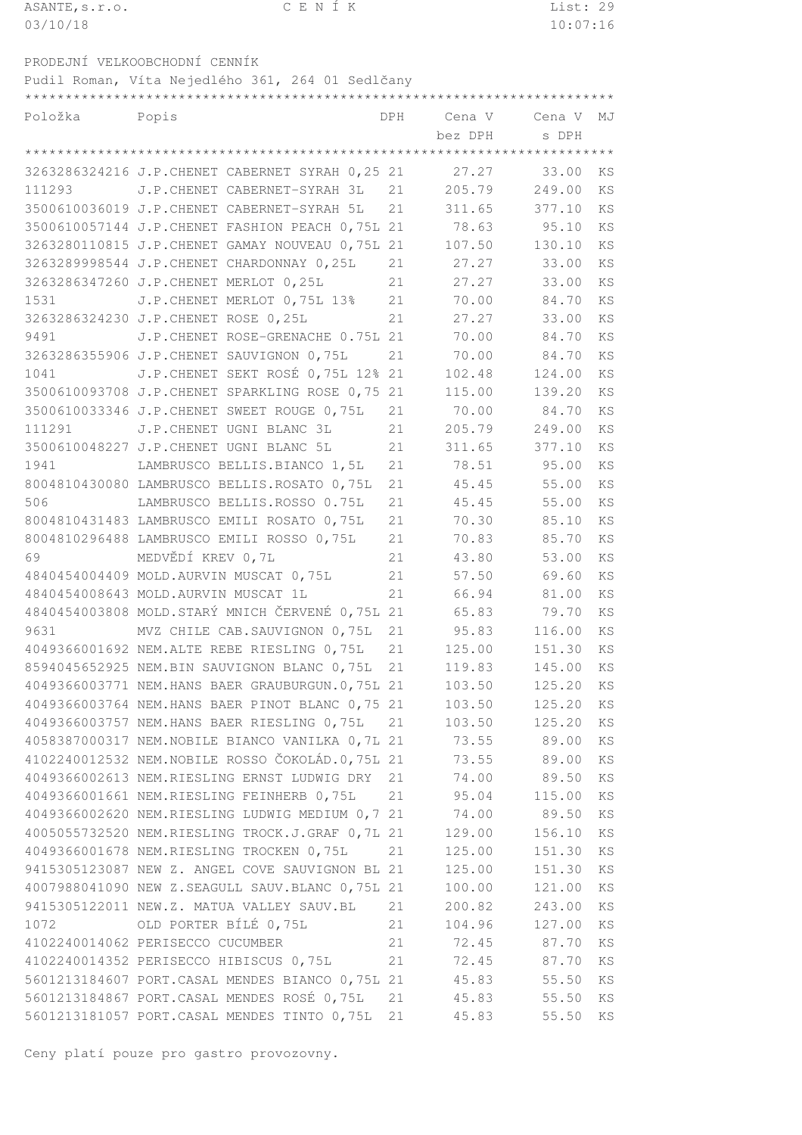| ASANTE, s.r.o. | CENIK | List: 29 |
|----------------|-------|----------|
| 03/10/18       |       | 10:07:16 |
|                |       |          |

PRODEJNÍ VELKOOBCHODNÍ CENNÍK Pudil Roman, Víta Nejedlého 361, 264 01 Sedlčany

\*\*\*\*\*\*\*\*\*\*\*\*\*\*\*\*\*\*\*\*\*\*\*\*\*\*\*\*\*\*\*\*\*\*\*\*\*\*\*\*\*\*\*\*\*\*\*\*\*\*\*\*\*\*\*\*\*\*\*\*\*\*\*\*\*\*\*\*\*\*\*\*\*

| Položka<br>Popis |                                                  |    | DPH Cena V Cena V |             | MJ        |
|------------------|--------------------------------------------------|----|-------------------|-------------|-----------|
|                  |                                                  |    | bez DPH           | s DPH       |           |
|                  |                                                  |    |                   |             |           |
|                  | 3263286324216 J.P. CHENET CABERNET SYRAH 0,25 21 |    | 27.27             | 33.00       | KS        |
|                  | 111293 J.P. CHENET CABERNET-SYRAH 3L             | 21 | 205.79            | 249.00      | <b>KS</b> |
|                  | 3500610036019 J.P.CHENET CABERNET-SYRAH 5L       | 21 | 311.65            | 377.10      | <b>KS</b> |
|                  | 3500610057144 J.P. CHENET FASHION PEACH 0,75L 21 |    | 78.63             | 95.10       | KS        |
|                  | 3263280110815 J.P.CHENET GAMAY NOUVEAU 0,75L 21  |    | 107.50            | 130.10      | KS        |
|                  | 3263289998544 J.P.CHENET CHARDONNAY 0,25L        | 21 | 27.27             | 33.00       | KS        |
|                  | 3263286347260 J.P.CHENET MERLOT 0,25L            | 21 | 27.27             | 33.00       | KS        |
| 1531             | J.P. CHENET MERLOT 0,75L 13%                     | 21 | 70.00             | 84.70       | KS        |
|                  | 3263286324230 J.P.CHENET ROSE 0,25L              | 21 | 27.27             | 33.00       | KS        |
| 9491             | J.P. CHENET ROSE-GRENACHE 0.75L 21               |    | 70.00             | 84.70       | KS        |
|                  | 3263286355906 J.P.CHENET SAUVIGNON 0,75L         | 21 |                   | 70.00 84.70 | KS        |
| 1041             | J.P. CHENET SEKT ROSÉ 0,75L 12% 21               |    | 102.48            | 124.00      | KS        |
|                  | 3500610093708 J.P. CHENET SPARKLING ROSE 0,75 21 |    | 115.00            | 139.20      | KS        |
|                  | 3500610033346 J.P.CHENET SWEET ROUGE 0,75L       | 21 | 70.00             | 84.70       | KS        |
| 111291           | J.P. CHENET UGNI BLANC 3L                        | 21 | 205.79            | 249.00      | KS        |
|                  | 3500610048227 J.P. CHENET UGNI BLANC 5L          | 21 | 311.65            | 377.10      | KS        |
| 1941             | LAMBRUSCO BELLIS.BIANCO 1,5L                     | 21 | 78.51             | 95.00       | KS        |
|                  | 8004810430080 LAMBRUSCO BELLIS.ROSATO 0,75L      | 21 | 45.45             | 55.00       | KS        |
| 506              | LAMBRUSCO BELLIS.ROSSO 0.75L                     | 21 | 45.45             | 55.00       | KS        |
|                  | 8004810431483 LAMBRUSCO EMILI ROSATO 0,75L       | 21 | 70.30             | 85.10       | KS        |
|                  | 8004810296488 LAMBRUSCO EMILI ROSSO 0,75L        | 21 | 70.83             | 85.70       | KS        |
| 69               | MEDVĚDÍ KREV 0,7L                                | 21 | 43.80             | 53.00       | KS        |
|                  | 4840454004409 MOLD.AURVIN MUSCAT 0,75L           | 21 | 57.50             | 69.60       | KS        |
|                  | 4840454008643 MOLD.AURVIN MUSCAT 1L              | 21 | 66.94             | 81.00       | KS        |
|                  | 4840454003808 MOLD. STARÝ MNICH ČERVENÉ 0,75L 21 |    | 65.83             | 79.70       | KS        |
| 9631             | MVZ CHILE CAB. SAUVIGNON 0,75L                   | 21 | 95.83             | 116.00      | KS        |
|                  | 4049366001692 NEM.ALTE REBE RIESLING 0,75L       | 21 | 125.00            | 151.30      | KS        |
|                  | 8594045652925 NEM.BIN SAUVIGNON BLANC 0,75L      | 21 | 119.83            | 145.00      | KS        |
|                  | 4049366003771 NEM.HANS BAER GRAUBURGUN.0,75L 21  |    | 103.50            | 125.20      | KS        |
|                  | 4049366003764 NEM.HANS BAER PINOT BLANC 0,75 21  |    | 103.50            | 125.20 KS   |           |
|                  | 4049366003757 NEM.HANS BAER RIESLING 0,75L 21    |    | 103.50            | 125.20      | ΚS        |
|                  | 4058387000317 NEM. NOBILE BIANCO VANILKA 0,7L 21 |    | 73.55             | 89.00       | ΚS        |
|                  | 4102240012532 NEM.NOBILE ROSSO ČOKOLÁD.0,75L 21  |    |                   | 73.55 89.00 | ΚS        |
|                  | 4049366002613 NEM.RIESLING ERNST LUDWIG DRY      | 21 |                   | 74.00 89.50 | ΚS        |
|                  | 4049366001661 NEM.RIESLING FEINHERB 0,75L        | 21 | 95.04             | 115.00      | KS        |
|                  | 4049366002620 NEM.RIESLING LUDWIG MEDIUM 0,7 21  |    | 74.00             | 89.50       | ΚS        |
|                  | 4005055732520 NEM.RIESLING TROCK.J.GRAF 0,7L 21  |    | 129.00            | 156.10      | KS        |
|                  | 4049366001678 NEM.RIESLING TROCKEN 0,75L         | 21 | 125.00            | 151.30      | ΚS        |
|                  | 9415305123087 NEW Z. ANGEL COVE SAUVIGNON BL 21  |    | 125.00            | 151.30      | KS        |
|                  | 4007988041090 NEW Z.SEAGULL SAUV.BLANC 0,75L 21  |    | 100.00            | 121.00      | ΚS        |
|                  | 9415305122011 NEW.Z. MATUA VALLEY SAUV.BL        | 21 | 200.82            | 243.00      | KS        |
| 1072             | OLD PORTER BÍLÉ 0,75L                            | 21 | 104.96            | 127.00      | ΚS        |
|                  | 4102240014062 PERISECCO CUCUMBER                 | 21 | 72.45             | 87.70       | ΚS        |
|                  | 4102240014352 PERISECCO HIBISCUS 0,75L           | 21 |                   | 72.45 87.70 | ΚS        |
|                  | 5601213184607 PORT. CASAL MENDES BIANCO 0,75L 21 |    | 45.83             | 55.50       | ΚS        |
|                  | 5601213184867 PORT.CASAL MENDES ROSÉ 0,75L       | 21 | 45.83             | 55.50       | ΚS        |
|                  | 5601213181057 PORT. CASAL MENDES TINTO 0,75L     | 21 | 45.83             | 55.50       | KS        |
|                  |                                                  |    |                   |             |           |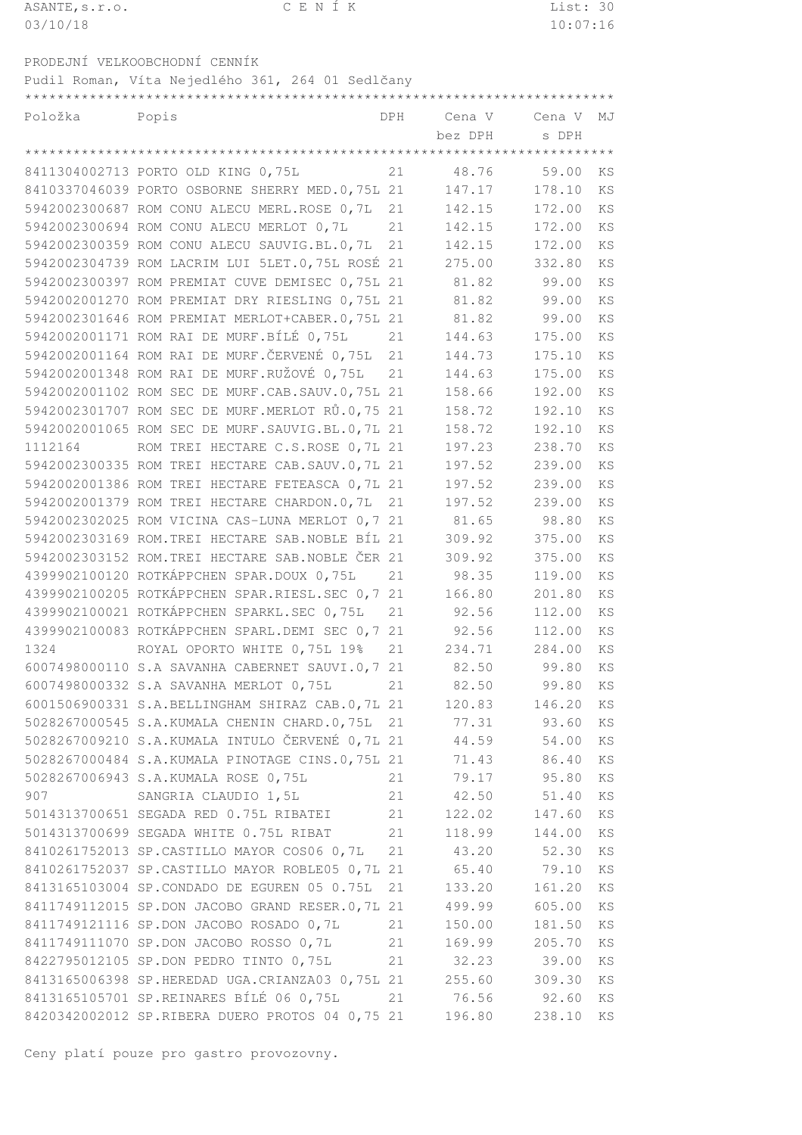| ASANTE, s.r.o. | CENIK | List: 30 |
|----------------|-------|----------|
| 03/10/18       |       | 10:07:16 |
|                |       |          |

PRODEJNÍ VELKOOBCHODNÍ CENNÍK Pudil Roman, Víta Nejedlého 361, 264 01 Sedlčany

\*\*\*\*\*\*\*\*\*\*\*\*\*\*\*\*\*\*\*\*\*\*\*\*\*\*\*\*\*\*\*\*\*\*\*\*\*\*\*\*\*\*\*\*\*\*\*\*\*\*\*\*\*\*\*\*\*\*\*\*\*\*\*\*\*\*\*\*\*\*\*\*\*

| Položka | Popis                                               | DPH | Cena V      | Cena V      | MJ        |
|---------|-----------------------------------------------------|-----|-------------|-------------|-----------|
|         |                                                     |     | bez DPH     | s DPH       |           |
|         |                                                     |     |             |             |           |
|         | 8411304002713 PORTO OLD KING 0,75L                  | 21  | 48.76       | 59.00       | KS        |
|         | 8410337046039 PORTO OSBORNE SHERRY MED.0,75L 21     |     | 147.17      | 178.10      | <b>KS</b> |
|         | 5942002300687 ROM CONU ALECU MERL. ROSE 0,7L        | 21  | 142.15      | 172.00      | <b>KS</b> |
|         | 5942002300694 ROM CONU ALECU MERLOT 0, 7L           | 21  | 142.15      | 172.00      | KS        |
|         | 5942002300359 ROM CONU ALECU SAUVIG.BL.0,7L         | 21  | 142.15      | 172.00      | KS        |
|         | 5942002304739 ROM LACRIM LUI 5LET.0,75L ROSÉ 21     |     | 275.00      | 332.80      | KS        |
|         | 5942002300397 ROM PREMIAT CUVE DEMISEC 0,75L 21     |     | 81.82       | 99.00       | KS        |
|         | 5942002001270 ROM PREMIAT DRY RIESLING 0,75L 21     |     | 81.82       | 99.00       | KS        |
|         | 5942002301646 ROM PREMIAT MERLOT+CABER.0,75L 21     |     | 81.82       | 99.00       | KS        |
|         | 5942002001171 ROM RAI DE MURF. BÍLÉ 0,75L           | 21  | 144.63      | 175.00      | KS        |
|         | 5942002001164 ROM RAI DE MURF. ČERVENÉ 0,75L        | 21  | 144.73      | 175.10      | <b>KS</b> |
|         | 5942002001348 ROM RAI DE MURF.RUŽOVÉ 0,75L          | 21  | 144.63      | 175.00      | <b>KS</b> |
|         | 5942002001102 ROM SEC DE MURF.CAB.SAUV.0,75L 21     |     | 158.66      | 192.00      | KS        |
|         | 5942002301707 ROM SEC DE MURF.MERLOT RŮ.0,75 21     |     | 158.72      | 192.10      | KS        |
|         | 5942002001065 ROM SEC DE MURF. SAUVIG. BL. 0, 7L 21 |     | 158.72      | 192.10      | <b>KS</b> |
| 1112164 | ROM TREI HECTARE C.S.ROSE 0,7L 21                   |     | 197.23      | 238.70      | <b>KS</b> |
|         | 5942002300335 ROM TREI HECTARE CAB. SAUV. 0, 7L 21  |     | 197.52      | 239.00      | KS        |
|         | 5942002001386 ROM TREI HECTARE FETEASCA 0,7L 21     |     | 197.52      | 239.00      | KS        |
|         | 5942002001379 ROM TREI HECTARE CHARDON.0,7L         | 21  | 197.52      | 239.00      | KS        |
|         | 5942002302025 ROM VICINA CAS-LUNA MERLOT 0,7 21     |     | 81.65       | 98.80       | KS        |
|         | 5942002303169 ROM. TREI HECTARE SAB. NOBLE BÍL 21   |     | 309.92      | 375.00      | KS        |
|         | 5942002303152 ROM. TREI HECTARE SAB. NOBLE ČER 21   |     | 309.92      | 375.00      | KS        |
|         | 4399902100120 ROTKÁPPCHEN SPAR.DOUX 0,75L           | 21  | 98.35       | 119.00      | <b>KS</b> |
|         | 4399902100205 ROTKÁPPCHEN SPAR.RIESL.SEC 0,7 21     |     | 166.80      | 201.80      | <b>KS</b> |
|         | 4399902100021 ROTKÁPPCHEN SPARKL.SEC 0,75L          | 21  | 92.56       | 112.00      | KS        |
|         | 4399902100083 ROTKÁPPCHEN SPARL.DEMI SEC 0,7 21     |     | 92.56       | 112.00      | KS        |
| 1324    | ROYAL OPORTO WHITE 0,75L 19%                        | 21  | 234.71      | 284.00      | <b>KS</b> |
|         | 6007498000110 S.A SAVANHA CABERNET SAUVI.0,7 21     |     | 82.50       | 99.80       | KS        |
|         | 6007498000332 S.A SAVANHA MERLOT 0,75L              | 21  | 82.50 99.80 |             | KS        |
|         | 6001506900331 S.A.BELLINGHAM SHIRAZ CAB.0,7L 21     |     | 120.83      | 146.20      | KS        |
|         | 5028267000545 S.A. KUMALA CHENIN CHARD.0,75L 21     |     | 77.31       | 93.60       | ΚS        |
|         | 5028267009210 S.A.KUMALA INTULO ČERVENÉ 0,7L 21     |     | 44.59       | 54.00       | ΚS        |
|         | 5028267000484 S.A. KUMALA PINOTAGE CINS.0,75L 21    |     |             | 71.43 86.40 | ΚS        |
|         | 5028267006943 S.A.KUMALA ROSE 0,75L                 | 21  | 79.17       | 95.80       | ΚS        |
| 907     | SANGRIA CLAUDIO 1,5L                                | 21  | 42.50       | 51.40       | ΚS        |
|         | 5014313700651 SEGADA RED 0.75L RIBATEI              | 21  | 122.02      | 147.60      | KS        |
|         | 5014313700699 SEGADA WHITE 0.75L RIBAT              | 21  | 118.99      | 144.00      | ΚS        |
|         | 8410261752013 SP. CASTILLO MAYOR COS06 0,7L         | 21  | 43.20       | 52.30       | KS        |
|         | 8410261752037 SP. CASTILLO MAYOR ROBLE05 0, 7L 21   |     | 65.40       | 79.10       | ΚS        |
|         | 8413165103004 SP.CONDADO DE EGUREN 05 0.75L         | 21  | 133.20      | 161.20      | KS        |
|         | 8411749112015 SP.DON JACOBO GRAND RESER.0, 7L 21    |     | 499.99      | 605.00      | ΚS        |
|         | 8411749121116 SP.DON JACOBO ROSADO 0,7L             | 21  | 150.00      | 181.50      | KS        |
|         | 8411749111070 SP.DON JACOBO ROSSO 0,7L              | 21  | 169.99      | 205.70      | ΚS        |
|         | 8422795012105 SP.DON PEDRO TINTO 0,75L              | 21  | 32.23       | 39.00       | ΚS        |
|         | 8413165006398 SP.HEREDAD UGA.CRIANZA03 0,75L 21     |     | 255.60      | 309.30      | ΚS        |
|         | 8413165105701 SP.REINARES BÍLÉ 06 0,75L             | 21  | 76.56       | 92.60       | KS        |
|         | 8420342002012 SP.RIBERA DUERO PROTOS 04 0,75 21     |     | 196.80      | 238.10      | KS        |
|         |                                                     |     |             |             |           |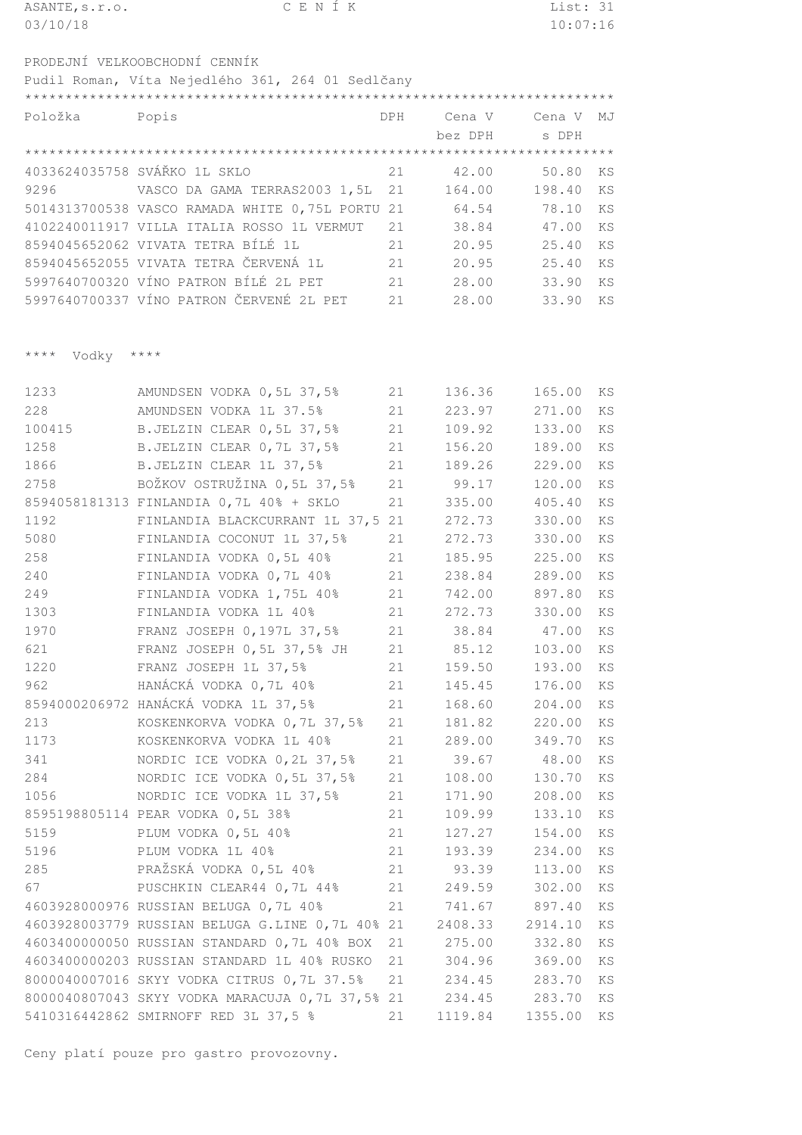| ASANTE, s.r.o.                  | CENÍK                                            |     |                 | List: 31      |           |
|---------------------------------|--------------------------------------------------|-----|-----------------|---------------|-----------|
| 03/10/18                        |                                                  |     |                 | 10:07:16      |           |
|                                 | PRODEJNÍ VELKOOBCHODNÍ CENNÍK                    |     |                 |               |           |
|                                 | Pudil Roman, Víta Nejedlého 361, 264 01 Sedlčany |     |                 |               |           |
|                                 |                                                  |     |                 |               |           |
| Položka                         | Popis                                            | DPH | Cena V          | Cena V        | MJ        |
|                                 |                                                  |     | bez DPH         | s DPH         |           |
|                                 |                                                  |     |                 |               |           |
|                                 | 4033624035758 SVÁŘKO 1L SKLO                     | 21  | 42.00           | 50.80         | KS        |
| 9296                            | VASCO DA GAMA TERRAS2003 1,5L                    | 21  | 164.00          | 198.40        | KS        |
|                                 | 5014313700538 VASCO RAMADA WHITE 0,75L PORTU 21  |     | 64.54           | 78.10         | KS        |
|                                 | 4102240011917 VILLA ITALIA ROSSO 1L VERMUT       | 21  | 38.84           | 47.00         | KS        |
|                                 | 8594045652062 VIVATA TETRA BÍLÉ 1L               | 21  | 20.95           | 25.40         | KS        |
|                                 | 8594045652055 VIVATA TETRA ČERVENÁ 1L            | 21  | 20.95           | 25.40         | KS        |
|                                 | 5997640700320 VÍNO PATRON BÍLÉ 2L PET            | 21  | 28.00           | 33.90         | KS        |
|                                 | 5997640700337 VÍNO PATRON ČERVENÉ 2L PET         | 21  | 28.00           | 33.90         | KS        |
|                                 |                                                  |     |                 |               |           |
| $\star\star\star\star$<br>Vodky | $\star\star\star\star$                           |     |                 |               |           |
| 1233                            | AMUNDSEN VODKA 0,5L 37,5%                        | 21  | 136.36          | 165.00        | KS        |
| 228                             | AMUNDSEN VODKA 1L 37.5%                          | 21  | 223.97          | 271.00        | <b>KS</b> |
| 100415                          | B. JELZIN CLEAR 0, 5L 37, 5%                     | 21  | 109.92          | 133.00        | KS        |
| 1258                            | B.JELZIN CLEAR 0,7L 37,5%                        | 21  | 156.20          | 189.00        | KS        |
| 1866                            | B.JELZIN CLEAR 1L 37,5%                          | 21  | 189.26          | 229.00        | KS        |
| 2758                            | BOŽKOV OSTRUŽINA 0,5L 37,5%                      | 21  | 99.17           | 120.00        | KS        |
|                                 | 8594058181313 FINLANDIA 0,7L 40% + SKLO          | 21  | 335.00          | 405.40        | KS        |
| 1192                            | FINLANDIA BLACKCURRANT 1L 37,5 21                |     | 272.73          | 330.00        | KS        |
| 5080                            | FINLANDIA COCONUT 1L 37,5%                       | 21  | 272.73          | 330.00        | KS        |
| 258                             | FINLANDIA VODKA 0,5L 40%                         | 21  | 185.95          | 225.00        | KS        |
| 240                             | FINLANDIA VODKA 0,7L 40%                         | 21  | 238.84          | 289.00        | KS        |
| 249                             | FINLANDIA VODKA 1,75L 40%                        | 21  | 742.00          | 897.80        | KS        |
| 1303                            | FINLANDIA VODKA 1L 40%                           | 21  | 272.73          | 330.00        | KS        |
| 1970                            | FRANZ JOSEPH 0,197L 37,5%                        | 21  | 38.84           | 47.00         | KS        |
| 621                             | FRANZ JOSEPH 0,5L 37,5% JH                       | 21  | 85.12           | 103.00        | KS        |
| 1220                            | FRANZ JOSEPH 1L 37,5%                            | 21  | 159.50          | 193.00        | KS        |
| 962                             | HANÁCKÁ VODKA 0,7L 40%                           | 21  | 145.45          | 176.00        | KS        |
|                                 | 8594000206972 HANÁCKÁ VODKA 1L 37,5%             | 21  |                 | 168.60 204.00 | KS        |
| 213                             | KOSKENKORVA VODKA 0,7L 37,5%                     | 21  |                 | 181.82 220.00 | KS        |
| 1173                            | KOSKENKORVA VODKA 1L 40%                         | 21  | 289.00          | 349.70        | KS        |
| 341                             | NORDIC ICE VODKA 0, 2L 37, 5%                    | 21  | 39.67           | 48.00         | KS        |
| 284                             | NORDIC ICE VODKA 0,5L 37,5%                      | 21  | 108.00          | 130.70        | KS        |
| 1056                            | NORDIC ICE VODKA 1L 37,5%                        | 21  | 171.90          | 208.00        | KS        |
|                                 | 8595198805114 PEAR VODKA 0,5L 38%                | 21  | 109.99          | 133.10        | KS        |
| 5159                            | PLUM VODKA 0,5L 40%                              | 21  | 127.27          | 154.00        | KS        |
| 5196                            | PLUM VODKA 1L 40%                                | 21  | 193.39          | 234.00        | KS        |
| 285                             | PRAŽSKÁ VODKA 0,5L 40%                           | 21  | 93.39           | 113.00        | KS        |
| 67                              | PUSCHKIN CLEAR44 0,7L 44%                        | 21  | 249.59          | 302.00        | KS        |
|                                 | 4603928000976 RUSSIAN BELUGA 0,7L 40%            | 21  | 741.67          | 897.40        | ΚS        |
|                                 | 4603928003779 RUSSIAN BELUGA G.LINE 0,7L 40% 21  |     | 2408.33 2914.10 |               | KS        |
|                                 | 4603400000050 RUSSIAN STANDARD 0,7L 40% BOX 21   |     | 275.00          | 332.80        | KS        |

 RUSSIAN STANDARD 1L 40% RUSKO 21 304.96 369.00 KS SKYY VODKA CITRUS 0,7L 37.5% 21 234.45 283.70 KS SKYY VODKA MARACUJA 0,7L 37,5% 21 234.45 283.70 KS SMIRNOFF RED 3L 37,5 % 21 1119.84 1355.00 KS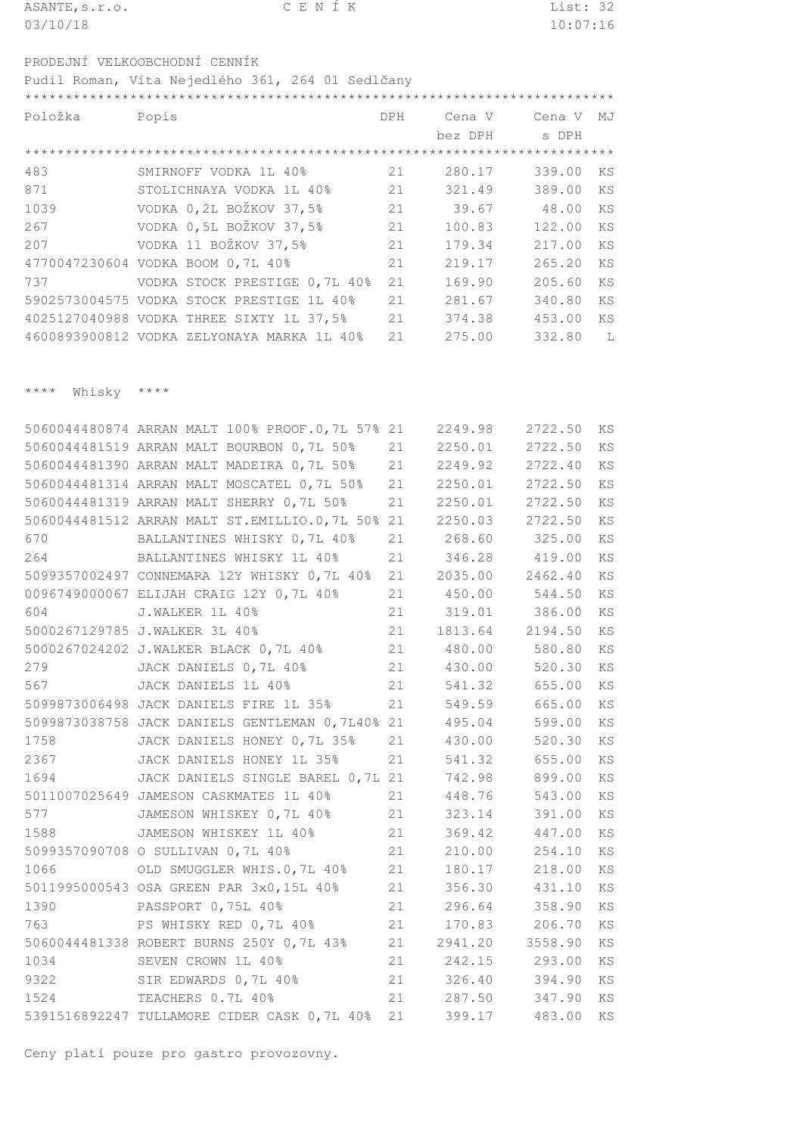| ASANTE, s.r.o.                                   | CENIK | List: 32 |
|--------------------------------------------------|-------|----------|
| 03/10/18                                         |       | 10:07:16 |
|                                                  |       |          |
| PRODEJNÍ VELKOOBCHODNÍ CENNÍK                    |       |          |
| Pudil Roman, Víta Nejedlého 361, 264 01 Sedlčany |       |          |
|                                                  |       |          |

| Položka | Popis                                      | DPH | Cena V  | Cena V | MJ |
|---------|--------------------------------------------|-----|---------|--------|----|
|         |                                            |     | bez DPH | s DPH  |    |
|         |                                            |     |         |        |    |
| 483     | SMIRNOFF VODKA 1L 40%                      | 21  | 280.17  | 339.00 | KS |
| 871     | STOLICHNAYA VODKA 1L 40%                   | 21  | 321.49  | 389.00 | KS |
| 1039    | VODKA 0,2L BOŽKOV 37,5%                    | 21  | 39.67   | 48.00  | KS |
| 267     | VODKA 0,5L BOŽKOV 37,5%                    | 21  | 100.83  | 122.00 | KS |
| 207     | VODKA 11 BOŽKOV 37,5%                      | 21  | 179.34  | 217.00 | KS |
|         | 4770047230604 VODKA BOOM 0,7L 40%          | 21  | 219.17  | 265.20 | KS |
| 737     | VODKA STOCK PRESTIGE 0,7L 40%              | 2.1 | 169.90  | 205.60 | KS |
|         | 5902573004575 VODKA STOCK PRESTIGE 1L 40%  | 21  | 281.67  | 340.80 | KS |
|         | 4025127040988 VODKA THREE SIXTY 1L 37,5%   | 21  | 374.38  | 453.00 | KS |
|         | 4600893900812 VODKA ZELYONAYA MARKA 1L 40% | 21  | 275.00  | 332.80 | L  |

\*\*\*\* Whisky \*\*\*\*

| 5060044481519 ARRAN MALT BOURBON 0,7L 50%<br>21<br>2250.01<br>2722.50<br>5060044481390 ARRAN MALT MADEIRA 0,7L 50%<br>21<br>2249.92<br>2722.40<br>5060044481314 ARRAN MALT MOSCATEL 0,7L 50%<br>21<br>2250.01<br>2722.50<br>5060044481319 ARRAN MALT SHERRY 0,7L 50%<br>2250.01 2722.50<br>21<br>5060044481512 ARRAN MALT ST.EMILLIO.0,7L 50% 21<br>2250.03<br>2722.50<br>268.60 325.00<br>670<br>BALLANTINES WHISKY 0,7L 40%<br>21<br>264<br>BALLANTINES WHISKY 1L 40%<br>21<br>346.28<br>419.00<br>2035.00 2462.40<br>5099357002497 CONNEMARA 12Y WHISKY 0,7L 40%<br>21<br>0096749000067 ELIJAH CRAIG 12Y 0,7L 40%<br>21<br>450.00 544.50<br>21 319.01 386.00<br>604<br>J.WALKER 1L 40%<br>21<br>5000267129785 J.WALKER 3L 40%<br>1813.64 2194.50<br>5000267024202 J.WALKER BLACK 0,7L 40%<br>21<br>480.00<br>580.80<br>21<br>279<br>430.00<br>520.30<br>JACK DANIELS 0,7L 40%<br>21<br>567<br>541.32<br>JACK DANIELS 1L 40%<br>655.00<br>21<br>5099873006498 JACK DANIELS FIRE 1L 35%<br>549.59<br>665.00<br>5099873038758 JACK DANIELS GENTLEMAN 0,7L40% 21<br>495.04<br>599.00<br>1758<br>JACK DANIELS HONEY 0,7L 35%<br>430.00<br>520.30<br>21<br>JACK DANIELS HONEY 1L 35%<br>2367<br>21<br>541.32<br>655.00<br>1694<br>JACK DANIELS SINGLE BAREL 0,7L 21<br>742.98<br>899.00<br>21<br>543.00<br>5011007025649 JAMESON CASKMATES 1L 40%<br>448.76<br>577<br>JAMESON WHISKEY 0,7L 40%<br>21<br>323.14<br>391.00<br>1588<br>JAMESON WHISKEY 1L 40%<br>21<br>369.42<br>447.00<br>5099357090708 O SULLIVAN 0,7L 40%<br>21<br>210.00<br>254.10<br>1066<br>21<br>218.00<br>OLD SMUGGLER WHIS.0,7L 40%<br>180.17<br>21<br>5011995000543 OSA GREEN PAR 3x0,15L 40%<br>356.30<br>431.10<br>1390<br>PASSPORT 0,75L 40%<br>21<br>296.64<br>358.90<br>21<br>763<br>PS WHISKY RED 0,7L 40%<br>170.83 206.70<br>5060044481338 ROBERT BURNS 250Y 0,7L 43%<br>21<br>2941.20<br>3558.90<br>1034<br>21<br>SEVEN CROWN 1L 40%<br>242.15 293.00<br>9322<br>21 326.40<br>394.90<br>SIR EDWARDS 0, 7L 40%<br>21 287.50 347.90<br>1524<br>TEACHERS 0.7L 40%<br>5391516892247 TULLAMORE CIDER CASK 0, 7L 40%<br>21<br>399.17<br>483.00 | 5060044480874 ARRAN MALT 100% PROOF.0,7L 57% 21 | 2249.98 | 2722.50 | KS |
|-----------------------------------------------------------------------------------------------------------------------------------------------------------------------------------------------------------------------------------------------------------------------------------------------------------------------------------------------------------------------------------------------------------------------------------------------------------------------------------------------------------------------------------------------------------------------------------------------------------------------------------------------------------------------------------------------------------------------------------------------------------------------------------------------------------------------------------------------------------------------------------------------------------------------------------------------------------------------------------------------------------------------------------------------------------------------------------------------------------------------------------------------------------------------------------------------------------------------------------------------------------------------------------------------------------------------------------------------------------------------------------------------------------------------------------------------------------------------------------------------------------------------------------------------------------------------------------------------------------------------------------------------------------------------------------------------------------------------------------------------------------------------------------------------------------------------------------------------------------------------------------------------------------------------------------------------------------------------------------------------------------------------------------------------------------------------------------------------------------------------|-------------------------------------------------|---------|---------|----|
|                                                                                                                                                                                                                                                                                                                                                                                                                                                                                                                                                                                                                                                                                                                                                                                                                                                                                                                                                                                                                                                                                                                                                                                                                                                                                                                                                                                                                                                                                                                                                                                                                                                                                                                                                                                                                                                                                                                                                                                                                                                                                                                       |                                                 |         |         | KS |
|                                                                                                                                                                                                                                                                                                                                                                                                                                                                                                                                                                                                                                                                                                                                                                                                                                                                                                                                                                                                                                                                                                                                                                                                                                                                                                                                                                                                                                                                                                                                                                                                                                                                                                                                                                                                                                                                                                                                                                                                                                                                                                                       |                                                 |         |         | KS |
|                                                                                                                                                                                                                                                                                                                                                                                                                                                                                                                                                                                                                                                                                                                                                                                                                                                                                                                                                                                                                                                                                                                                                                                                                                                                                                                                                                                                                                                                                                                                                                                                                                                                                                                                                                                                                                                                                                                                                                                                                                                                                                                       |                                                 |         |         | KS |
|                                                                                                                                                                                                                                                                                                                                                                                                                                                                                                                                                                                                                                                                                                                                                                                                                                                                                                                                                                                                                                                                                                                                                                                                                                                                                                                                                                                                                                                                                                                                                                                                                                                                                                                                                                                                                                                                                                                                                                                                                                                                                                                       |                                                 |         |         | KS |
|                                                                                                                                                                                                                                                                                                                                                                                                                                                                                                                                                                                                                                                                                                                                                                                                                                                                                                                                                                                                                                                                                                                                                                                                                                                                                                                                                                                                                                                                                                                                                                                                                                                                                                                                                                                                                                                                                                                                                                                                                                                                                                                       |                                                 |         |         | KS |
|                                                                                                                                                                                                                                                                                                                                                                                                                                                                                                                                                                                                                                                                                                                                                                                                                                                                                                                                                                                                                                                                                                                                                                                                                                                                                                                                                                                                                                                                                                                                                                                                                                                                                                                                                                                                                                                                                                                                                                                                                                                                                                                       |                                                 |         |         | KS |
|                                                                                                                                                                                                                                                                                                                                                                                                                                                                                                                                                                                                                                                                                                                                                                                                                                                                                                                                                                                                                                                                                                                                                                                                                                                                                                                                                                                                                                                                                                                                                                                                                                                                                                                                                                                                                                                                                                                                                                                                                                                                                                                       |                                                 |         |         | KS |
|                                                                                                                                                                                                                                                                                                                                                                                                                                                                                                                                                                                                                                                                                                                                                                                                                                                                                                                                                                                                                                                                                                                                                                                                                                                                                                                                                                                                                                                                                                                                                                                                                                                                                                                                                                                                                                                                                                                                                                                                                                                                                                                       |                                                 |         |         | KS |
|                                                                                                                                                                                                                                                                                                                                                                                                                                                                                                                                                                                                                                                                                                                                                                                                                                                                                                                                                                                                                                                                                                                                                                                                                                                                                                                                                                                                                                                                                                                                                                                                                                                                                                                                                                                                                                                                                                                                                                                                                                                                                                                       |                                                 |         |         | KS |
|                                                                                                                                                                                                                                                                                                                                                                                                                                                                                                                                                                                                                                                                                                                                                                                                                                                                                                                                                                                                                                                                                                                                                                                                                                                                                                                                                                                                                                                                                                                                                                                                                                                                                                                                                                                                                                                                                                                                                                                                                                                                                                                       |                                                 |         |         | KS |
|                                                                                                                                                                                                                                                                                                                                                                                                                                                                                                                                                                                                                                                                                                                                                                                                                                                                                                                                                                                                                                                                                                                                                                                                                                                                                                                                                                                                                                                                                                                                                                                                                                                                                                                                                                                                                                                                                                                                                                                                                                                                                                                       |                                                 |         |         | KS |
|                                                                                                                                                                                                                                                                                                                                                                                                                                                                                                                                                                                                                                                                                                                                                                                                                                                                                                                                                                                                                                                                                                                                                                                                                                                                                                                                                                                                                                                                                                                                                                                                                                                                                                                                                                                                                                                                                                                                                                                                                                                                                                                       |                                                 |         |         | KS |
|                                                                                                                                                                                                                                                                                                                                                                                                                                                                                                                                                                                                                                                                                                                                                                                                                                                                                                                                                                                                                                                                                                                                                                                                                                                                                                                                                                                                                                                                                                                                                                                                                                                                                                                                                                                                                                                                                                                                                                                                                                                                                                                       |                                                 |         |         | KS |
|                                                                                                                                                                                                                                                                                                                                                                                                                                                                                                                                                                                                                                                                                                                                                                                                                                                                                                                                                                                                                                                                                                                                                                                                                                                                                                                                                                                                                                                                                                                                                                                                                                                                                                                                                                                                                                                                                                                                                                                                                                                                                                                       |                                                 |         |         | KS |
|                                                                                                                                                                                                                                                                                                                                                                                                                                                                                                                                                                                                                                                                                                                                                                                                                                                                                                                                                                                                                                                                                                                                                                                                                                                                                                                                                                                                                                                                                                                                                                                                                                                                                                                                                                                                                                                                                                                                                                                                                                                                                                                       |                                                 |         |         | KS |
|                                                                                                                                                                                                                                                                                                                                                                                                                                                                                                                                                                                                                                                                                                                                                                                                                                                                                                                                                                                                                                                                                                                                                                                                                                                                                                                                                                                                                                                                                                                                                                                                                                                                                                                                                                                                                                                                                                                                                                                                                                                                                                                       |                                                 |         |         | KS |
|                                                                                                                                                                                                                                                                                                                                                                                                                                                                                                                                                                                                                                                                                                                                                                                                                                                                                                                                                                                                                                                                                                                                                                                                                                                                                                                                                                                                                                                                                                                                                                                                                                                                                                                                                                                                                                                                                                                                                                                                                                                                                                                       |                                                 |         |         | KS |
|                                                                                                                                                                                                                                                                                                                                                                                                                                                                                                                                                                                                                                                                                                                                                                                                                                                                                                                                                                                                                                                                                                                                                                                                                                                                                                                                                                                                                                                                                                                                                                                                                                                                                                                                                                                                                                                                                                                                                                                                                                                                                                                       |                                                 |         |         | KS |
|                                                                                                                                                                                                                                                                                                                                                                                                                                                                                                                                                                                                                                                                                                                                                                                                                                                                                                                                                                                                                                                                                                                                                                                                                                                                                                                                                                                                                                                                                                                                                                                                                                                                                                                                                                                                                                                                                                                                                                                                                                                                                                                       |                                                 |         |         | KS |
|                                                                                                                                                                                                                                                                                                                                                                                                                                                                                                                                                                                                                                                                                                                                                                                                                                                                                                                                                                                                                                                                                                                                                                                                                                                                                                                                                                                                                                                                                                                                                                                                                                                                                                                                                                                                                                                                                                                                                                                                                                                                                                                       |                                                 |         |         | KS |
|                                                                                                                                                                                                                                                                                                                                                                                                                                                                                                                                                                                                                                                                                                                                                                                                                                                                                                                                                                                                                                                                                                                                                                                                                                                                                                                                                                                                                                                                                                                                                                                                                                                                                                                                                                                                                                                                                                                                                                                                                                                                                                                       |                                                 |         |         | KS |
|                                                                                                                                                                                                                                                                                                                                                                                                                                                                                                                                                                                                                                                                                                                                                                                                                                                                                                                                                                                                                                                                                                                                                                                                                                                                                                                                                                                                                                                                                                                                                                                                                                                                                                                                                                                                                                                                                                                                                                                                                                                                                                                       |                                                 |         |         | KS |
|                                                                                                                                                                                                                                                                                                                                                                                                                                                                                                                                                                                                                                                                                                                                                                                                                                                                                                                                                                                                                                                                                                                                                                                                                                                                                                                                                                                                                                                                                                                                                                                                                                                                                                                                                                                                                                                                                                                                                                                                                                                                                                                       |                                                 |         |         | KS |
|                                                                                                                                                                                                                                                                                                                                                                                                                                                                                                                                                                                                                                                                                                                                                                                                                                                                                                                                                                                                                                                                                                                                                                                                                                                                                                                                                                                                                                                                                                                                                                                                                                                                                                                                                                                                                                                                                                                                                                                                                                                                                                                       |                                                 |         |         | KS |
|                                                                                                                                                                                                                                                                                                                                                                                                                                                                                                                                                                                                                                                                                                                                                                                                                                                                                                                                                                                                                                                                                                                                                                                                                                                                                                                                                                                                                                                                                                                                                                                                                                                                                                                                                                                                                                                                                                                                                                                                                                                                                                                       |                                                 |         |         | KS |
|                                                                                                                                                                                                                                                                                                                                                                                                                                                                                                                                                                                                                                                                                                                                                                                                                                                                                                                                                                                                                                                                                                                                                                                                                                                                                                                                                                                                                                                                                                                                                                                                                                                                                                                                                                                                                                                                                                                                                                                                                                                                                                                       |                                                 |         |         | KS |
|                                                                                                                                                                                                                                                                                                                                                                                                                                                                                                                                                                                                                                                                                                                                                                                                                                                                                                                                                                                                                                                                                                                                                                                                                                                                                                                                                                                                                                                                                                                                                                                                                                                                                                                                                                                                                                                                                                                                                                                                                                                                                                                       |                                                 |         |         | KS |
|                                                                                                                                                                                                                                                                                                                                                                                                                                                                                                                                                                                                                                                                                                                                                                                                                                                                                                                                                                                                                                                                                                                                                                                                                                                                                                                                                                                                                                                                                                                                                                                                                                                                                                                                                                                                                                                                                                                                                                                                                                                                                                                       |                                                 |         |         | KS |
|                                                                                                                                                                                                                                                                                                                                                                                                                                                                                                                                                                                                                                                                                                                                                                                                                                                                                                                                                                                                                                                                                                                                                                                                                                                                                                                                                                                                                                                                                                                                                                                                                                                                                                                                                                                                                                                                                                                                                                                                                                                                                                                       |                                                 |         |         | KS |
|                                                                                                                                                                                                                                                                                                                                                                                                                                                                                                                                                                                                                                                                                                                                                                                                                                                                                                                                                                                                                                                                                                                                                                                                                                                                                                                                                                                                                                                                                                                                                                                                                                                                                                                                                                                                                                                                                                                                                                                                                                                                                                                       |                                                 |         |         | KS |
|                                                                                                                                                                                                                                                                                                                                                                                                                                                                                                                                                                                                                                                                                                                                                                                                                                                                                                                                                                                                                                                                                                                                                                                                                                                                                                                                                                                                                                                                                                                                                                                                                                                                                                                                                                                                                                                                                                                                                                                                                                                                                                                       |                                                 |         |         | KS |
|                                                                                                                                                                                                                                                                                                                                                                                                                                                                                                                                                                                                                                                                                                                                                                                                                                                                                                                                                                                                                                                                                                                                                                                                                                                                                                                                                                                                                                                                                                                                                                                                                                                                                                                                                                                                                                                                                                                                                                                                                                                                                                                       |                                                 |         |         | KS |